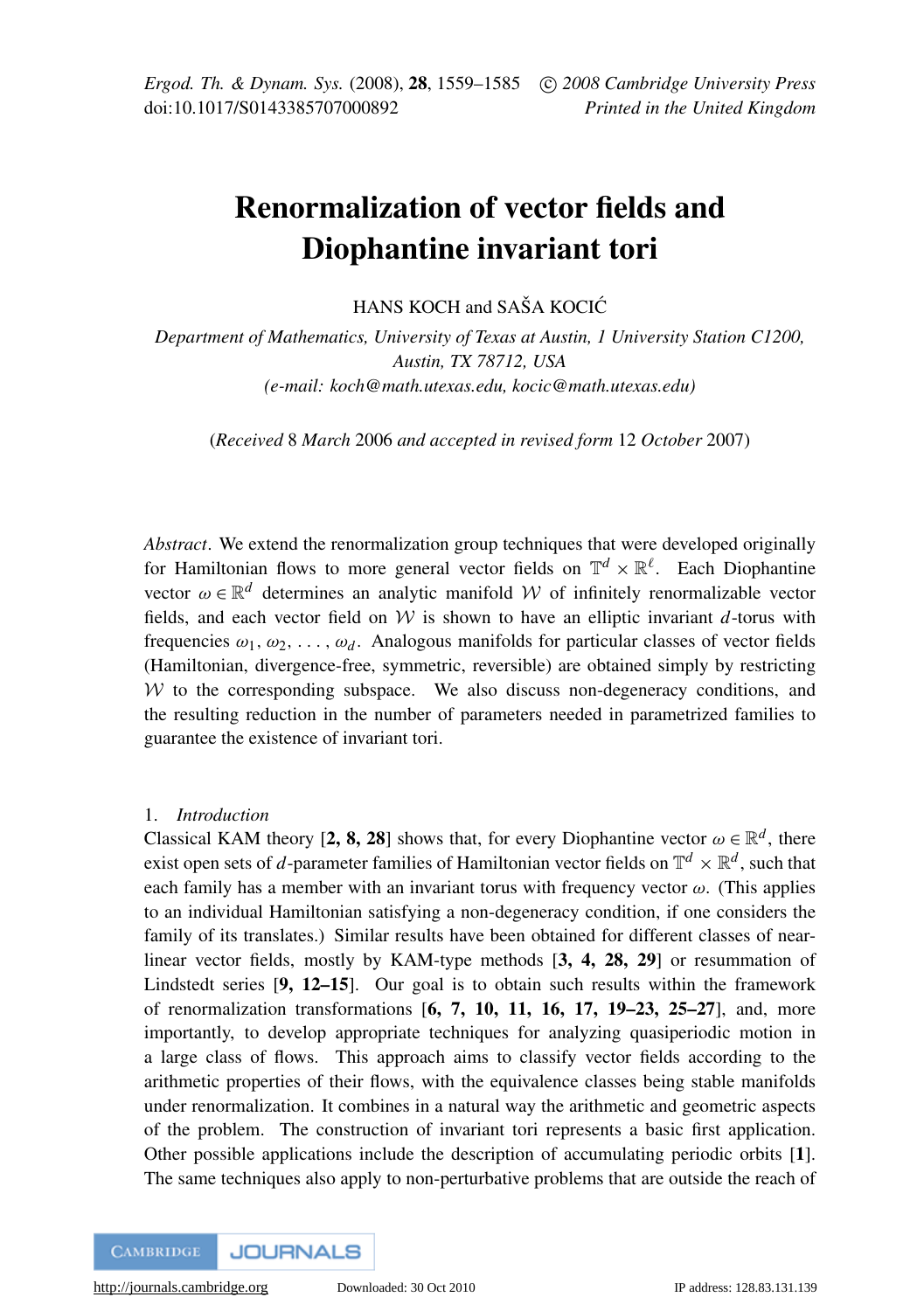# Renormalization of vector fields and Diophantine invariant tori

HANS KOCH and SAŠA KOCIĆ

*Department of Mathematics, University of Texas at Austin, 1 University Station C1200, Austin, TX 78712, USA (e-mail: koch@math.utexas.edu, kocic@math.utexas.edu)*

(*Received* 8 *March* 2006 *and accepted in revised form* 12 *October* 2007)

*Abstract*. We extend the renormalization group techniques that were developed originally for Hamiltonian flows to more general vector fields on  $\mathbb{T}^d \times \mathbb{R}^\ell$ . Each Diophantine vector  $\omega \in \mathbb{R}^d$  determines an analytic manifold W of infinitely renormalizable vector fields, and each vector field on  $W$  is shown to have an elliptic invariant  $d$ -torus with frequencies  $\omega_1, \omega_2, \ldots, \omega_d$ . Analogous manifolds for particular classes of vector fields (Hamiltonian, divergence-free, symmetric, reversible) are obtained simply by restricting  $W$  to the corresponding subspace. We also discuss non-degeneracy conditions, and the resulting reduction in the number of parameters needed in parametrized families to guarantee the existence of invariant tori.

## <span id="page-0-0"></span>1. *Introduction*

Classical KAM theory [[2,](#page-25-0) [8,](#page-25-1) [28](#page-26-0)] shows that, for every Diophantine vector  $\omega \in \mathbb{R}^d$ , there exist open sets of *d*-parameter families of Hamiltonian vector fields on  $\mathbb{T}^d \times \mathbb{R}^d$ , such that each family has a member with an invariant torus with frequency vector  $\omega$ . (This applies to an individual Hamiltonian satisfying a non-degeneracy condition, if one considers the family of its translates.) Similar results have been obtained for different classes of nearlinear vector fields, mostly by KAM-type methods [[3,](#page-25-2) [4,](#page-25-3) [28,](#page-26-0) [29](#page-26-1)] or resummation of Lindstedt series [[9,](#page-25-4) [12](#page-25-5)[–15](#page-25-6)]. Our goal is to obtain such results within the framework of renormalization transformations  $[6, 7, 10, 11, 16, 17, 19-23, 25-27]$  $[6, 7, 10, 11, 16, 17, 19-23, 25-27]$  $[6, 7, 10, 11, 16, 17, 19-23, 25-27]$  $[6, 7, 10, 11, 16, 17, 19-23, 25-27]$  $[6, 7, 10, 11, 16, 17, 19-23, 25-27]$  $[6, 7, 10, 11, 16, 17, 19-23, 25-27]$  $[6, 7, 10, 11, 16, 17, 19-23, 25-27]$  $[6, 7, 10, 11, 16, 17, 19-23, 25-27]$  $[6, 7, 10, 11, 16, 17, 19-23, 25-27]$  $[6, 7, 10, 11, 16, 17, 19-23, 25-27]$  $[6, 7, 10, 11, 16, 17, 19-23, 25-27]$  $[6, 7, 10, 11, 16, 17, 19-23, 25-27]$  $[6, 7, 10, 11, 16, 17, 19-23, 25-27]$  $[6, 7, 10, 11, 16, 17, 19-23, 25-27]$  $[6, 7, 10, 11, 16, 17, 19-23, 25-27]$  $[6, 7, 10, 11, 16, 17, 19-23, 25-27]$  $[6, 7, 10, 11, 16, 17, 19-23, 25-27]$ , and, more importantly, to develop appropriate techniques for analyzing quasiperiodic motion in a large class of flows. This approach aims to classify vector fields according to the arithmetic properties of their flows, with the equivalence classes being stable manifolds under renormalization. It combines in a natural way the arithmetic and geometric aspects of the problem. The construction of invariant tori represents a basic first application. Other possible applications include the description of accumulating periodic orbits [[1](#page-25-13)]. The same techniques also apply to non-perturbative problems that are outside the reach of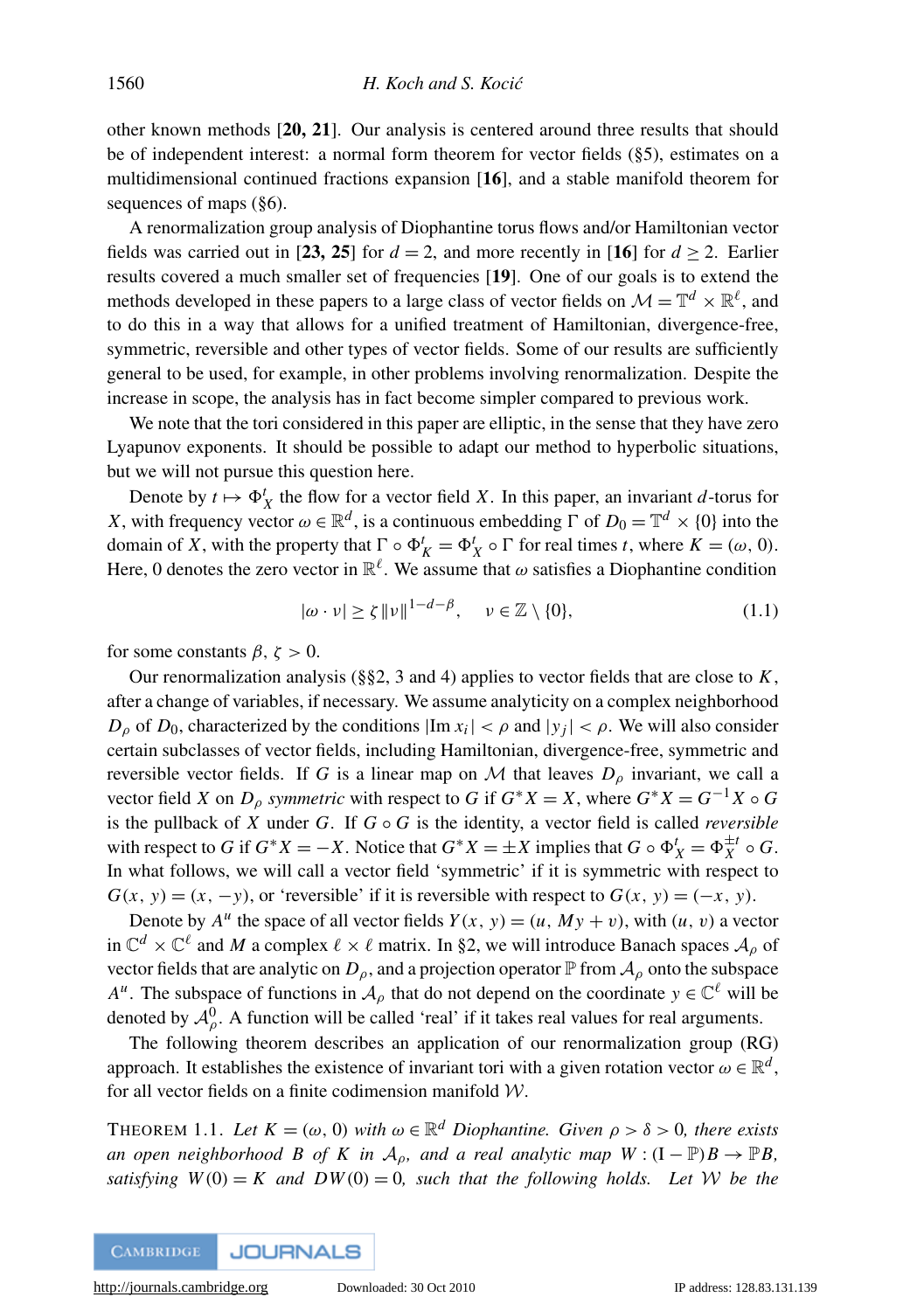other known methods [[20,](#page-26-6) [21](#page-26-7)]. Our analysis is centered around three results that should be of independent interest: a normal form theorem for vector fields ([§5\)](#page-16-0), estimates on a multidimensional continued fractions expansion [[16](#page-25-11)], and a stable manifold theorem for sequences of maps ([§6\)](#page-21-0).

A renormalization group analysis of Diophantine torus flows and/or Hamiltonian vector fields was carried out in [[23,](#page-26-3) [25](#page-26-4)] for  $d = 2$ , and more recently in [[16](#page-25-11)] for  $d \ge 2$ . Earlier results covered a much smaller set of frequencies [[19](#page-26-2)]. One of our goals is to extend the methods developed in these papers to a large class of vector fields on  $\mathcal{M} = \mathbb{T}^d \times \mathbb{R}^\ell$ , and to do this in a way that allows for a unified treatment of Hamiltonian, divergence-free, symmetric, reversible and other types of vector fields. Some of our results are sufficiently general to be used, for example, in other problems involving renormalization. Despite the increase in scope, the analysis has in fact become simpler compared to previous work.

We note that the tori considered in this paper are elliptic, in the sense that they have zero Lyapunov exponents. It should be possible to adapt our method to hyperbolic situations, but we will not pursue this question here.

Denote by  $t \mapsto \Phi_X^t$  the flow for a vector field *X*. In this paper, an invariant *d*-torus for *X*, with frequency vector  $\omega \in \mathbb{R}^d$ , is a continuous embedding  $\Gamma$  of  $D_0 = \mathbb{T}^d \times \{0\}$  into the domain of *X*, with the property that  $\Gamma \circ \Phi_K^t = \Phi_X^t \circ \Gamma$  for real times *t*, where  $K = (\omega, 0)$ . Here, 0 denotes the zero vector in  $\mathbb{R}^{\ell}$ . We assume that  $\omega$  satisfies a Diophantine condition

$$
|\omega \cdot \nu| \ge \zeta \|\nu\|^{1-d-\beta}, \quad \nu \in \mathbb{Z} \setminus \{0\},\tag{1.1}
$$

for some constants  $\beta$ ,  $\zeta > 0$ .

Our renormalization analysis (§[§2,](#page-4-0) [3](#page-9-0) and [4\)](#page-11-0) applies to vector fields that are close to *K*, after a change of variables, if necessary. We assume analyticity on a complex neighborhood *D*<sub>ρ</sub> of *D*<sub>0</sub>, characterized by the conditions  $|\text{Im } x_i| < \rho$  and  $|y_j| < \rho$ . We will also consider certain subclasses of vector fields, including Hamiltonian, divergence-free, symmetric and reversible vector fields. If *G* is a linear map on *M* that leaves  $D<sub>0</sub>$  invariant, we call a vector field *X* on  $D_{\rho}$  *symmetric* with respect to *G* if  $G^*X = X$ , where  $G^*X = G^{-1}X \circ G$ is the pullback of *X* under *G*. If *G* ◦ *G* is the identity, a vector field is called *reversible* with respect to *G* if  $G^*X = -X$ . Notice that  $G^*X = \pm X$  implies that  $G \circ \Phi_X^t = \Phi_X^{\pm t} \circ G$ . In what follows, we will call a vector field 'symmetric' if it is symmetric with respect to  $G(x, y) = (x, -y)$ , or 'reversible' if it is reversible with respect to  $G(x, y) = (-x, y)$ .

Denote by  $A^u$  the space of all vector fields  $Y(x, y) = (u, My + v)$ , with  $(u, v)$  a vector in  $\mathbb{C}^d \times \mathbb{C}^\ell$  and *M* a complex  $\ell \times \ell$  matrix. In [§2,](#page-4-0) we will introduce Banach spaces  $\mathcal{A}_\rho$  of vector fields that are analytic on  $D_{\rho}$ , and a projection operator  $\mathbb P$  from  $\mathcal A_{\rho}$  onto the subspace *A*<sup>*u*</sup>. The subspace of functions in  $A_\rho$  that do not depend on the coordinate  $y \in \mathbb{C}^{\ell}$  will be denoted by  $\mathcal{A}_{\rho}^0$ . A function will be called 'real' if it takes real values for real arguments.

The following theorem describes an application of our renormalization group (RG) approach. It establishes the existence of invariant tori with a given rotation vector  $\omega \in \mathbb{R}^d$ , for all vector fields on a finite codimension manifold  $W$ .

<span id="page-1-0"></span>THEOREM 1.1. Let  $K = (\omega, 0)$  with  $\omega \in \mathbb{R}^d$  Diophantine. Given  $\rho > \delta > 0$ , there exists *an open neighborhood B of K in*  $A_{\rho}$ *, and a real analytic map*  $W$  :  $(I - P)B \rightarrow P/B$ *, satisfying*  $W(0) = K$  *and*  $DW(0) = 0$ *, such that the following holds. Let* W *be the*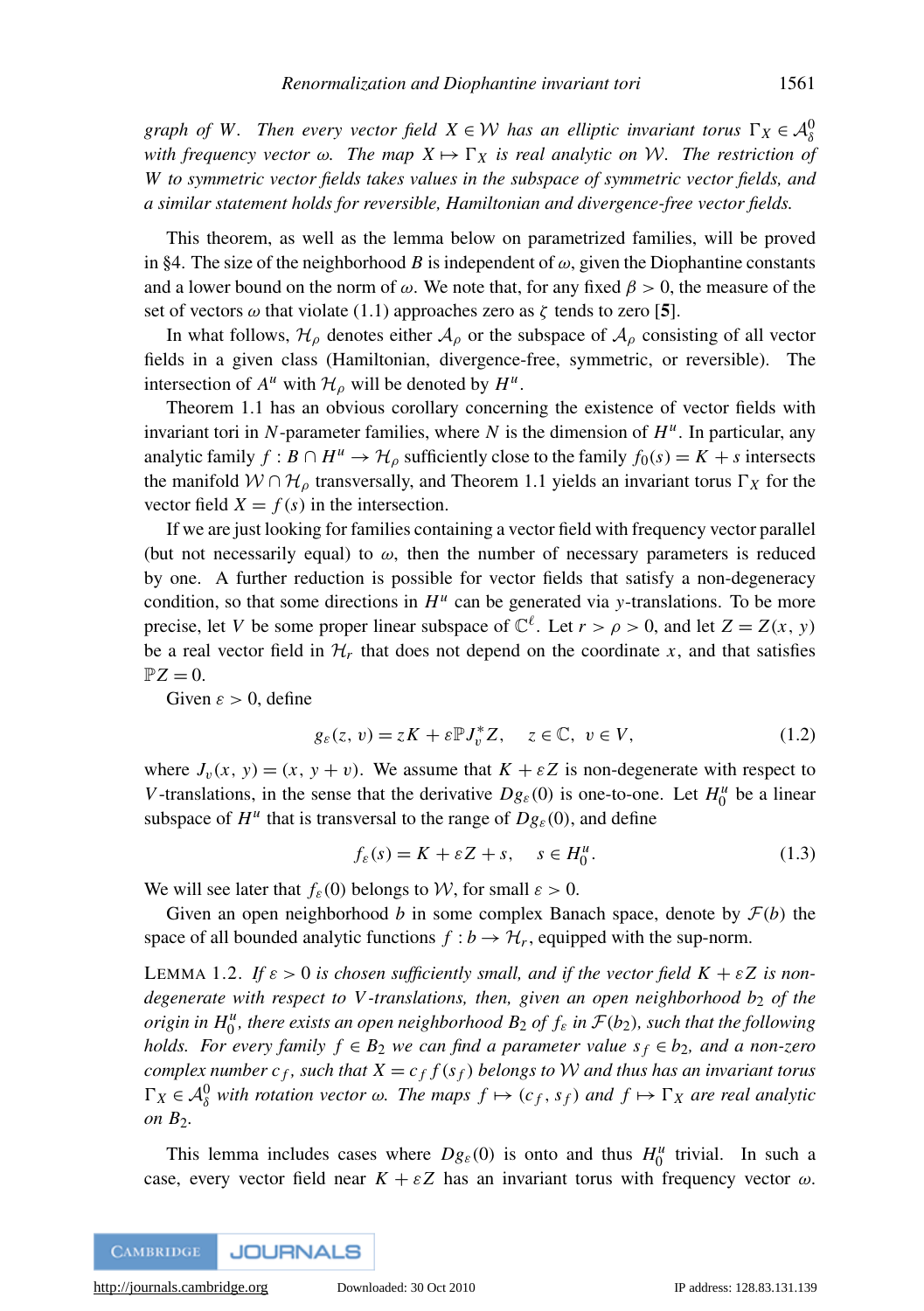graph of W. Then every vector field  $X \in \mathcal{W}$  has an elliptic invariant torus  $\Gamma_X \in \mathcal{A}^0_\delta$ *with frequency vector*  $\omega$ . The map  $X \mapsto \Gamma_X$  *is real analytic on* W. The restriction of *W to symmetric vector fields takes values in the subspace of symmetric vector fields, and a similar statement holds for reversible, Hamiltonian and divergence-free vector fields.*

This theorem, as well as the lemma below on parametrized families, will be proved in [§4.](#page-11-0) The size of the neighborhood *B* is independent of  $\omega$ , given the Diophantine constants and a lower bound on the norm of  $\omega$ . We note that, for any fixed  $\beta > 0$ , the measure of the set of vectors  $\omega$  that violate [\(1.1\)](#page-0-0) approaches zero as  $\zeta$  tends to zero [[5](#page-25-14)].

In what follows,  $\mathcal{H}_{\rho}$  denotes either  $\mathcal{A}_{\rho}$  or the subspace of  $\mathcal{A}_{\rho}$  consisting of all vector fields in a given class (Hamiltonian, divergence-free, symmetric, or reversible). The intersection of  $A^u$  with  $\mathcal{H}_{\rho}$  will be denoted by  $H^u$ .

Theorem [1.1](#page-1-0) has an obvious corollary concerning the existence of vector fields with invariant tori in *N*-parameter families, where *N* is the dimension of  $H^u$ . In particular, any analytic family  $f : B \cap H^u \to H_\rho$  sufficiently close to the family  $f_0(s) = K + s$  intersects the manifold  $W \cap H_{\rho}$  transversally, and Theorem [1.1](#page-1-0) yields an invariant torus  $\Gamma_X$  for the vector field  $X = f(s)$  in the intersection.

If we are just looking for families containing a vector field with frequency vector parallel (but not necessarily equal) to  $\omega$ , then the number of necessary parameters is reduced by one. A further reduction is possible for vector fields that satisfy a non-degeneracy condition, so that some directions in  $H^u$  can be generated via *y*-translations. To be more precise, let *V* be some proper linear subspace of  $\mathbb{C}^{\ell}$ . Let  $r > \rho > 0$ , and let  $Z = Z(x, y)$ be a real vector field in  $\mathcal{H}_r$  that does not depend on the coordinate x, and that satisfies  $\mathbb{P}Z=0.$ 

Given  $\varepsilon > 0$ , define

$$
g_{\varepsilon}(z, v) = zK + \varepsilon \mathbb{P} J_v^* Z, \quad z \in \mathbb{C}, \ v \in V,
$$
 (1.2)

where  $J_\nu(x, y) = (x, y + v)$ . We assume that  $K + \varepsilon Z$  is non-degenerate with respect to *V*-translations, in the sense that the derivative  $Dg_{\varepsilon}(0)$  is one-to-one. Let  $H_0^u$  be a linear subspace of  $H^u$  that is transversal to the range of  $Dg_{\varepsilon}(0)$ , and define

$$
f_{\varepsilon}(s) = K + \varepsilon Z + s, \quad s \in H_0^u. \tag{1.3}
$$

We will see later that  $f_{\varepsilon}(0)$  belongs to W, for small  $\varepsilon > 0$ .

Given an open neighborhood *b* in some complex Banach space, denote by  $\mathcal{F}(b)$  the space of all bounded analytic functions  $f : b \to H_r$ , equipped with the sup-norm.

<span id="page-2-0"></span>LEMMA 1.2. If  $\varepsilon > 0$  is chosen sufficiently small, and if the vector field  $K + \varepsilon Z$  is non*degenerate with respect to V-translations, then, given an open neighborhood b<sub>2</sub> of the origin in*  $H_0^u$ *, there exists an open neighborhood*  $B_2$  *of*  $f_\varepsilon$  *in*  $\mathcal{F}(b_2)$ *, such that the following holds. For every family*  $f \in B_2$  *we can find a parameter value*  $s_f \in b_2$ *, and a non-zero complex number c<sub>f</sub>, such that*  $X = c_f f(s_f)$  *belongs to* W *and thus has an invariant torus*  $\Gamma_X \in \mathcal{A}_{\delta}^0$  with rotation vector  $\omega$ . The maps  $f \mapsto (c_f, s_f)$  and  $f \mapsto \Gamma_X$  are real analytic *on B*2*.*

This lemma includes cases where  $Dg_{\varepsilon}(0)$  is onto and thus  $H_0^u$  trivial. In such a case, every vector field near  $K + \varepsilon Z$  has an invariant torus with frequency vector  $\omega$ .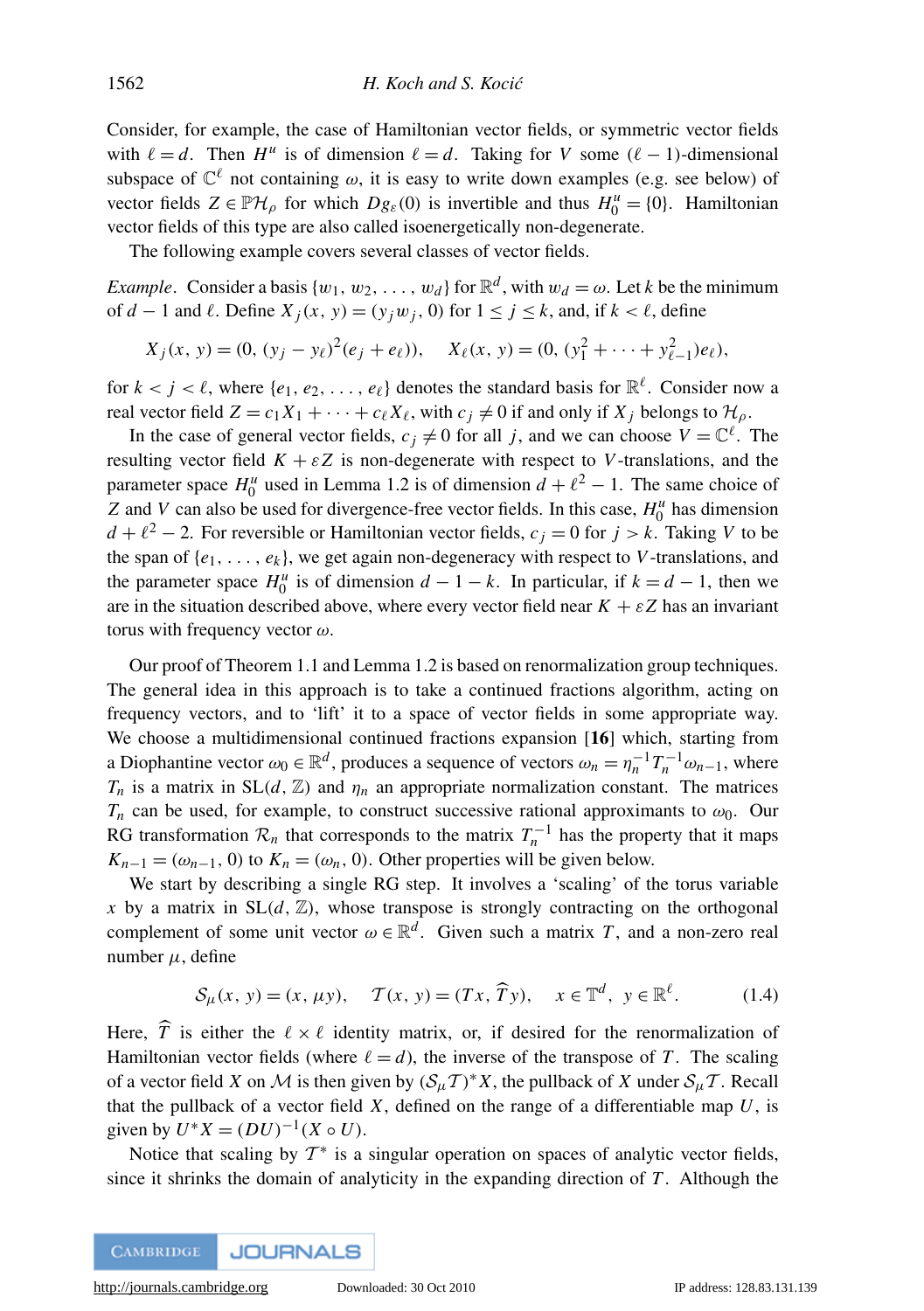Consider, for example, the case of Hamiltonian vector fields, or symmetric vector fields with  $\ell = d$ . Then  $H^u$  is of dimension  $\ell = d$ . Taking for *V* some  $(\ell - 1)$ -dimensional subspace of  $\mathbb{C}^{\ell}$  not containing  $\omega$ , it is easy to write down examples (e.g. see below) of vector fields  $Z \in \mathbb{P}\mathcal{H}_{\rho}$  for which  $Dg_{\varepsilon}(0)$  is invertible and thus  $H_0^u = \{0\}$ . Hamiltonian vector fields of this type are also called isoenergetically non-degenerate.

The following example covers several classes of vector fields.

<span id="page-3-0"></span>*Example*. Consider a basis  $\{w_1, w_2, \ldots, w_d\}$  for  $\mathbb{R}^d$ , with  $w_d = \omega$ . Let *k* be the minimum of *d* − 1 and  $\ell$ . Define  $X_i(x, y) = (y_i w_i, 0)$  for  $1 \le j \le k$ , and, if  $k < \ell$ , define

$$
X_j(x, y) = (0, (y_j - y_\ell)^2 (e_j + e_\ell)),
$$
  $X_\ell(x, y) = (0, (y_1^2 + \cdots + y_{\ell-1}^2) e_\ell),$ 

for  $k < j < \ell$ , where  $\{e_1, e_2, \ldots, e_\ell\}$  denotes the standard basis for  $\mathbb{R}^\ell$ . Consider now a real vector field  $Z = c_1 X_1 + \cdots + c_\ell X_\ell$ , with  $c_j \neq 0$  if and only if  $X_j$  belongs to  $\mathcal{H}_\rho$ .

In the case of general vector fields,  $c_j \neq 0$  for all *j*, and we can choose  $V = \mathbb{C}^{\ell}$ . The resulting vector field  $K + \varepsilon Z$  is non-degenerate with respect to V-translations, and the parameter space  $H_0^u$  used in Lemma [1.2](#page-2-0) is of dimension  $d + \ell^2 - 1$ . The same choice of *Z* and *V* can also be used for divergence-free vector fields. In this case,  $H_0^u$  has dimension  $d + \ell^2 - 2$ . For reversible or Hamiltonian vector fields,  $c_j = 0$  for  $j > k$ . Taking *V* to be the span of  $\{e_1, \ldots, e_k\}$ , we get again non-degeneracy with respect to *V*-translations, and the parameter space  $H_0^u$  is of dimension  $d - 1 - k$ . In particular, if  $k = d - 1$ , then we are in the situation described above, where every vector field near  $K + \varepsilon Z$  has an invariant torus with frequency vector  $\omega$ .

Our proof of Theorem [1.1](#page-1-0) and Lemma [1.2](#page-2-0) is based on renormalization group techniques. The general idea in this approach is to take a continued fractions algorithm, acting on frequency vectors, and to 'lift' it to a space of vector fields in some appropriate way. We choose a multidimensional continued fractions expansion [[16](#page-25-11)] which, starting from a Diophantine vector  $\omega_0 \in \mathbb{R}^d$ , produces a sequence of vectors  $\omega_n = \eta_n^{-1} T_n^{-1} \omega_{n-1}$ , where  $T_n$  is a matrix in SL(*d*,  $\mathbb{Z}$ ) and  $\eta_n$  an appropriate normalization constant. The matrices  $T_n$  can be used, for example, to construct successive rational approximants to  $\omega_0$ . Our RG transformation  $\mathcal{R}_n$  that corresponds to the matrix  $T_n^{-1}$  has the property that it maps  $K_{n-1} = (\omega_{n-1}, 0)$  to  $K_n = (\omega_n, 0)$ . Other properties will be given below.

We start by describing a single RG step. It involves a 'scaling' of the torus variable *x* by a matrix in  $SL(d, \mathbb{Z})$ , whose transpose is strongly contracting on the orthogonal complement of some unit vector  $\omega \in \mathbb{R}^d$ . Given such a matrix *T*, and a non-zero real number  $\mu$ , define

$$
\mathcal{S}_{\mu}(x, y) = (x, \mu y), \quad \mathcal{T}(x, y) = (Tx, \widehat{T}y), \quad x \in \mathbb{T}^d, \ y \in \mathbb{R}^\ell. \tag{1.4}
$$

Here,  $\hat{T}$  is either the  $\ell \times \ell$  identity matrix, or, if desired for the renormalization of Hamiltonian vector fields (where  $\ell = d$ ), the inverse of the transpose of *T*. The scaling of a vector field *X* on *M* is then given by  $(S_\mu T)^* X$ , the pullback of *X* under  $S_\mu T$ . Recall that the pullback of a vector field  $X$ , defined on the range of a differentiable map  $U$ , is given by  $U^*X = (DU)^{-1}(X \circ U)$ .

Notice that scaling by  $T^*$  is a singular operation on spaces of analytic vector fields, since it shrinks the domain of analyticity in the expanding direction of *T* . Although the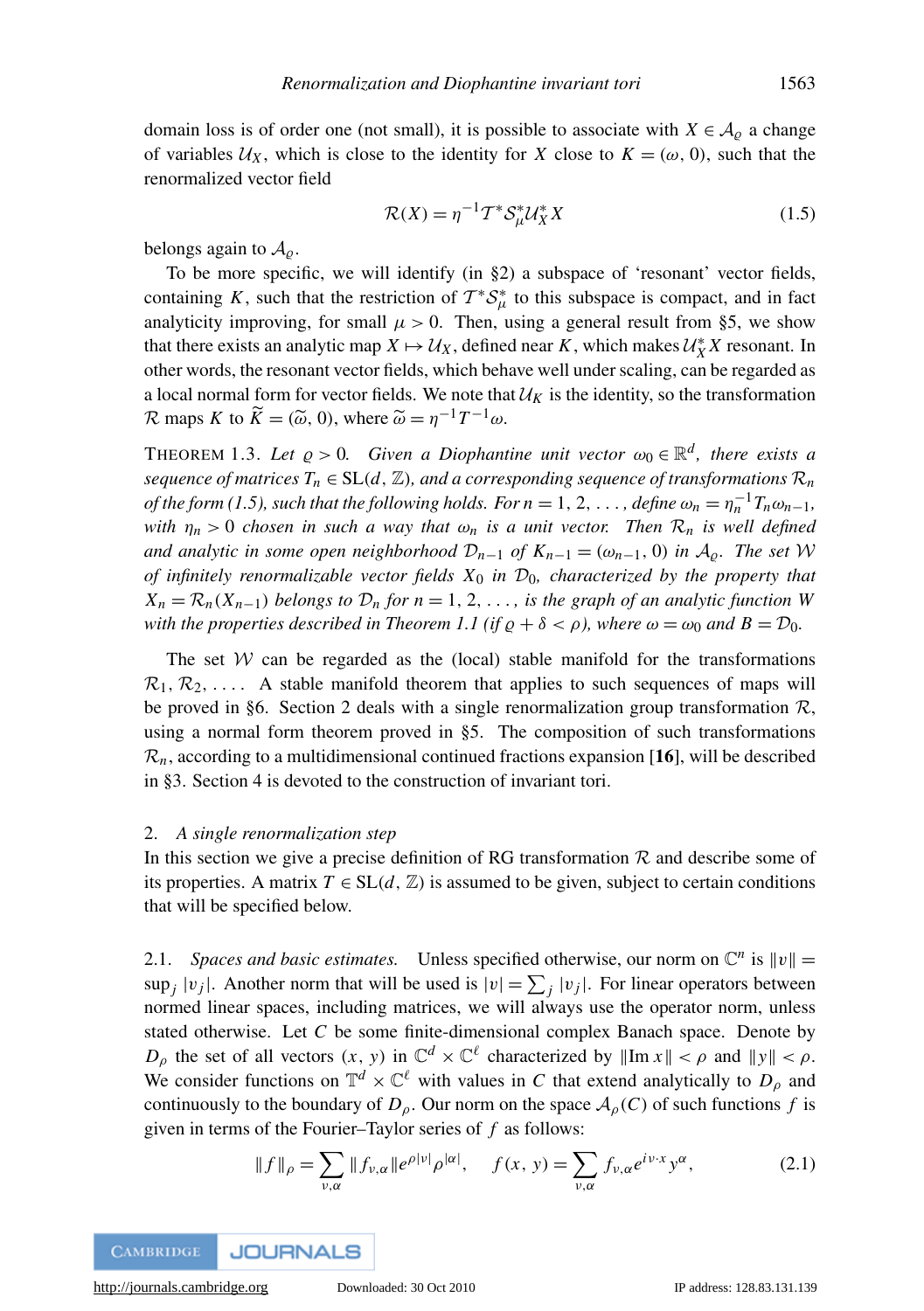domain loss is of order one (not small), it is possible to associate with  $X \in A_{\rho}$  a change of variables  $U_X$ , which is close to the identity for *X* close to  $K = (\omega, 0)$ , such that the renormalized vector field

$$
\mathcal{R}(X) = \eta^{-1} T^* \mathcal{S}_{\mu}^* \mathcal{U}_X^* X \tag{1.5}
$$

belongs again to  $A_{\rho}$ .

To be more specific, we will identify (in [§2\)](#page-4-0) a subspace of 'resonant' vector fields, containing K, such that the restriction of  $T^*S^*_{\mu}$  to this subspace is compact, and in fact analyticity improving, for small  $\mu > 0$ . Then, using a general result from [§5,](#page-16-0) we show that there exists an analytic map  $X \mapsto U_X$ , defined near K, which makes  $U_X^*X$  resonant. In other words, the resonant vector fields, which behave well under scaling, can be regarded as a local normal form for vector fields. We note that  $\mathcal{U}_K$  is the identity, so the transformation R maps K to  $\widetilde{K} = (\widetilde{\omega}, 0)$ , where  $\widetilde{\omega} = \eta^{-1} T^{-1} \omega$ .

<span id="page-4-2"></span>THEOREM 1.3. Let  $\varrho > 0$ . Given a Diophantine unit vector  $\omega_0 \in \mathbb{R}^d$ , there exists a *sequence of matrices*  $T_n \in SL(d, \mathbb{Z})$ , and a corresponding sequence of transformations  $\mathcal{R}_n$ *of the form [\(1.5\)](#page-3-0), such that the following holds. For*  $n = 1, 2, \ldots$ *, define*  $\omega_n = \eta_n^{-1} T_n \omega_{n-1}$ , *with*  $\eta_n > 0$  *chosen in such a way that*  $\omega_n$  *is a unit vector. Then*  $\mathcal{R}_n$  *is well defined and analytic in some open neighborhood*  $\mathcal{D}_{n-1}$  *of*  $K_{n-1} = (\omega_{n-1}, 0)$  *in*  $\mathcal{A}_{\rho}$ *. The set* W *of infinitely renormalizable vector fields X*<sup>0</sup> *in* D0*, characterized by the property that*  $X_n = \mathcal{R}_n(X_{n-1})$  *belongs to*  $\mathcal{D}_n$  *for*  $n = 1, 2, \ldots$ , *is the graph of an analytic function* W *with the properties described in Theorem [1.1](#page-1-0) (if*  $\varrho + \delta < \rho$ ), where  $\omega = \omega_0$  and  $B = \mathcal{D}_0$ .

The set  $W$  can be regarded as the (local) stable manifold for the transformations  $\mathcal{R}_1, \mathcal{R}_2, \ldots$ . A stable manifold theorem that applies to such sequences of maps will be proved in [§6.](#page-21-0) Section [2](#page-4-0) deals with a single renormalization group transformation  $\mathcal{R}$ , using a normal form theorem proved in [§5.](#page-16-0) The composition of such transformations  $\mathcal{R}_n$ , according to a multidimensional continued fractions expansion [[16](#page-25-11)], will be described in [§3.](#page-9-0) Section [4](#page-11-0) is devoted to the construction of invariant tori.

#### <span id="page-4-0"></span>2. *A single renormalization step*

In this section we give a precise definition of RG transformation  $R$  and describe some of its properties. A matrix  $T \in SL(d, \mathbb{Z})$  is assumed to be given, subject to certain conditions that will be specified below.

<span id="page-4-1"></span>2.1. *Spaces and basic estimates*. Unless specified otherwise, our norm on  $\mathbb{C}^n$  is  $||v|| =$ sup<sub>j</sub> |v<sub>j</sub>|. Another norm that will be used is  $|v| = \sum_j |v_j|$ . For linear operators between normed linear spaces, including matrices, we will always use the operator norm, unless stated otherwise. Let *C* be some finite-dimensional complex Banach space. Denote by *D*<sub>ρ</sub> the set of all vectors  $(x, y)$  in  $\mathbb{C}^d \times \mathbb{C}^{\ell}$  characterized by  $\|\text{Im } x\| < \rho$  and  $\|y\| < \rho$ . We consider functions on  $\mathbb{T}^d \times \mathbb{C}^{\ell}$  with values in *C* that extend analytically to  $D_{\rho}$  and continuously to the boundary of  $D_\rho$ . Our norm on the space  $\mathcal{A}_\rho(C)$  of such functions f is given in terms of the Fourier–Taylor series of *f* as follows:

$$
||f||_{\rho} = \sum_{\nu,\alpha} ||f_{\nu,\alpha}||e^{\rho|\nu|} \rho^{|\alpha|}, \quad f(x, y) = \sum_{\nu,\alpha} f_{\nu,\alpha} e^{i\nu \cdot x} y^{\alpha}, \tag{2.1}
$$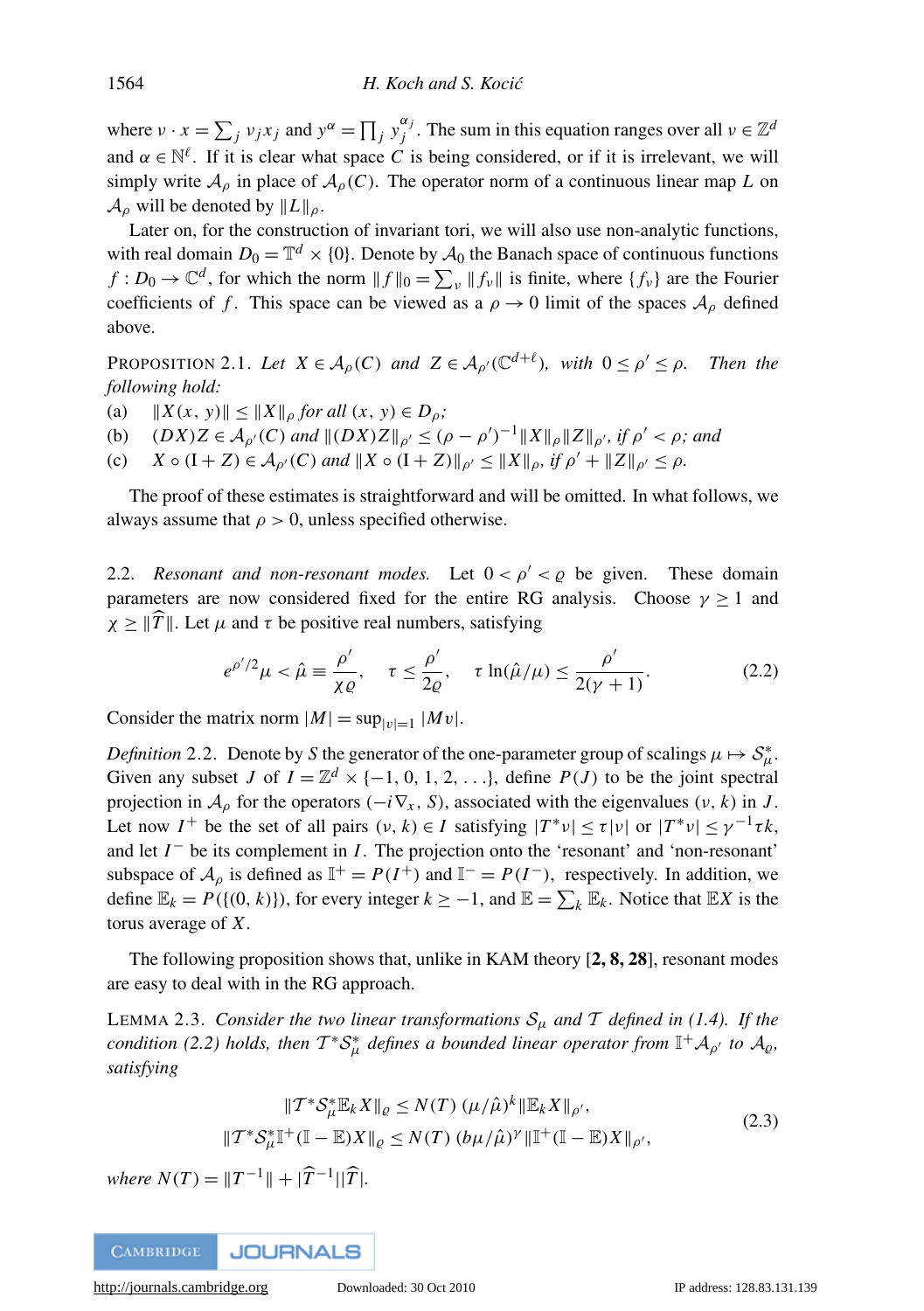where  $v \cdot x = \sum_j v_j x_j$  and  $y^\alpha = \prod_j y_j^{\alpha_j}$  $j^{\alpha_j}$ . The sum in this equation ranges over all  $v \in \mathbb{Z}^d$ and  $\alpha \in \mathbb{N}^{\ell}$ . If it is clear what space *C* is being considered, or if it is irrelevant, we will simply write  $\mathcal{A}_{\rho}$  in place of  $\mathcal{A}_{\rho}(C)$ . The operator norm of a continuous linear map L on  $\mathcal{A}_{\rho}$  will be denoted by  $||L||_{\rho}$ .

Later on, for the construction of invariant tori, we will also use non-analytic functions, with real domain  $D_0 = \mathbb{T}^d \times \{0\}$ . Denote by  $\mathcal{A}_0$  the Banach space of continuous functions  $f: D_0 \to \mathbb{C}^d$ , for which the norm  $|| f ||_0 = \sum_{\nu} || f_{\nu} ||$  is finite, where  $\{ f_{\nu} \}$  are the Fourier coefficients of *f*. This space can be viewed as a  $\rho \rightarrow 0$  limit of the spaces  $A_{\rho}$  defined above.

<span id="page-5-2"></span>PROPOSITION 2.1. Let  $X \in \mathcal{A}_{\rho}(C)$  and  $Z \in \mathcal{A}_{\rho'}(\mathbb{C}^{d+\ell})$ , with  $0 \leq \rho$ Then the *following hold:*

(a)  $\|X(x, y)\| \le \|X\|_{0}$  *for all*  $(x, y) \in D_{0}$ ;

(b)  $(DX)Z \in \mathcal{A}_{\rho'}(C)$  *and*  $||(DX)Z||_{\rho'} \leq (\rho - \rho')^{-1}||X||_{\rho}||Z||_{\rho'},$  *if*  $\rho' < \rho$ *; and* 

(c)  $X \circ (I + Z) \in \mathcal{A}_{\rho'}(C)$  and  $||X \circ (I + Z)||_{\rho'} \le ||X||_{\rho}, \text{ if } \rho' + ||Z||_{\rho'} \le \rho.$ 

The proof of these estimates is straightforward and will be omitted. In what follows, we always assume that  $\rho > 0$ , unless specified otherwise.

<span id="page-5-0"></span>2.2. *Resonant and non-resonant modes.* Let  $0 < \rho' < \rho$  be given. These domain parameters are now considered fixed for the entire RG analysis. Choose  $\gamma \ge 1$  and  $\chi \geq \|\widehat{T}\|$ . Let  $\mu$  and  $\tau$  be positive real numbers, satisfying

$$
e^{\rho'/2}\mu < \hat{\mu} \equiv \frac{\rho'}{\chi \varrho}, \quad \tau \le \frac{\rho'}{2\varrho}, \quad \tau \ln(\hat{\mu}/\mu) \le \frac{\rho'}{2(\gamma+1)}.\tag{2.2}
$$

Consider the matrix norm  $|M| = \sup_{|v|=1} |Mv|$ .

<span id="page-5-3"></span>*Definition* 2.2. Denote by *S* the generator of the one-parameter group of scalings  $\mu \mapsto S^*_{\mu}$ . Given any subset *J* of  $I = \mathbb{Z}^d \times \{-1, 0, 1, 2, \ldots\}$ , define  $P(J)$  to be the joint spectral projection in  $A_\rho$  for the operators (−*i* $\nabla_x$ , *S*), associated with the eigenvalues (*v*, *k*) in *J*. Let now  $I^+$  be the set of all pairs  $(v, k) \in I$  satisfying  $|T^*v| \le \tau |v|$  or  $|T^*v| \le \gamma^{-1} \tau k$ , and let  $I^-$  be its complement in  $I$ . The projection onto the 'resonant' and 'non-resonant' subspace of  $\mathcal{A}_{\rho}$  is defined as  $\mathbb{I}^+ = P(I^+)$  and  $\mathbb{I}^- = P(I^-)$ , respectively. In addition, we define  $\mathbb{E}_k = P(\{(0, k)\})$ , for every integer  $k \geq -1$ , and  $\mathbb{E} = \sum_k \mathbb{E}_k$ . Notice that  $\mathbb{E}X$  is the torus average of *X*.

The following proposition shows that, unlike in KAM theory [[2,](#page-25-0) [8,](#page-25-1) [28](#page-26-0)], resonant modes are easy to deal with in the RG approach.

<span id="page-5-1"></span>LEMMA 2.3. *Consider the two linear transformations*  $S_{\mu}$  *and*  $T$  *defined in* [\(1.4\)](#page-3-0)*.* If the *condition [\(2.2\)](#page-5-0) holds, then*  $T^*S^*_{\mu}$  *defines a bounded linear operator from*  $\mathbb{I}^+{\cal A}_{\rho'}$  to  ${\cal A}_{\varrho}$ *, satisfying*

$$
\|T^* \mathcal{S}_{\mu}^* \mathbb{E}_k X\|_{\varrho} \le N(T) \left(\mu/\hat{\mu}\right)^k \|\mathbb{E}_k X\|_{\rho'},
$$
  

$$
\|T^* \mathcal{S}_{\mu}^* \mathbb{I}^+(\mathbb{I} - \mathbb{E})X\|_{\varrho} \le N(T) \left(b\mu/\hat{\mu}\right)^{\gamma} \|\mathbb{I}^+(\mathbb{I} - \mathbb{E})X\|_{\rho'},
$$
 (2.3)

 $where N(T) = ||T^{-1}|| + |\widehat{T}^{-1}||\widehat{T}|.$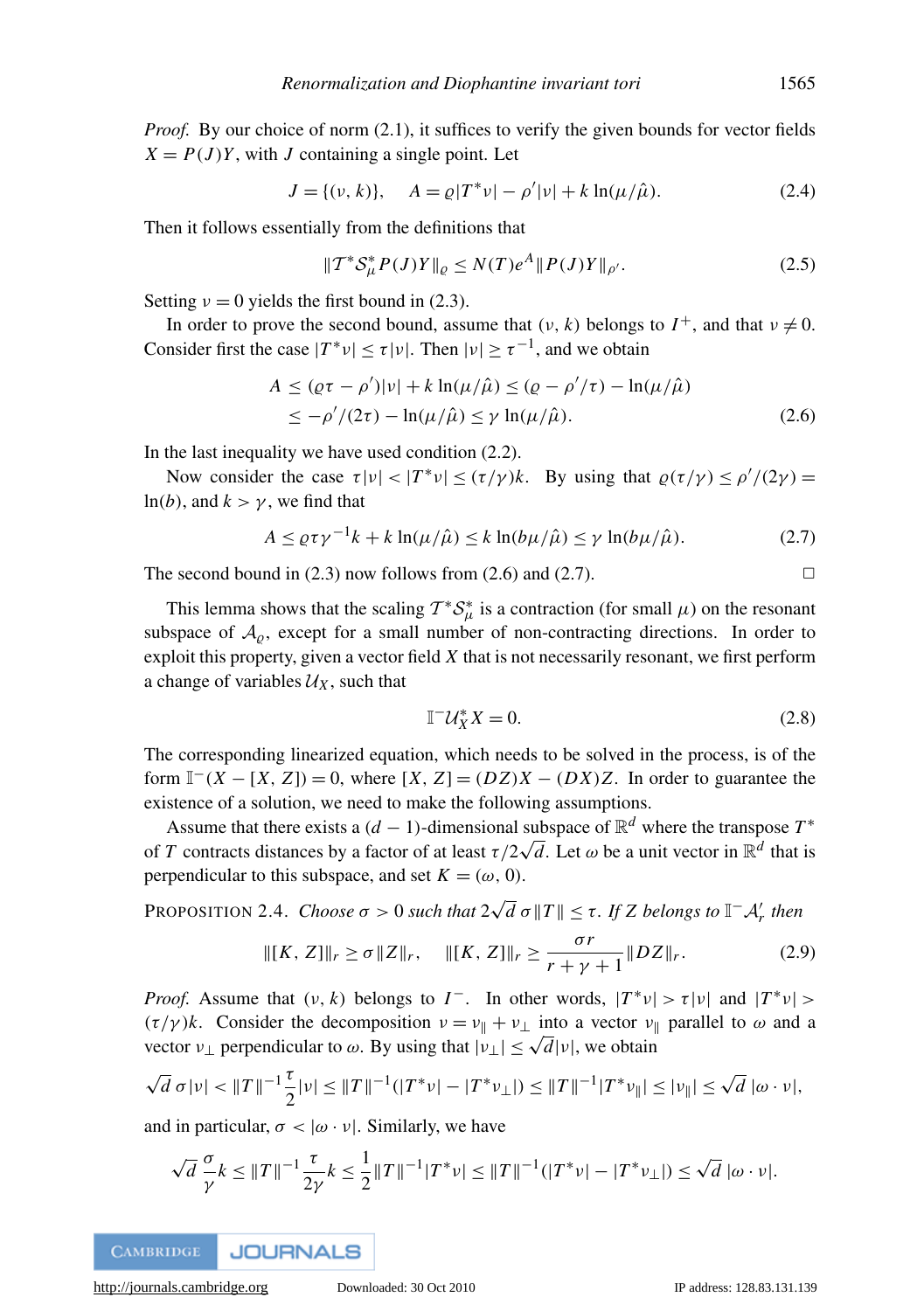*Proof.* By our choice of norm [\(2.1\)](#page-4-1), it suffices to verify the given bounds for vector fields  $X = P(J)Y$ , with *J* containing a single point. Let

$$
J = \{ (\nu, k) \}, \quad A = \varrho |T^* \nu| - \rho' |\nu| + k \ln(\mu/\hat{\mu}). \tag{2.4}
$$

Then it follows essentially from the definitions that

$$
\|T^*S_{\mu}^*P(J)Y\|_{\varrho} \le N(T)e^A \|P(J)Y\|_{\rho'}.
$$
 (2.5)

Setting  $v = 0$  yields the first bound in [\(2.3\)](#page-5-1).

In order to prove the second bound, assume that  $(v, k)$  belongs to  $I^+$ , and that  $v \neq 0$ . Consider first the case  $|T^*\nu| \leq \tau |\nu|$ . Then  $|\nu| \geq \tau^{-1}$ , and we obtain

$$
A \le (\varrho \tau - \rho')|\nu| + k \ln(\mu/\hat{\mu}) \le (\varrho - \rho'/\tau) - \ln(\mu/\hat{\mu})
$$
  
 
$$
\le -\rho'/(2\tau) - \ln(\mu/\hat{\mu}) \le \gamma \ln(\mu/\hat{\mu}).
$$
 (2.6)

In the last inequality we have used condition [\(2.2\)](#page-5-0).

Now consider the case  $\tau |v| < |T^*v| \le (\tau/\gamma)k$ . By using that  $\varrho(\tau/\gamma) \le \rho'/(2\gamma) =$ ln(*b*), and  $k > \gamma$ , we find that

$$
A \le \varrho \tau \gamma^{-1} k + k \ln(\mu/\hat{\mu}) \le k \ln(b\mu/\hat{\mu}) \le \gamma \ln(b\mu/\hat{\mu}).
$$
 (2.7)

The second bound in  $(2.3)$  now follows from  $(2.6)$  and  $(2.7)$ .

This lemma shows that the scaling  $T^*S^*_{\mu}$  is a contraction (for small  $\mu$ ) on the resonant subspace of  $A_{\rho}$ , except for a small number of non-contracting directions. In order to exploit this property, given a vector field *X* that is not necessarily resonant, we first perform a change of variables  $\mathcal{U}_X$ , such that

$$
\mathbb{T}^{-} \mathcal{U}_X^* X = 0. \tag{2.8}
$$

The corresponding linearized equation, which needs to be solved in the process, is of the form  $\mathbb{I}^{-}(X - [X, Z]) = 0$ , where  $[X, Z] = (DZ)X - (DX)Z$ . In order to guarantee the existence of a solution, we need to make the following assumptions.

Assume that there exists a  $(d-1)$ -dimensional subspace of  $\mathbb{R}^d$  where the transpose  $T^*$ of *T* contracts distances by a factor of at least  $\tau/2\sqrt{d}$ . Let  $\omega$  be a unit vector in  $\mathbb{R}^d$  that is perpendicular to this subspace, and set  $K = (\omega, 0)$ .

<span id="page-6-0"></span>PROPOSITION 2.4. *Choose*  $\sigma > 0$  *such that* 2  $\sqrt{d} \sigma \|T\| \leq \tau$ . *If Z belongs to*  $\mathbb{I}^{-} \mathcal{A}'_r$  then

$$
\|[K, Z]\|_{r} \ge \sigma \|Z\|_{r}, \quad \|[K, Z]\|_{r} \ge \frac{\sigma r}{r + \gamma + 1} \|DZ\|_{r}.
$$
 (2.9)

*Proof.* Assume that  $(v, k)$  belongs to  $I^-$ . In other words,  $|T^*v| > \tau |v|$  and  $|T^*v| >$  $(\tau/\gamma)k$ . Consider the decomposition  $v = v_{\parallel} + v_{\perp}$  into a vector  $v_{\parallel}$  parallel to  $\omega$  and a (*τ/γ)κ*. Consider the decomposition  $v = v_{\parallel} + v_{\perp}$  into a vector  $v_{\parallel}$ <br>vector  $v_{\perp}$  perpendicular to  $\omega$ . By using that  $|v_{\perp}| \le \sqrt{d}|v|$ , we obtain

$$
\sqrt{d}\,\sigma|\nu| < \|T\|^{-1}\frac{\tau}{2}|\nu| \le \|T\|^{-1}(|T^*\nu| - |T^*\nu_{\perp}|) \le \|T\|^{-1}|T^*\nu_{\parallel}| \le |\nu_{\parallel}| \le \sqrt{d}\,|\omega\cdot\nu|,
$$

and in particular,  $\sigma < |\omega \cdot v|$ . Similarly, we have

$$
\sqrt{d} \frac{\sigma}{\gamma} k \leq ||T||^{-1} \frac{\tau}{2\gamma} k \leq \frac{1}{2} ||T||^{-1} |T^* v| \leq ||T||^{-1} (|T^* v| - |T^* v_{\perp}|) \leq \sqrt{d} \, |\omega \cdot v|.
$$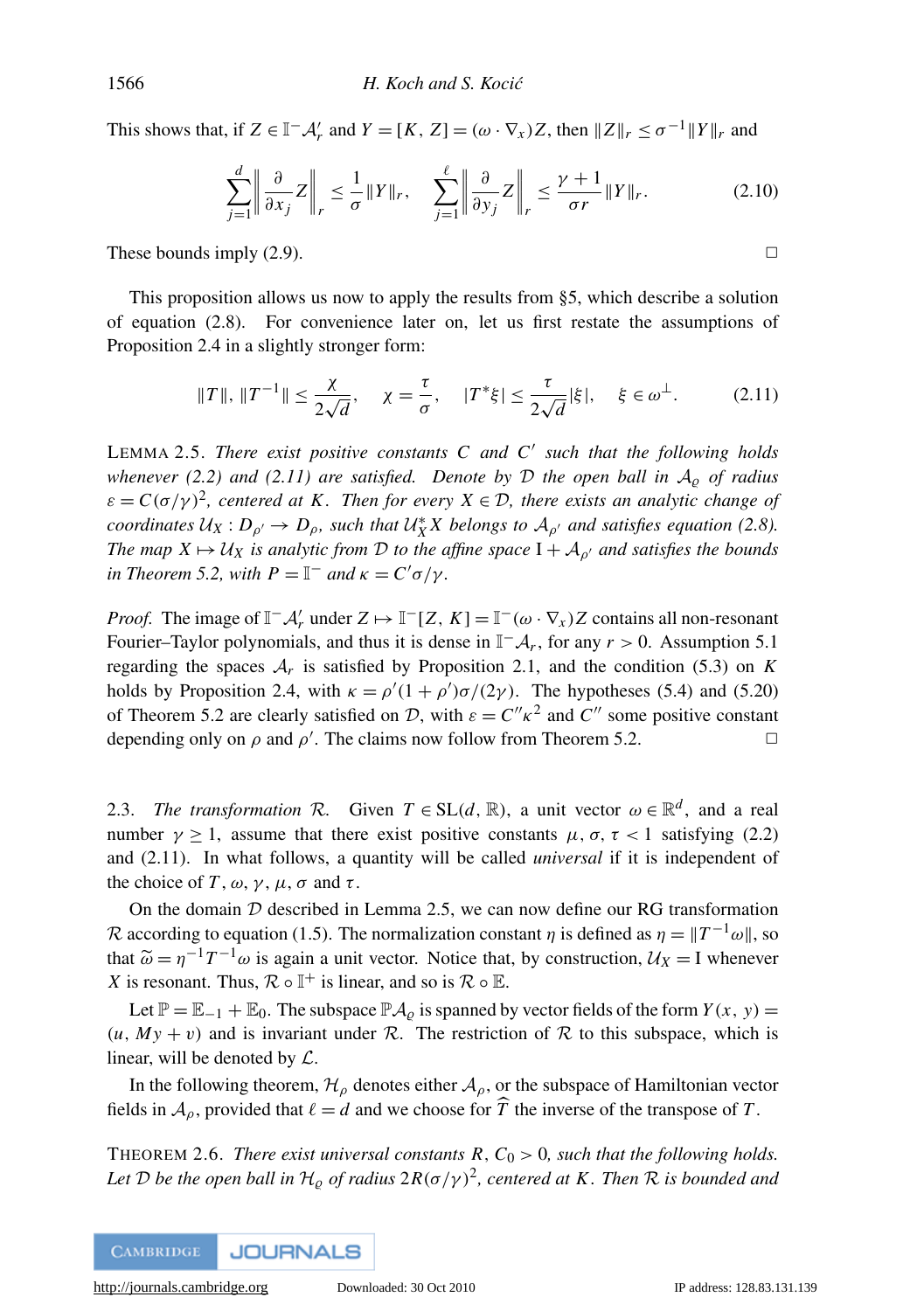This shows that, if  $Z \in \mathbb{I}^- \mathcal{A}'_r$  and  $Y = [K, Z] = (\omega \cdot \nabla_X)Z$ , then  $||Z||_r \le \sigma^{-1} ||Y||_r$  and

$$
\sum_{j=1}^{d} \left\| \frac{\partial}{\partial x_j} Z \right\|_r \le \frac{1}{\sigma} \|Y\|_r, \quad \sum_{j=1}^{\ell} \left\| \frac{\partial}{\partial y_j} Z \right\|_r \le \frac{\gamma + 1}{\sigma r} \|Y\|_r. \tag{2.10}
$$

These bounds imply  $(2.9)$ .

This proposition allows us now to apply the results from [§5,](#page-16-0) which describe a solution of equation [\(2.8\)](#page-5-1). For convenience later on, let us first restate the assumptions of Proposition [2.4](#page-6-0) in a slightly stronger form:

$$
||T||, ||T^{-1}|| \le \frac{\chi}{2\sqrt{d}}, \quad \chi = \frac{\tau}{\sigma}, \quad |T^*\xi| \le \frac{\tau}{2\sqrt{d}}|\xi|, \quad \xi \in \omega^{\perp}.
$$
 (2.11)

<span id="page-7-0"></span>LEMMA 2.5. *There exist positive constants C and C' such that the following holds whenever* [\(2.2\)](#page-5-0) and [\(2.11\)](#page-6-0) are satisfied. Denote by D the open ball in  $A_0$  of radius  $\varepsilon = C(\sigma/\gamma)^2$ , centered at K. Then for every  $X \in \mathcal{D}$ , there exists an analytic change of *coordinates*  $U_X: D_{\rho'} \to D_{\rho}$ , such that  $U_X^*X$  belongs to  $\mathcal{A}_{\rho'}$  and satisfies equation [\(2.8\)](#page-5-1). *The map*  $X \mapsto U_X$  *is analytic from*  $D$  *to the affine space*  $I + A_{\rho'}$  *and satisfies the bounds in Theorem [5.2,](#page-17-0) with*  $P = \mathbb{I}^-$  *and*  $\kappa = C' \sigma / \gamma$ *.* 

*Proof.* The image of  $\mathbb{I}^- \mathcal{A}'_r$  under  $Z \mapsto \mathbb{I}^-[Z, K] = \mathbb{I}^-(\omega \cdot \nabla_X)Z$  contains all non-resonant Fourier–Taylor polynomials, and thus it is dense in  $\mathbb{I}^-\mathcal{A}_r$ , for any  $r > 0$ . Assumption [5.1](#page-16-1) regarding the spaces A*<sup>r</sup>* is satisfied by Proposition [2.1,](#page-5-2) and the condition [\(5.3\)](#page-16-1) on *K* holds by Proposition [2.4,](#page-6-0) with  $\kappa = \rho'(1 + \rho')\sigma/(2\gamma)$ . The hypotheses [\(5.4\)](#page-17-0) and [\(5.20\)](#page-18-0) of Theorem [5.2](#page-17-0) are clearly satisfied on  $D$ , with  $\varepsilon = C''\kappa^2$  and  $C''$  some positive constant depending only on  $\rho$  and  $\rho'$ . The claims now follow from Theorem [5.2.](#page-17-0)

2.3. *The transformation*  $\mathcal{R}$ . Given  $T \in SL(d, \mathbb{R})$ , a unit vector  $\omega \in \mathbb{R}^d$ , and a real number  $\gamma \ge 1$ , assume that there exist positive constants  $\mu$ ,  $\sigma$ ,  $\tau$  < 1 satisfying [\(2.2\)](#page-5-0) and [\(2.11\)](#page-6-0). In what follows, a quantity will be called *universal* if it is independent of the choice of *T*,  $\omega$ ,  $\gamma$ ,  $\mu$ ,  $\sigma$  and  $\tau$ .

On the domain  $D$  described in Lemma [2.5,](#page-7-0) we can now define our RG transformation R according to equation [\(1.5\)](#page-3-0). The normalization constant  $\eta$  is defined as  $\eta = ||T^{-1}\omega||$ , so that  $\widetilde{\omega} = \eta^{-1}T^{-1}\omega$  is again a unit vector. Notice that, by construction,  $U_X = I$  whenever  $V$  is recovered. Thus,  $\mathcal{D} \circ \mathbb{F}^+$  is linear, and so is  $\mathcal{D} \circ \mathbb{F}$ . *X* is resonant. Thus,  $\mathcal{R} \circ \mathbb{I}^+$  is linear, and so is  $\mathcal{R} \circ \mathbb{E}$ .

Let  $\mathbb{P} = \mathbb{E}_{-1} + \mathbb{E}_0$ . The subspace  $\mathbb{P} A_\rho$  is spanned by vector fields of the form *Y*(*x*, *y*) =  $(u, My + v)$  and is invariant under R. The restriction of R to this subspace, which is linear, will be denoted by  $\mathcal{L}$ .

In the following theorem,  $\mathcal{H}_{\rho}$  denotes either  $\mathcal{A}_{\rho}$ , or the subspace of Hamiltonian vector fields in  $A_{\rho}$ , provided that  $\ell = d$  and we choose for  $\widehat{T}$  the inverse of the transpose of *T*.

<span id="page-7-1"></span>THEOREM 2.6. *There exist universal constants R,*  $C_0 > 0$ *, such that the following holds.* Let  ${\cal D}$  be the open ball in  ${\cal H}_{\varrho}$  of radius  $2R(\sigma/\gamma)^2$ , centered at  $K.$  Then  ${\cal R}$  is bounded and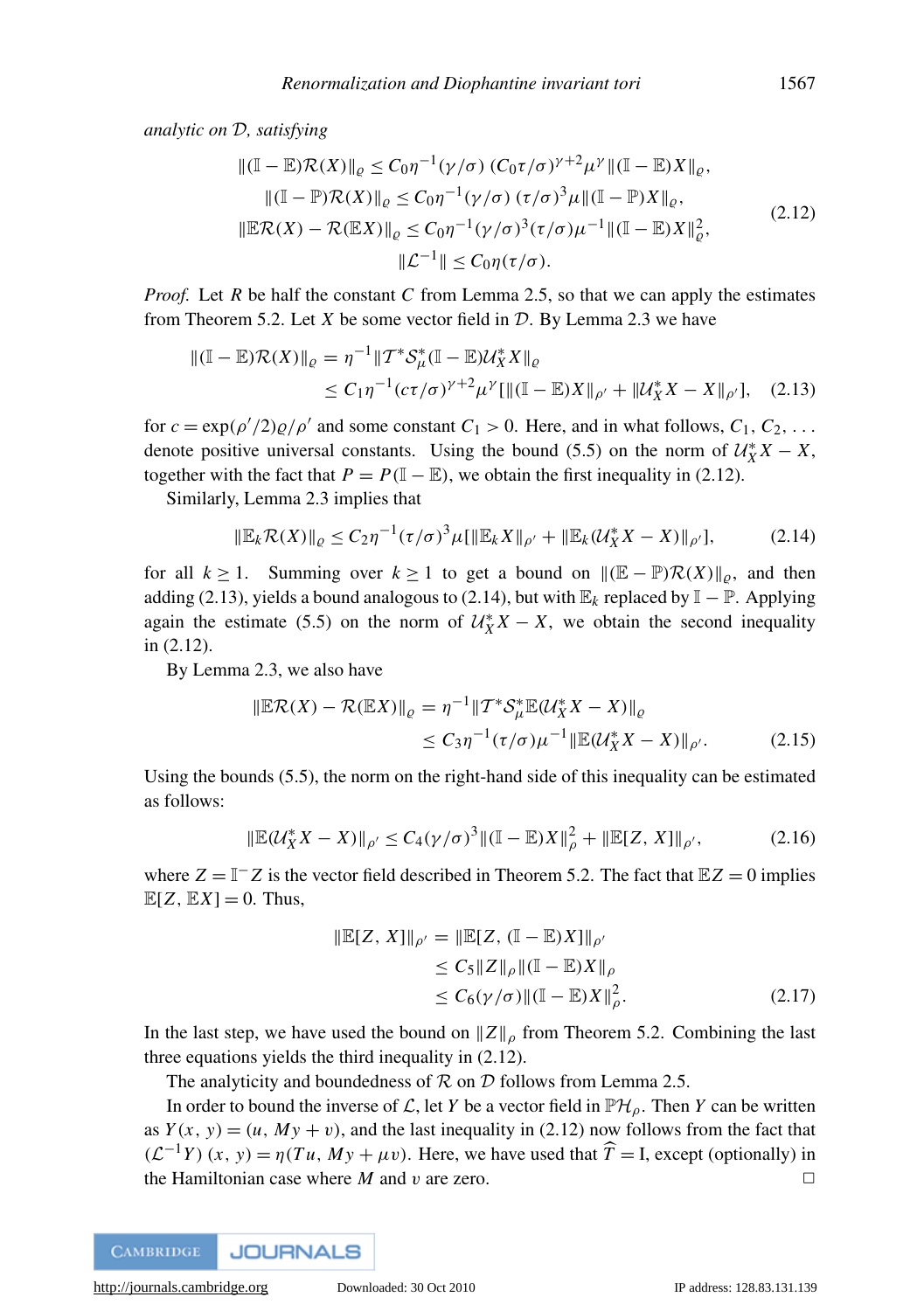*analytic on* D*, satisfying*

$$
\|(\mathbb{I} - \mathbb{E})\mathcal{R}(X)\|_{\varrho} \le C_0 \eta^{-1} (\gamma/\sigma) (C_0 \tau/\sigma)^{\gamma+2} \mu^{\gamma} \|(\mathbb{I} - \mathbb{E})X\|_{\varrho},
$$
  
\n
$$
\|(\mathbb{I} - \mathbb{P})\mathcal{R}(X)\|_{\varrho} \le C_0 \eta^{-1} (\gamma/\sigma) (\tau/\sigma)^3 \mu \|(\mathbb{I} - \mathbb{P})X\|_{\varrho},
$$
  
\n
$$
\|\mathbb{E}\mathcal{R}(X) - \mathcal{R}(\mathbb{E}X)\|_{\varrho} \le C_0 \eta^{-1} (\gamma/\sigma)^3 (\tau/\sigma) \mu^{-1} \|(\mathbb{I} - \mathbb{E})X\|_{\varrho}^2,
$$
  
\n
$$
\|\mathcal{L}^{-1}\| \le C_0 \eta(\tau/\sigma).
$$
  
\n(2.12)

*Proof.* Let *R* be half the constant *C* from Lemma [2.5,](#page-7-0) so that we can apply the estimates from Theorem [5.2.](#page-17-0) Let  $X$  be some vector field in  $D$ . By Lemma [2.3](#page-5-1) we have

$$
\begin{aligned} \|\left(\mathbb{I} - \mathbb{E}\right) \mathcal{R}(X)\|_{\varrho} &= \eta^{-1} \|T^* \mathcal{S}_{\mu}^* (\mathbb{I} - \mathbb{E}) \mathcal{U}_X^* X\|_{\varrho} \\ &\leq C_1 \eta^{-1} (c\tau/\sigma)^{\gamma+2} \mu^{\gamma} [\|\left(\mathbb{I} - \mathbb{E}\right) X\|_{\rho'} + \|\mathcal{U}_X^* X - X\|_{\rho'}], \end{aligned} \tag{2.13}
$$

for  $c = \exp(\frac{\rho'}{2})\frac{\rho}{\rho'}$  and some constant  $C_1 > 0$ . Here, and in what follows,  $C_1, C_2, \ldots$ denote positive universal constants. Using the bound [\(5.5\)](#page-17-0) on the norm of  $\mathcal{U}_X^* X - X$ , together with the fact that  $P = P(\mathbb{I} - \mathbb{E})$ , we obtain the first inequality in [\(2.12\)](#page-7-1).

Similarly, Lemma [2.3](#page-5-1) implies that

$$
\|\mathbb{E}_k \mathcal{R}(X)\|_{\varrho} \le C_2 \eta^{-1} (\tau/\sigma)^3 \mu[\|\mathbb{E}_k X\|_{\rho'} + \|\mathbb{E}_k (\mathcal{U}_X^* X - X)\|_{\rho'}],\tag{2.14}
$$

for all  $k \ge 1$ . Summing over  $k \ge 1$  to get a bound on  $\|(\mathbb{E} - \mathbb{P})\mathcal{R}(X)\|_{\varrho}$ , and then adding [\(2.13\)](#page-7-1), yields a bound analogous to [\(2.14\)](#page-7-1), but with  $\mathbb{E}_k$  replaced by  $\mathbb{I} - \mathbb{P}$ . Applying again the estimate [\(5.5\)](#page-17-0) on the norm of  $U_X^*X - X$ , we obtain the second inequality in [\(2.12\)](#page-7-1).

By Lemma [2.3,](#page-5-1) we also have

$$
\|\mathbb{E}\mathcal{R}(X) - \mathcal{R}(\mathbb{E}X)\|_{\varrho} = \eta^{-1} \|T^* \mathcal{S}_{\mu}^* \mathbb{E}(\mathcal{U}_X^* X - X)\|_{\varrho} \leq C_3 \eta^{-1} (\tau/\sigma) \mu^{-1} \|\mathbb{E}(\mathcal{U}_X^* X - X)\|_{\rho'}.
$$
 (2.15)

Using the bounds [\(5.5\)](#page-17-0), the norm on the right-hand side of this inequality can be estimated as follows:

$$
\|\mathbb{E}(\mathcal{U}_X^* X - X)\|_{\rho'} \le C_4 (\gamma/\sigma)^3 \|\|\mathbb{I} - \mathbb{E})X\|_{\rho}^2 + \|\mathbb{E}[Z, X]\|_{\rho'},\tag{2.16}
$$

where  $Z = \mathbb{I}^- Z$  is the vector field described in Theorem [5.2.](#page-17-0) The fact that  $\mathbb{E}Z = 0$  implies  $\mathbb{E}[Z, \mathbb{E}X] = 0$ . Thus,

$$
\begin{aligned} \|\mathbb{E}[Z, X]\|_{\rho'} &= \|\mathbb{E}[Z, (\mathbb{I} - \mathbb{E})X]\|_{\rho'} \\ &\le C_5 \|Z\|_{\rho} \|\mathbb{I} - \mathbb{E})X\|_{\rho} \\ &\le C_6(\gamma/\sigma) \|\mathbb{I} - \mathbb{E})X\|_{\rho}^2. \end{aligned} \tag{2.17}
$$

In the last step, we have used the bound on  $||Z||_{\rho}$  from Theorem [5.2.](#page-17-0) Combining the last three equations yields the third inequality in [\(2.12\)](#page-7-1).

The analyticity and boundedness of  $R$  on  $D$  follows from Lemma [2.5.](#page-7-0)

In order to bound the inverse of  $\mathcal{L}$ , let *Y* be a vector field in  $\mathbb{P}\mathcal{H}_{\rho}$ . Then *Y* can be written as  $Y(x, y) = (u, My + v)$ , and the last inequality in [\(2.12\)](#page-7-1) now follows from the fact that  $(L^{-1}Y)(x, y) = \eta(Tu, My + \mu v)$ . Here, we have used that  $\hat{T} = I$ , except (optionally) in the Hamiltonian case where *M* and *v* are zero.  $\Box$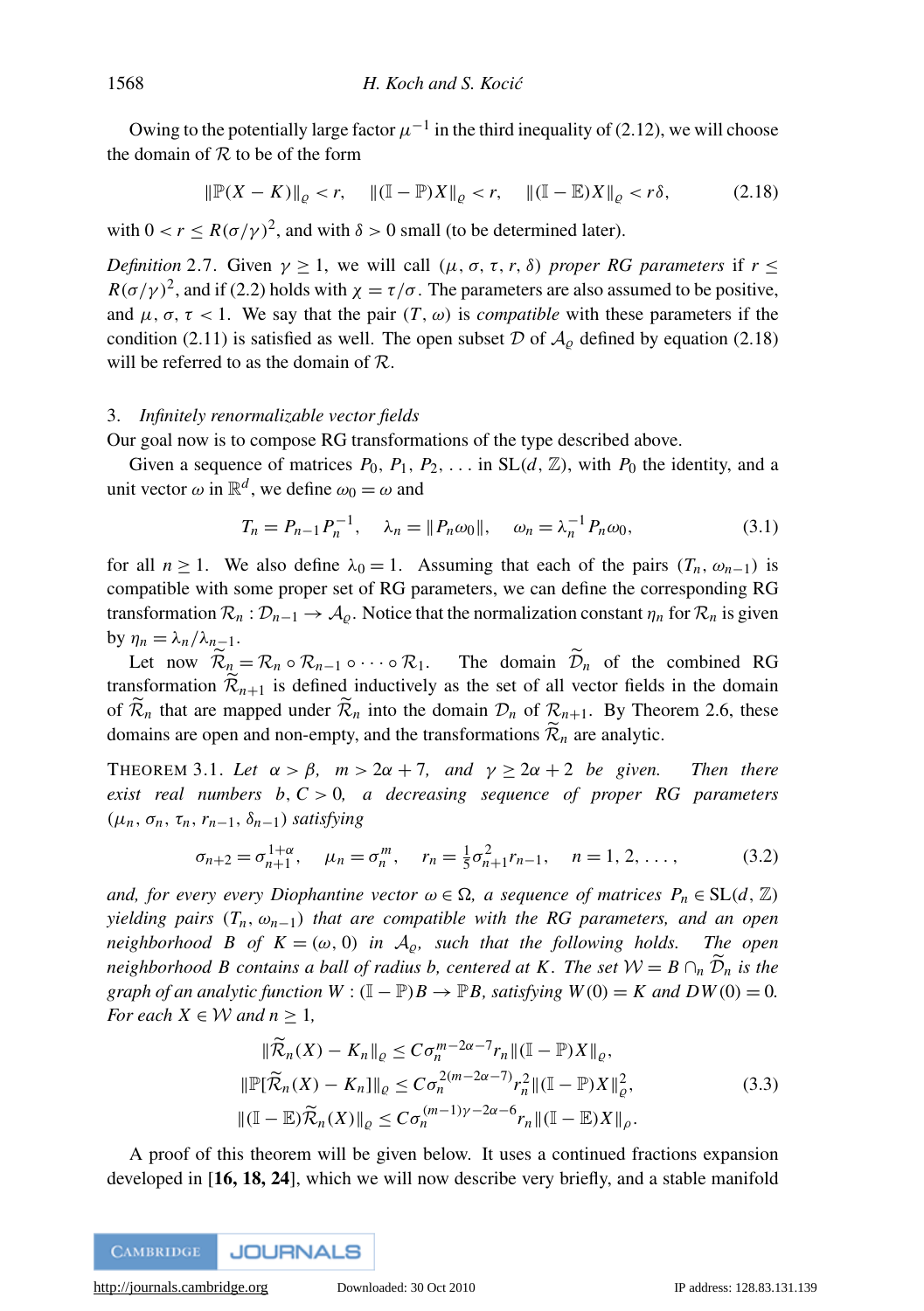Owing to the potentially large factor  $\mu^{-1}$  in the third inequality of [\(2.12\)](#page-7-1), we will choose the domain of  $R$  to be of the form

$$
\|\mathbb{P}(X - K)\|_{\varrho} < r, \quad \|\left(\mathbb{I} - \mathbb{P}\right)X\|_{\varrho} < r, \quad \|\left(\mathbb{I} - \mathbb{E}\right)X\|_{\varrho} < r\delta,\tag{2.18}
$$

with  $0 < r \leq R(\sigma/\gamma)^2$ , and with  $\delta > 0$  small (to be determined later).

<span id="page-9-2"></span>*Definition* 2.7. Given  $\gamma \geq 1$ , we will call  $(\mu, \sigma, \tau, r, \delta)$  *proper RG parameters* if  $r \leq$  $R(\sigma/\gamma)^2$ , and if [\(2.2\)](#page-5-0) holds with  $\chi = \tau/\sigma$ . The parameters are also assumed to be positive, and  $\mu$ ,  $\sigma$ ,  $\tau$  < 1. We say that the pair  $(T, \omega)$  is *compatible* with these parameters if the condition [\(2.11\)](#page-6-0) is satisfied as well. The open subset  $D$  of  $A<sub>o</sub>$  defined by equation [\(2.18\)](#page-7-1) will be referred to as the domain of R.

### <span id="page-9-0"></span>3. *Infinitely renormalizable vector fields*

Our goal now is to compose RG transformations of the type described above.

Given a sequence of matrices  $P_0$ ,  $P_1$ ,  $P_2$ , ... in SL(*d*,  $\mathbb{Z}$ ), with  $P_0$  the identity, and a unit vector  $\omega$  in  $\mathbb{R}^d$ , we define  $\omega_0 = \omega$  and

$$
T_n = P_{n-1} P_n^{-1}, \quad \lambda_n = ||P_n \omega_0||, \quad \omega_n = \lambda_n^{-1} P_n \omega_0,
$$
\n(3.1)

for all  $n \ge 1$ . We also define  $\lambda_0 = 1$ . Assuming that each of the pairs  $(T_n, \omega_{n-1})$  is compatible with some proper set of RG parameters, we can define the corresponding RG transformation  $\mathcal{R}_n : \mathcal{D}_{n-1} \to \mathcal{A}_{\rho}$ . Notice that the normalization constant  $\eta_n$  for  $\mathcal{R}_n$  is given by  $\eta_n = \lambda_n / \lambda_{n-1}$ .

Let now  $\widetilde{\mathcal{R}}_n = \mathcal{R}_n \circ \mathcal{R}_{n-1} \circ \cdots \circ \mathcal{R}_1$ . The domain  $\widetilde{\mathcal{D}}_n$  of the combined RG transformation  $\widetilde{\mathcal{R}}_{n+1}$  is defined inductively as the set of all vector fields in the domain of  $\widetilde{\mathcal{R}}_n$  that are mapped under  $\widetilde{\mathcal{R}}_n$  into the domain  $\mathcal{D}_n$  of  $\mathcal{R}_{n+1}$ . By Theorem [2.6,](#page-7-1) these domains are open and non-empty, and the transformations  $\mathcal{R}_n$  are analytic.

<span id="page-9-1"></span>THEOREM 3.1. Let  $\alpha > \beta$ ,  $m > 2\alpha + 7$ , and  $\gamma > 2\alpha + 2$  be given. Then there *exist real numbers b,*  $C > 0$ *, a decreasing sequence of proper RG parameters* (µ*n*, σ*n*, τ*n*, *rn*−1, δ*n*−1) *satisfying*

$$
\sigma_{n+2} = \sigma_{n+1}^{1+\alpha}, \quad \mu_n = \sigma_n^m, \quad r_n = \frac{1}{5}\sigma_{n+1}^2 r_{n-1}, \quad n = 1, 2, \dots,
$$
 (3.2)

*and, for every every Diophantine vector*  $\omega \in \Omega$ , *a sequence of matrices*  $P_n \in SL(d, \mathbb{Z})$ *yielding pairs* (*Tn*, ω*n*−1) *that are compatible with the RG parameters, and an open neighborhood B of K* =  $(\omega, 0)$  *in*  $A_{\rho}$ *, such that the following holds. The open neighborhood B contains a ball of radius b, centered at K. The set*  $W = B \cap_n \tilde{D}_n$  *is the graph of an analytic function*  $W : (\mathbb{I} - \mathbb{P})B \to \mathbb{P}B$ *, satisfying*  $W(0) = K$  *and*  $DW(0) = 0$ *. For each*  $X \in \mathcal{W}$  *and*  $n \geq 1$ *,* 

$$
\begin{aligned}\n\|\widetilde{\mathcal{R}}_n(X) - K_n\|_{\varrho} &\leq C\sigma_n^{m-2\alpha-7} r_n \|(\mathbb{I} - \mathbb{P})X\|_{\varrho}, \\
\|\mathbb{P}[\widetilde{\mathcal{R}}_n(X) - K_n]\|_{\varrho} &\leq C\sigma_n^{2(m-2\alpha-7)} r_n^2 \|(\mathbb{I} - \mathbb{P})X\|_{\varrho}^2, \\
\|(\mathbb{I} - \mathbb{E})\widetilde{\mathcal{R}}_n(X)\|_{\varrho} &\leq C\sigma_n^{(m-1)\gamma-2\alpha-6} r_n \|(\mathbb{I} - \mathbb{E})X\|_{\rho}.\n\end{aligned} \tag{3.3}
$$

A proof of this theorem will be given below. It uses a continued fractions expansion developed in [[16,](#page-25-11) [18,](#page-25-15) [24](#page-26-8)], which we will now describe very briefly, and a stable manifold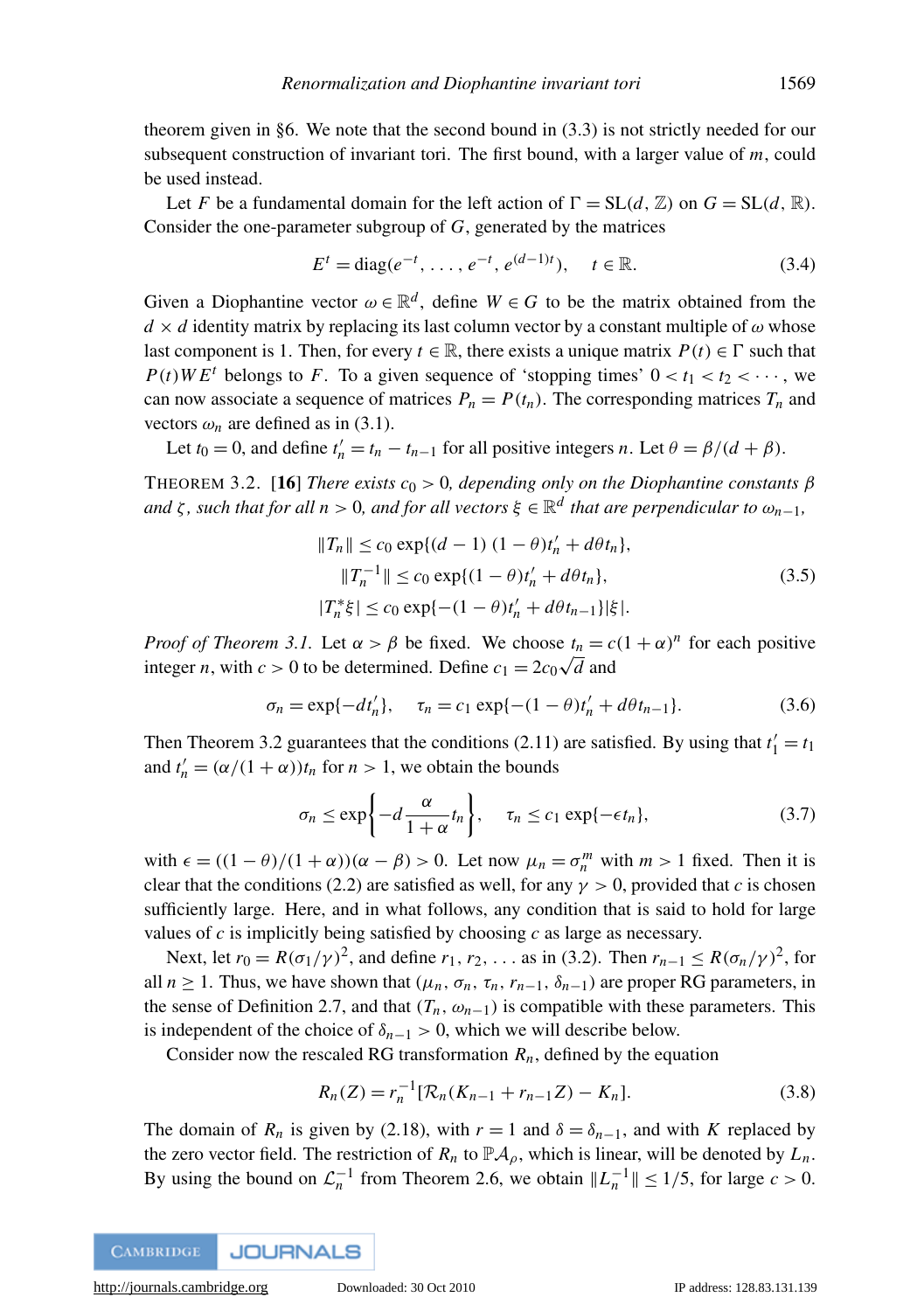theorem given in [§6.](#page-21-0) We note that the second bound in [\(3.3\)](#page-9-1) is not strictly needed for our subsequent construction of invariant tori. The first bound, with a larger value of *m*, could be used instead.

Let *F* be a fundamental domain for the left action of  $\Gamma = SL(d, \mathbb{Z})$  on  $G = SL(d, \mathbb{R})$ . Consider the one-parameter subgroup of *G*, generated by the matrices

$$
E^{t} = \text{diag}(e^{-t}, \dots, e^{-t}, e^{(d-1)t}), \quad t \in \mathbb{R}.
$$
 (3.4)

Given a Diophantine vector  $\omega \in \mathbb{R}^d$ , define  $W \in G$  to be the matrix obtained from the  $d \times d$  identity matrix by replacing its last column vector by a constant multiple of  $\omega$  whose last component is 1. Then, for every  $t \in \mathbb{R}$ , there exists a unique matrix  $P(t) \in \Gamma$  such that  $P(t)WE^{t}$  belongs to *F*. To a given sequence of 'stopping times'  $0 < t_1 < t_2 < \cdots$ , we can now associate a sequence of matrices  $P_n = P(t_n)$ . The corresponding matrices  $T_n$  and vectors  $\omega_n$  are defined as in [\(3.1\)](#page-9-0).

Let  $t_0 = 0$ , and define  $t'_n = t_n - t_{n-1}$  for all positive integers *n*. Let  $\theta = \beta/(d + \beta)$ .

<span id="page-10-0"></span>THEOREM 3.2. [[16](#page-25-11)] *There exists*  $c_0 > 0$ *, depending only on the Diophantine constants*  $\beta$ and  $\zeta$  *, such that for all n* > 0*, and for all vectors*  $\xi \in \mathbb{R}^d$  *that are perpendicular to*  $\omega_{n-1}$ *,* 

$$
||T_n|| \le c_0 \exp\{(d-1) (1-\theta)t'_n + d\theta t_n\},
$$
  
\n
$$
||T_n^{-1}|| \le c_0 \exp\{(1-\theta)t'_n + d\theta t_n\},
$$
  
\n
$$
||T_n^*\xi| \le c_0 \exp\{-(1-\theta)t'_n + d\theta t_{n-1}\}|\xi|.
$$
\n(3.5)

*Proof of Theorem [3.1.](#page-9-1)* Let  $\alpha > \beta$  be fixed. We choose  $t_n = c(1 + \alpha)^n$  for each positive integer *n*, with  $c > 0$  to be determined. Define  $c_1 = 2c_0\sqrt{d}$  and

$$
\sigma_n = \exp\{-dt'_n\}, \quad \tau_n = c_1 \exp\{-(1-\theta)t'_n + d\theta t_{n-1}\}.
$$
 (3.6)

Then Theorem [3.2](#page-10-0) guarantees that the conditions [\(2.11\)](#page-6-0) are satisfied. By using that  $t'_1 = t_1$ and  $t'_n = (\alpha/(1 + \alpha))t_n$  for  $n > 1$ , we obtain the bounds

$$
\sigma_n \le \exp\left\{-d\frac{\alpha}{1+\alpha}t_n\right\}, \quad \tau_n \le c_1 \exp\{-\epsilon t_n\},\tag{3.7}
$$

with  $\epsilon = ((1 - \theta)/(1 + \alpha))(\alpha - \beta) > 0$ . Let now  $\mu_n = \sigma_n^m$  with  $m > 1$  fixed. Then it is clear that the conditions [\(2.2\)](#page-5-0) are satisfied as well, for any  $\gamma > 0$ , provided that *c* is chosen sufficiently large. Here, and in what follows, any condition that is said to hold for large values of *c* is implicitly being satisfied by choosing *c* as large as necessary.

Next, let  $r_0 = R(\sigma_1/\gamma)^2$ , and define  $r_1, r_2, \ldots$  as in [\(3.2\)](#page-9-1). Then  $r_{n-1} \leq R(\sigma_n/\gamma)^2$ , for all *n*  $\geq$  1. Thus, we have shown that  $(\mu_n, \sigma_n, \tau_n, r_{n-1}, \delta_{n-1})$  are proper RG parameters, in the sense of Definition [2.7,](#page-9-2) and that  $(T_n, \omega_{n-1})$  is compatible with these parameters. This is independent of the choice of  $\delta_{n-1} > 0$ , which we will describe below.

Consider now the rescaled RG transformation  $R_n$ , defined by the equation

$$
R_n(Z) = r_n^{-1} [\mathcal{R}_n(K_{n-1} + r_{n-1}Z) - K_n].
$$
\n(3.8)

The domain of  $R_n$  is given by [\(2.18\)](#page-7-1), with  $r = 1$  and  $\delta = \delta_{n-1}$ , and with *K* replaced by the zero vector field. The restriction of  $R_n$  to  $\mathbb{P} \mathcal{A}_{\rho}$ , which is linear, will be denoted by  $L_n$ . By using the bound on  $\mathcal{L}_n^{-1}$  from Theorem [2.6,](#page-7-1) we obtain  $||L_n^{-1}|| \leq 1/5$ , for large  $c > 0$ .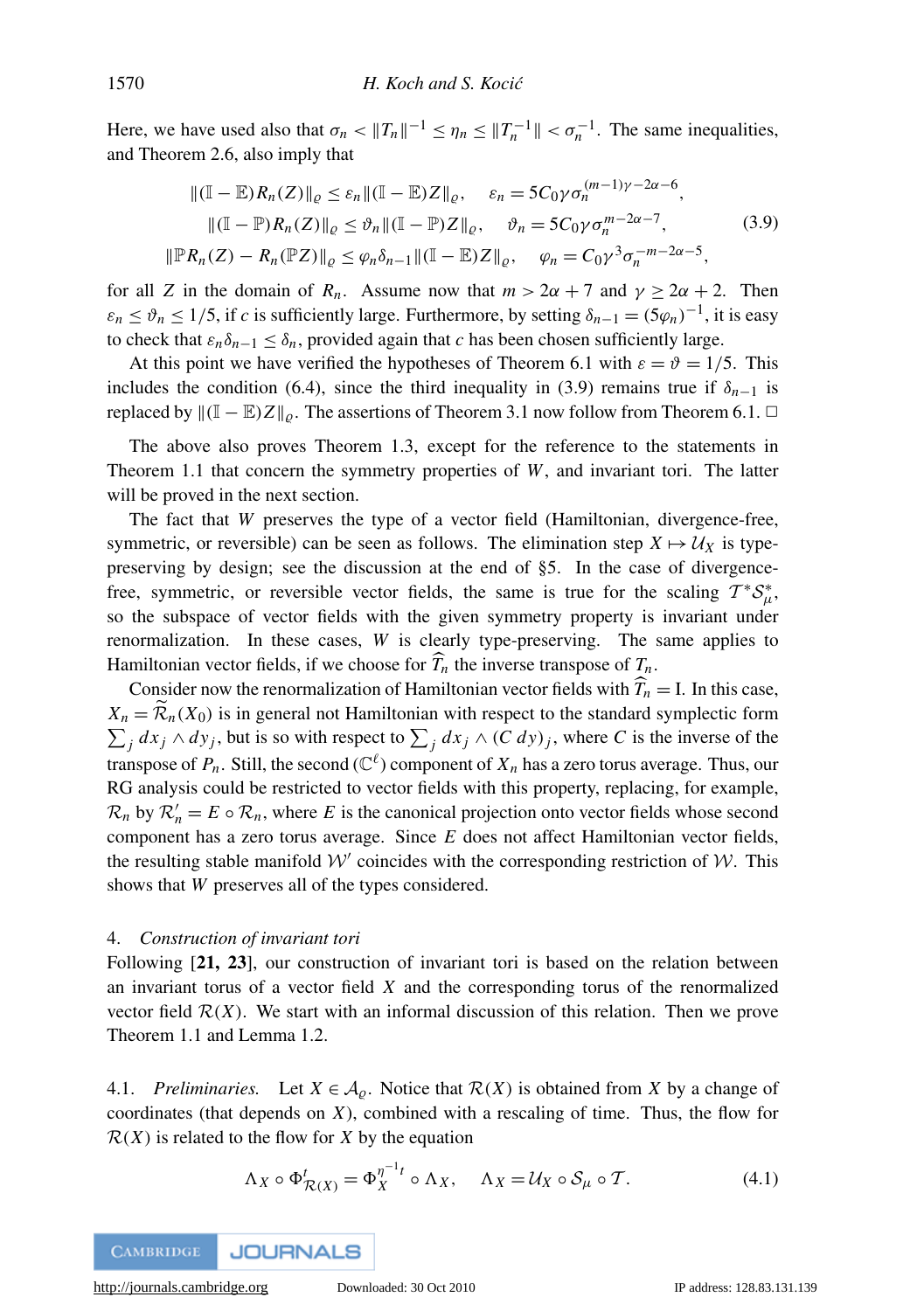Here, we have used also that  $\sigma_n < ||T_n||^{-1} \le \eta_n \le ||T_n^{-1}|| < \sigma_n^{-1}$ . The same inequalities, and Theorem [2.6,](#page-7-1) also imply that

$$
\|(\mathbb{I} - \mathbb{E})R_n(Z)\|_{\varrho} \le \varepsilon_n \|\mathbb{I} - \mathbb{E})Z\|_{\varrho}, \quad \varepsilon_n = 5C_0\gamma\sigma_n^{(m-1)\gamma - 2\alpha - 6},
$$
  

$$
\|(\mathbb{I} - \mathbb{P})R_n(Z)\|_{\varrho} \le \vartheta_n \|\mathbb{I} - \mathbb{P})Z\|_{\varrho}, \quad \vartheta_n = 5C_0\gamma\sigma_n^{m-2\alpha - 7},
$$
  

$$
\|\mathbb{P}R_n(Z) - R_n(\mathbb{P}Z)\|_{\varrho} \le \varphi_n\delta_{n-1} \|\mathbb{I} - \mathbb{E})Z\|_{\varrho}, \quad \varphi_n = C_0\gamma^3\sigma_n^{-m-2\alpha - 5},
$$
 (3.9)

for all *Z* in the domain of  $R_n$ . Assume now that  $m > 2\alpha + 7$  and  $\gamma \geq 2\alpha + 2$ . Then  $\varepsilon_n \leq \vartheta_n \leq 1/5$ , if *c* is sufficiently large. Furthermore, by setting  $\delta_{n-1} = (5\varphi_n)^{-1}$ , it is easy to check that  $\varepsilon_n \delta_{n-1} \leq \delta_n$ , provided again that *c* has been chosen sufficiently large.

At this point we have verified the hypotheses of Theorem [6.1](#page-21-1) with  $\varepsilon = \vartheta = 1/5$ . This includes the condition [\(6.4\)](#page-21-1), since the third inequality in [\(3.9\)](#page-10-0) remains true if  $\delta_{n-1}$  is replaced by  $\Vert (\mathbb{I} - \mathbb{E})Z \Vert_{\rho}$ . The assertions of Theorem [3.1](#page-9-1) now follow from Theorem [6.1.](#page-21-1) □

The above also proves Theorem [1.3,](#page-4-2) except for the reference to the statements in Theorem [1.1](#page-1-0) that concern the symmetry properties of *W*, and invariant tori. The latter will be proved in the next section.

The fact that *W* preserves the type of a vector field (Hamiltonian, divergence-free, symmetric, or reversible) can be seen as follows. The elimination step  $X \mapsto U_X$  is typepreserving by design; see the discussion at the end of [§5.](#page-16-0) In the case of divergencefree, symmetric, or reversible vector fields, the same is true for the scaling  $T^*S^*_{\mu}$ , so the subspace of vector fields with the given symmetry property is invariant under renormalization. In these cases, *W* is clearly type-preserving. The same applies to Hamiltonian vector fields, if we choose for  $\widehat{T}_n$  the inverse transpose of  $T_n$ .

Consider now the renormalization of Hamiltonian vector fields with  $\widehat{T}_n = I$ . In this case,  $X_n = \widetilde{\mathcal{R}}_n(X_0)$  is in general not Hamiltonian with respect to the standard symplectic form  $\sum_j dx_j \wedge dy_j$ , but is so with respect to  $\sum_j dx_j \wedge (C \, dy)_j$ , where *C* is the inverse of the transpose of  $P_n$ . Still, the second ( $\mathbb{C}^{\ell}$ ) component of  $X_n$  has a zero torus average. Thus, our RG analysis could be restricted to vector fields with this property, replacing, for example,  $\mathcal{R}_n$  by  $\mathcal{R}'_n = E \circ \mathcal{R}_n$ , where *E* is the canonical projection onto vector fields whose second component has a zero torus average. Since *E* does not affect Hamiltonian vector fields, the resulting stable manifold  $\mathcal{W}'$  coincides with the corresponding restriction of  $\mathcal{W}$ . This shows that *W* preserves all of the types considered.

#### <span id="page-11-0"></span>4. *Construction of invariant tori*

Following  $[21, 23]$  $[21, 23]$  $[21, 23]$  $[21, 23]$  $[21, 23]$ , our construction of invariant tori is based on the relation between an invariant torus of a vector field *X* and the corresponding torus of the renormalized vector field  $\mathcal{R}(X)$ . We start with an informal discussion of this relation. Then we prove Theorem [1.1](#page-1-0) and Lemma [1.2.](#page-2-0)

<span id="page-11-1"></span>4.1. *Preliminaries.* Let  $X \in A_{\rho}$ . Notice that  $\mathcal{R}(X)$  is obtained from X by a change of coordinates (that depends on *X*), combined with a rescaling of time. Thus, the flow for  $\mathcal{R}(X)$  is related to the flow for *X* by the equation

$$
\Lambda_X \circ \Phi_{\mathcal{R}(X)}^t = \Phi_X^{\eta^{-1}t} \circ \Lambda_X, \quad \Lambda_X = \mathcal{U}_X \circ \mathcal{S}_\mu \circ \mathcal{T}.
$$
 (4.1)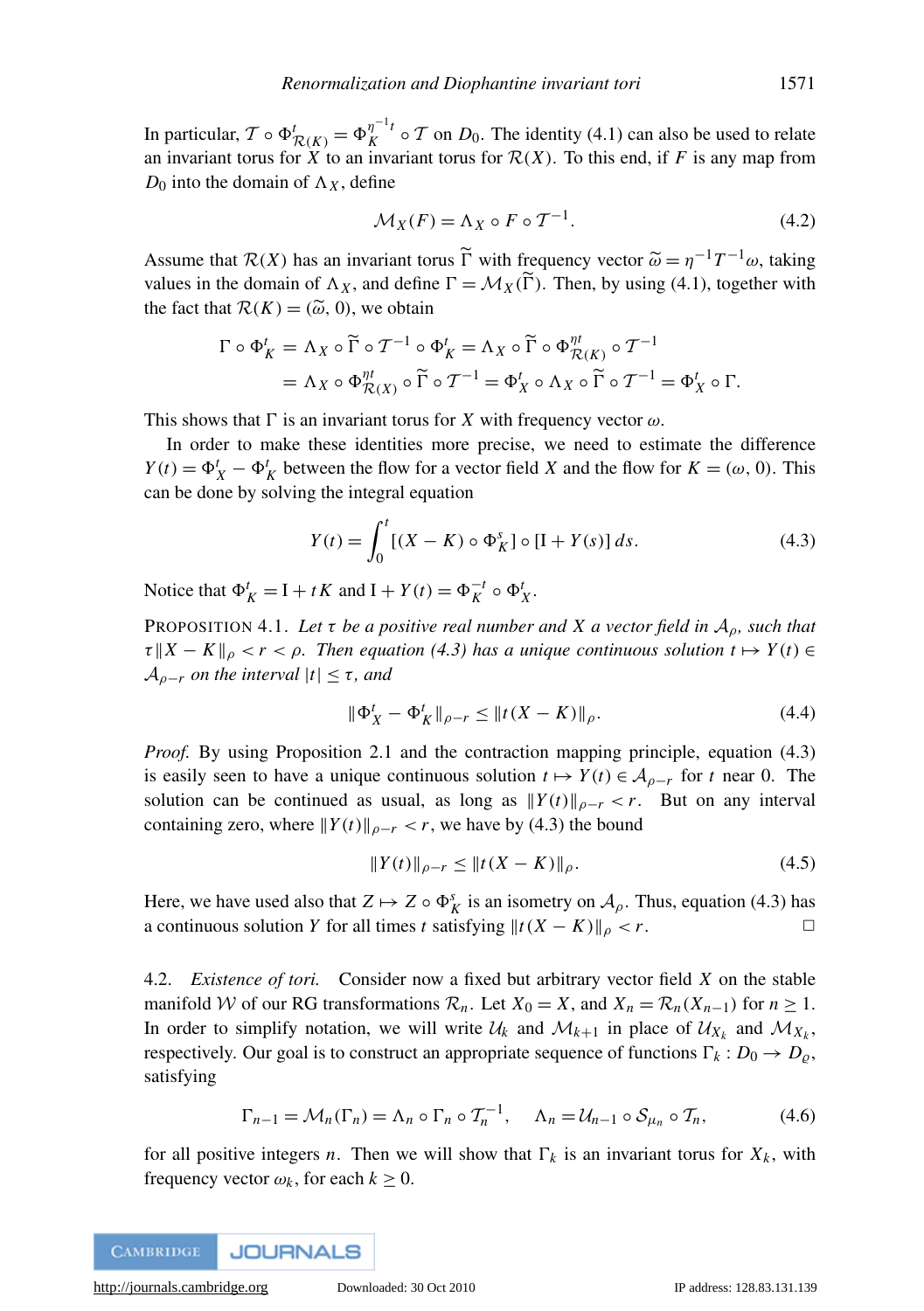In particular,  $\mathcal{T} \circ \Phi_{\mathcal{R}(K)}^t = \Phi_K^{\eta^{-1}t}$  $K \n\in \mathcal{T}$  on  $D_0$ . The identity [\(4.1\)](#page-11-1) can also be used to relate an invariant torus for  $\overline{X}$  to an invariant torus for  $\mathcal{R}(X)$ . To this end, if  $F$  is any map from  $D_0$  into the domain of  $\Lambda_X$ , define

$$
\mathcal{M}_X(F) = \Lambda_X \circ F \circ \mathcal{T}^{-1}.
$$
 (4.2)

Assume that  $\mathcal{R}(X)$  has an invariant torus  $\widetilde{\Gamma}$  with frequency vector  $\widetilde{\omega} = \eta^{-1}T^{-1}\omega$ , taking values in the domain of  $\Lambda_N$ , and define  $\Gamma = \mathcal{M}_N(\widetilde{\Gamma})$ . Then, by using (4.1), together with values in the domain of  $\Lambda_X$ , and define  $\Gamma = \mathcal{M}_X(\widetilde{\Gamma})$ . Then, by using [\(4.1\)](#page-11-1), together with the fact that  $\mathcal{R}(K) = (\tilde{\omega}, 0)$ , we obtain

$$
\Gamma \circ \Phi_K^t = \Lambda_X \circ \widetilde{\Gamma} \circ \mathcal{T}^{-1} \circ \Phi_K^t = \Lambda_X \circ \widetilde{\Gamma} \circ \Phi_{\mathcal{R}(K)}^{nt} \circ \mathcal{T}^{-1}
$$
  
=  $\Lambda_X \circ \Phi_{\mathcal{R}(X)}^{nt} \circ \widetilde{\Gamma} \circ \mathcal{T}^{-1} = \Phi_X^t \circ \Lambda_X \circ \widetilde{\Gamma} \circ \mathcal{T}^{-1} = \Phi_X^t \circ \Gamma.$ 

This shows that  $\Gamma$  is an invariant torus for *X* with frequency vector  $\omega$ .

In order to make these identities more precise, we need to estimate the difference *Y*(*t*) =  $\Phi_X^t$  –  $\Phi_K^t$  between the flow for a vector field *X* and the flow for  $K = (\omega, 0)$ . This can be done by solving the integral equation

$$
Y(t) = \int_0^t [(X - K) \circ \Phi_K^s] \circ [I + Y(s)] ds.
$$
 (4.3)

Notice that  $\Phi_K^t = I + tK$  and  $I + Y(t) = \Phi_K^{-t} \circ \Phi_X^t$ .

<span id="page-12-0"></span>PROPOSITION 4.1. Let  $\tau$  *be a positive real number and X a vector field in*  $A_0$ *, such that*  $\tau$ <sup>*X*</sup> − *K* $\parallel$ <sub>*o*</sub> < *r* < *ρ*. Then equation [\(4.3\)](#page-11-1) has a unique continuous solution  $t \mapsto Y(t) \in$  $A_{\rho-r}$  *on the interval*  $|t| \leq \tau$ *, and* 

$$
\|\Phi^t_X - \Phi^t_K\|_{\rho - r} \le \|t(X - K)\|_{\rho}.\tag{4.4}
$$

*Proof.* By using Proposition [2.1](#page-5-2) and the contraction mapping principle, equation [\(4.3\)](#page-11-1) is easily seen to have a unique continuous solution  $t \mapsto Y(t) \in A_{\rho-r}$  for *t* near 0. The solution can be continued as usual, as long as  $||Y(t)||_{\rho-r} < r$ . But on any interval containing zero, where  $||Y(t)||_{\rho-r} < r$ , we have by [\(4.3\)](#page-11-1) the bound

$$
||Y(t)||_{\rho-r} \le ||t(X - K)||_{\rho}.
$$
\n(4.5)

Here, we have used also that  $Z \mapsto Z \circ \Phi_K^s$  is an isometry on  $\mathcal{A}_{\rho}$ . Thus, equation [\(4.3\)](#page-11-1) has a continuous solution *Y* for all times *t* satisfying  $||t(X - K)||_{\rho} < r$ .

<span id="page-12-1"></span>4.2. *Existence of tori.* Consider now a fixed but arbitrary vector field *X* on the stable manifold W of our RG transformations  $\mathcal{R}_n$ . Let  $X_0 = X$ , and  $X_n = \mathcal{R}_n(X_{n-1})$  for  $n \ge 1$ . In order to simplify notation, we will write  $U_k$  and  $M_{k+1}$  in place of  $U_{X_k}$  and  $M_{X_k}$ , respectively. Our goal is to construct an appropriate sequence of functions  $\Gamma_k : D_0 \to D_0$ , satisfying

$$
\Gamma_{n-1} = \mathcal{M}_n(\Gamma_n) = \Lambda_n \circ \Gamma_n \circ \mathcal{T}_n^{-1}, \quad \Lambda_n = \mathcal{U}_{n-1} \circ \mathcal{S}_{\mu_n} \circ \mathcal{T}_n, \tag{4.6}
$$

for all positive integers *n*. Then we will show that  $\Gamma_k$  is an invariant torus for  $X_k$ , with frequency vector  $\omega_k$ , for each  $k \geq 0$ .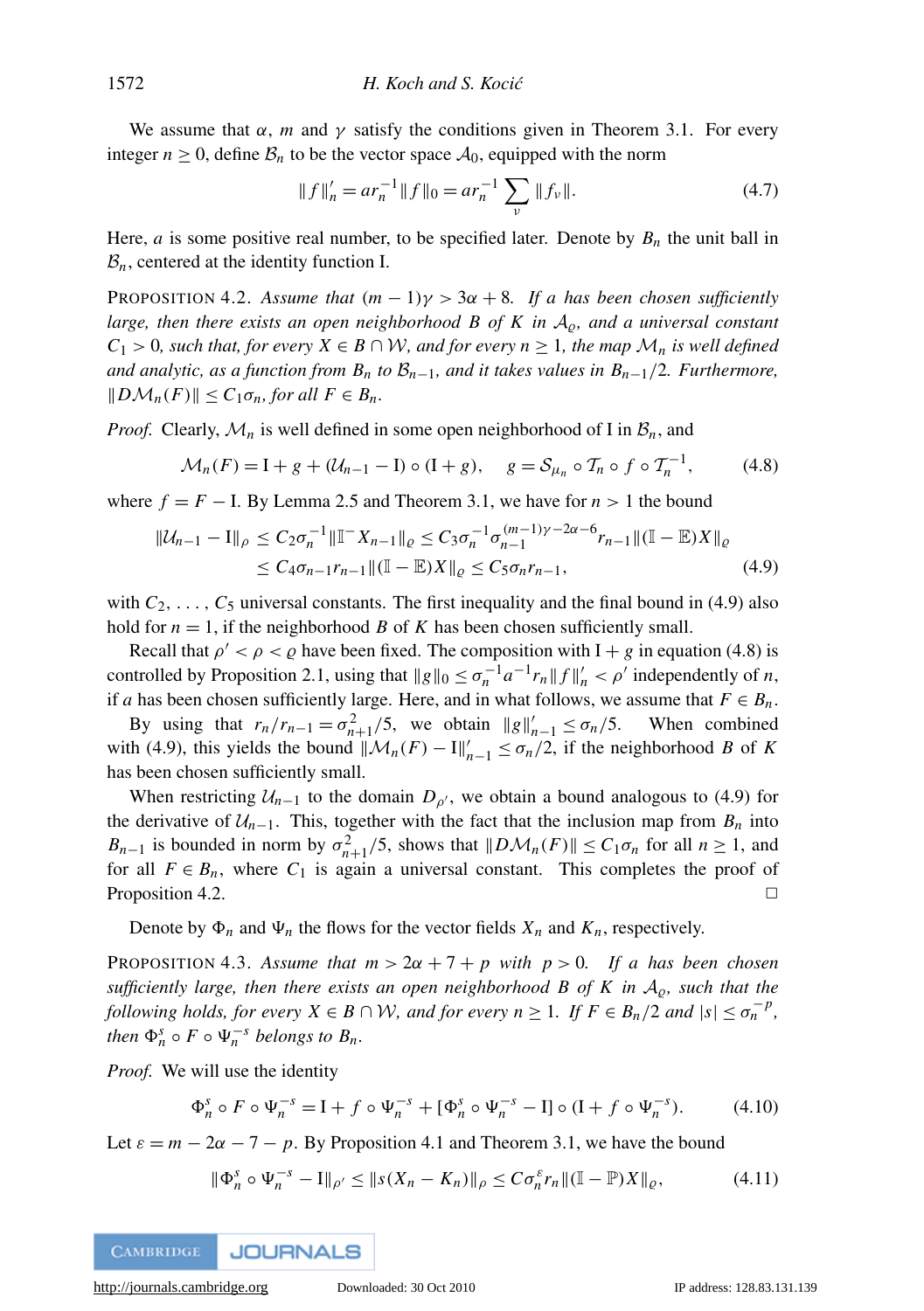We assume that  $\alpha$ , *m* and  $\gamma$  satisfy the conditions given in Theorem [3.1.](#page-9-1) For every integer  $n \geq 0$ , define  $\mathcal{B}_n$  to be the vector space  $\mathcal{A}_0$ , equipped with the norm

$$
||f||'_{n} = ar_{n}^{-1} ||f||_{0} = ar_{n}^{-1} \sum_{v} ||f_{v}||.
$$
 (4.7)

Here, *a* is some positive real number, to be specified later. Denote by  $B_n$  the unit ball in  $\mathcal{B}_n$ , centered at the identity function I.

<span id="page-13-0"></span>PROPOSITION 4.2. Assume that  $(m - 1)\gamma > 3\alpha + 8$ . If a has been chosen sufficiently *large, then there exists an open neighborhood B of K in*  $A<sub>o</sub>$ *, and a universal constant C*<sub>1</sub> > 0*, such that, for every*  $X \in B \cap W$ *, and for every*  $n \ge 1$ *, the map*  $\mathcal{M}_n$  *is well defined and analytic, as a function from*  $B_n$  *to*  $B_{n-1}$ *, and it takes values in*  $B_{n-1}/2$ *. Furthermore,*  $||DM_n(F)|| \leq C_1 \sigma_n$ , for all  $F \in B_n$ .

*Proof.* Clearly,  $\mathcal{M}_n$  is well defined in some open neighborhood of I in  $\mathcal{B}_n$ , and

$$
\mathcal{M}_n(F) = \mathbf{I} + g + (\mathcal{U}_{n-1} - \mathbf{I}) \circ (\mathbf{I} + g), \quad g = \mathcal{S}_{\mu_n} \circ \mathcal{T}_n \circ f \circ \mathcal{T}_n^{-1}, \tag{4.8}
$$

where  $f = F - I$ . By Lemma [2.5](#page-7-0) and Theorem [3.1,](#page-9-1) we have for  $n > 1$  the bound

$$
\|U_{n-1} - I\|_{\rho} \le C_2 \sigma_n^{-1} \|\mathbb{I}^{-} X_{n-1}\|_{\varrho} \le C_3 \sigma_n^{-1} \sigma_{n-1}^{(m-1)\gamma - 2\alpha - 6} r_{n-1} \| (\mathbb{I} - \mathbb{E}) X \|_{\varrho} \le C_4 \sigma_{n-1} r_{n-1} \| (\mathbb{I} - \mathbb{E}) X \|_{\varrho} \le C_5 \sigma_n r_{n-1},
$$
\n(4.9)

with  $C_2, \ldots, C_5$  universal constants. The first inequality and the final bound in [\(4.9\)](#page-13-0) also hold for  $n = 1$ , if the neighborhood *B* of *K* has been chosen sufficiently small.

Recall that  $\rho' < \rho < \rho$  have been fixed. The composition with I + *g* in equation [\(4.8\)](#page-13-0) is controlled by Proposition [2.1,](#page-5-2) using that  $||g||_0 \leq \sigma_n^{-1} a^{-1} r_n ||f||'_n < \rho'$  independently of *n*, if *a* has been chosen sufficiently large. Here, and in what follows, we assume that  $F \in B_n$ .

By using that  $r_n/r_{n-1} = \sigma_{n+1}^2/5$ , we obtain  $||g||_p^2$ **When** combined with [\(4.9\)](#page-13-0), this yields the bound  $\|\mathcal{M}_n(F) - I\|'_{n-1} \leq \sigma_n/2$ , if the neighborhood *B* of *K* has been chosen sufficiently small.

When restricting  $U_{n-1}$  to the domain  $D_{\rho}$ , we obtain a bound analogous to [\(4.9\)](#page-13-0) for the derivative of  $U_{n-1}$ . This, together with the fact that the inclusion map from  $B_n$  into *B*<sub>*n*−1</sub> is bounded in norm by  $\sigma_{n+1}^2/5$ , shows that  $||D\mathcal{M}_n(F)|| \le C_1 \sigma_n$  for all  $n \ge 1$ , and for all  $F \in B_n$ , where  $C_1$  is again a universal constant. This completes the proof of Proposition [4.2.](#page-13-0)  $\Box$ 

Denote by  $\Phi_n$  and  $\Psi_n$  the flows for the vector fields  $X_n$  and  $K_n$ , respectively.

<span id="page-13-1"></span>**PROPOSITION 4.3.** Assume that  $m > 2\alpha + 7 + p$  with  $p > 0$ . If a has been chosen *sufficiently large, then there exists an open neighborhood B of K in*  $A_0$ *, such that the following holds, for every*  $X \in B \cap W$ *, and for every*  $n \ge 1$ *. If*  $F \in B_n/2$  *and*  $|s| \le \sigma_n^{-p}$ *, then*  $\Phi_n^s \circ F \circ \Psi_n^{-s}$  *belongs to*  $B_n$ *.* 

*Proof.* We will use the identity

$$
\Phi_n^s \circ F \circ \Psi_n^{-s} = I + f \circ \Psi_n^{-s} + [\Phi_n^s \circ \Psi_n^{-s} - I] \circ (I + f \circ \Psi_n^{-s}). \tag{4.10}
$$

Let  $\varepsilon = m - 2\alpha - 7 - p$ . By Proposition [4.1](#page-12-0) and Theorem [3.1,](#page-9-1) we have the bound

$$
\|\Phi_n^s \circ \Psi_n^{-s} - I\|_{\rho'} \le \|s(X_n - K_n)\|_{\rho} \le C\sigma_n^{\varepsilon} r_n \|(\mathbb{I} - \mathbb{P})X\|_{\varrho},\tag{4.11}
$$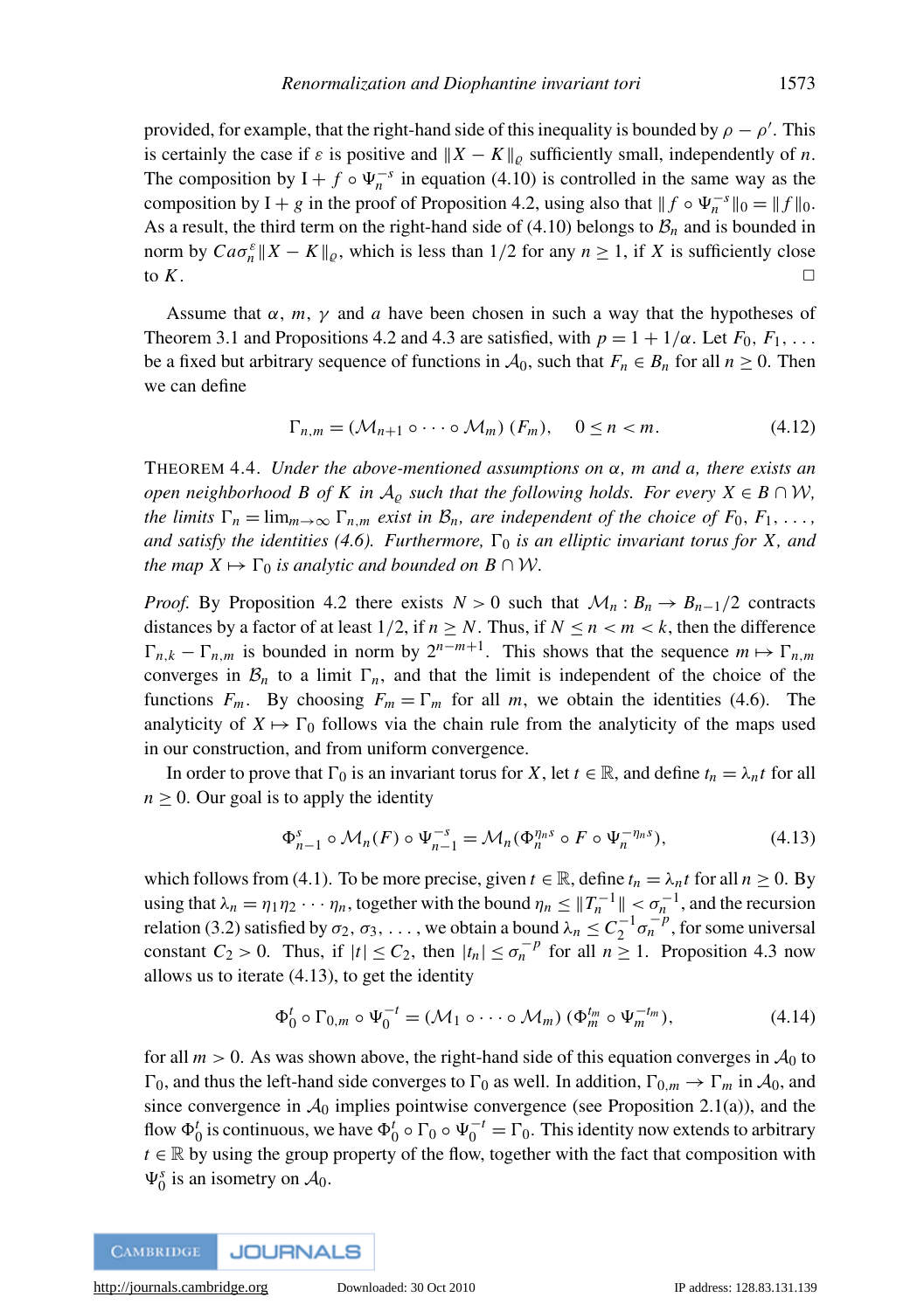provided, for example, that the right-hand side of this inequality is bounded by  $\rho - \rho'$ . This is certainly the case if  $\varepsilon$  is positive and  $\|X - K\|_{\rho}$  sufficiently small, independently of *n*. The composition by  $I + f \circ \Psi_n^{-s}$  in equation [\(4.10\)](#page-13-1) is controlled in the same way as the composition by I + *g* in the proof of Proposition [4.2,](#page-13-0) using also that  $|| f \circ \Psi_n^{-s} ||_0 = || f ||_0$ . As a result, the third term on the right-hand side of  $(4.10)$  belongs to  $\mathcal{B}_n$  and is bounded in norm by  $Ca\sigma_n^{\varepsilon} ||X - K||_{\varrho}$ , which is less than 1/2 for any  $n \ge 1$ , if *X* is sufficiently close to  $K$ .

Assume that  $\alpha$ ,  $m$ ,  $\gamma$  and  $a$  have been chosen in such a way that the hypotheses of Theorem [3.1](#page-9-1) and Propositions [4.2](#page-13-0) and [4.3](#page-13-1) are satisfied, with  $p = 1 + 1/\alpha$ . Let  $F_0, F_1, \ldots$ be a fixed but arbitrary sequence of functions in  $A_0$ , such that  $F_n \in B_n$  for all  $n \ge 0$ . Then we can define

$$
\Gamma_{n,m} = (\mathcal{M}_{n+1} \circ \cdots \circ \mathcal{M}_m) (F_m), \quad 0 \le n < m. \tag{4.12}
$$

<span id="page-14-0"></span>THEOREM 4.4. *Under the above-mentioned assumptions on* α*, m and a, there exists an open neighborhood B of K in*  $A_{\rho}$  *such that the following holds. For every*  $X \in B \cap W$ , *the limits*  $\Gamma_n = \lim_{m \to \infty} \Gamma_{n,m}$  *exist in*  $\mathcal{B}_n$ *, are independent of the choice of*  $F_0, F_1, \ldots$ *and satisfy the identities [\(4.6\)](#page-12-1). Furthermore,*  $\Gamma_0$  *is an elliptic invariant torus for X, and the map*  $X \mapsto \Gamma_0$  *is analytic and bounded on B*  $\cap$  *W*.

*Proof.* By Proposition [4.2](#page-13-0) there exists  $N > 0$  such that  $\mathcal{M}_n : B_n \to B_{n-1}/2$  contracts distances by a factor of at least  $1/2$ , if  $n \ge N$ . Thus, if  $N \le n \le k$ , then the difference  $\Gamma_{n,k} - \Gamma_{n,m}$  is bounded in norm by  $2^{n-m+1}$ . This shows that the sequence  $m \mapsto \Gamma_{n,m}$ converges in  $\mathcal{B}_n$  to a limit  $\Gamma_n$ , and that the limit is independent of the choice of the functions  $F_m$ . By choosing  $F_m = \Gamma_m$  for all *m*, we obtain the identities [\(4.6\)](#page-12-1). The analyticity of  $X \mapsto \Gamma_0$  follows via the chain rule from the analyticity of the maps used in our construction, and from uniform convergence.

In order to prove that  $\Gamma_0$  is an invariant torus for *X*, let  $t \in \mathbb{R}$ , and define  $t_n = \lambda_n t$  for all  $n > 0$ . Our goal is to apply the identity

$$
\Phi_{n-1}^s \circ \mathcal{M}_n(F) \circ \Psi_{n-1}^{-s} = \mathcal{M}_n(\Phi_n^{\eta_n s} \circ F \circ \Psi_n^{-\eta_n s}), \tag{4.13}
$$

which follows from [\(4.1\)](#page-11-1). To be more precise, given  $t \in \mathbb{R}$ , define  $t_n = \lambda_n t$  for all  $n \ge 0$ . By using that  $\lambda_n = \eta_1 \eta_2 \cdots \eta_n$ , together with the bound  $\eta_n \leq ||T_n^{-1}|| < \sigma_n^{-1}$ , and the recursion relation [\(3.2\)](#page-9-1) satisfied by  $\sigma_2, \sigma_3, \ldots$ , we obtain a bound  $\lambda_n \leq C_2^{-1} \sigma_n^{-p}$ , for some universal constant  $C_2 > 0$ . Thus, if  $|t| \le C_2$ , then  $|t_n| \le \sigma_n^{-p}$  for all  $n \ge 1$ . Proposition [4.3](#page-13-1) now allows us to iterate [\(4.13\)](#page-14-0), to get the identity

$$
\Phi_0^t \circ \Gamma_{0,m} \circ \Psi_0^{-t} = (\mathcal{M}_1 \circ \cdots \circ \mathcal{M}_m) \left( \Phi_m^{t_m} \circ \Psi_m^{-t_m} \right), \tag{4.14}
$$

for all  $m > 0$ . As was shown above, the right-hand side of this equation converges in  $A_0$  to  $\Gamma_0$ , and thus the left-hand side converges to  $\Gamma_0$  as well. In addition,  $\Gamma_{0,m} \to \Gamma_m$  in  $\mathcal{A}_0$ , and since convergence in  $A_0$  implies pointwise convergence (see Proposition [2.1\(](#page-5-2)a)), and the flow  $\Phi_0^t$  is continuous, we have  $\Phi_0^t \circ \Gamma_0 \circ \Psi_0^{-t} = \Gamma_0$ . This identity now extends to arbitrary  $t \in \mathbb{R}$  by using the group property of the flow, together with the fact that composition with  $\Psi_0^s$  is an isometry on  $A_0$ .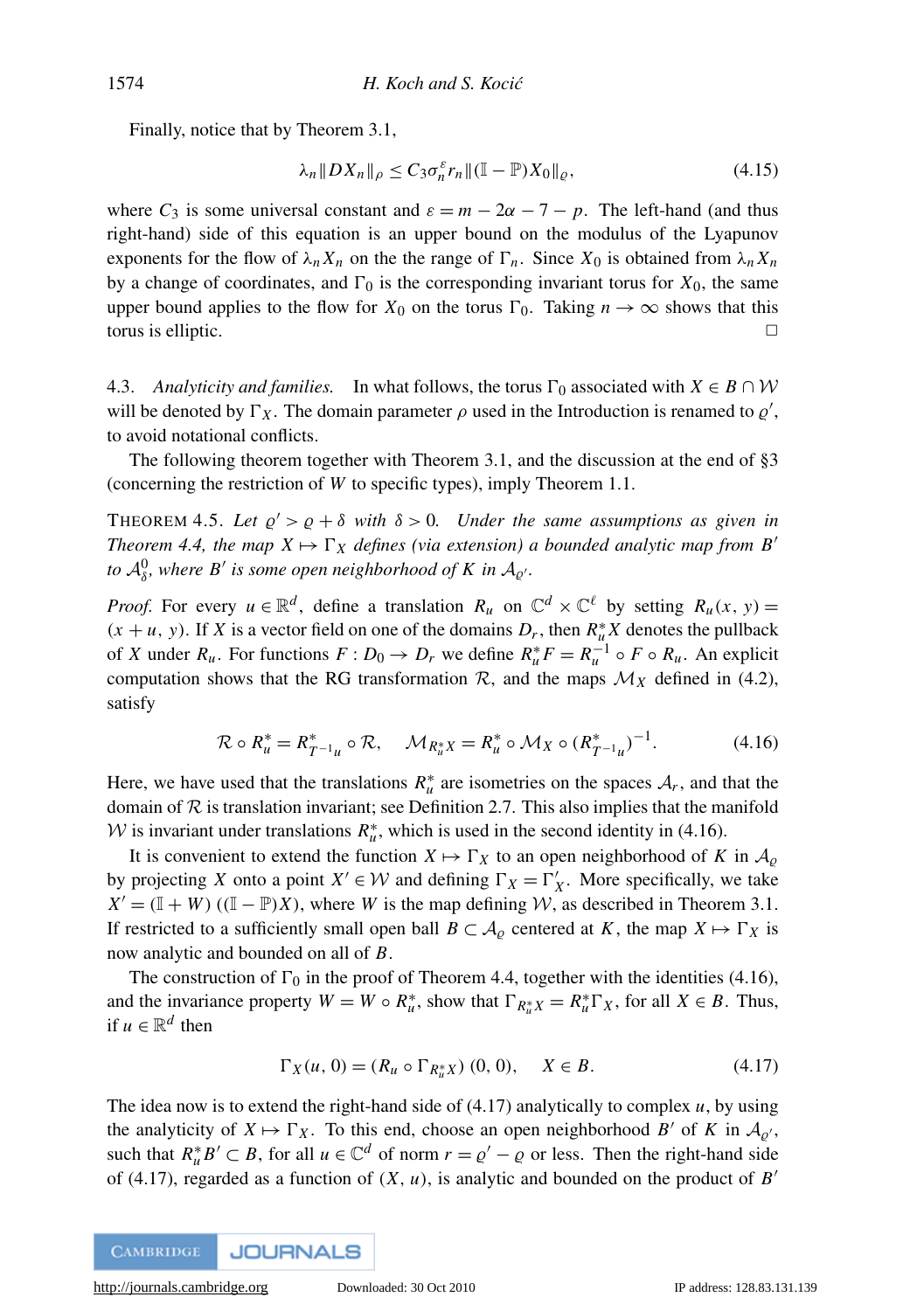Finally, notice that by Theorem [3.1,](#page-9-1)

$$
\lambda_n \|DX_n\|_{\rho} \le C_3 \sigma_n^{\varepsilon} r_n \|(\mathbb{I} - \mathbb{P})X_0\|_{\varrho},\tag{4.15}
$$

where  $C_3$  is some universal constant and  $\varepsilon = m - 2\alpha - 7 - p$ . The left-hand (and thus right-hand) side of this equation is an upper bound on the modulus of the Lyapunov exponents for the flow of  $\lambda_n X_n$  on the the range of  $\Gamma_n$ . Since  $X_0$  is obtained from  $\lambda_n X_n$ by a change of coordinates, and  $\Gamma_0$  is the corresponding invariant torus for  $X_0$ , the same upper bound applies to the flow for  $X_0$  on the torus  $\Gamma_0$ . Taking  $n \to \infty$  shows that this torus is elliptic.

4.3. *Analyticity and families.* In what follows, the torus  $\Gamma_0$  associated with  $X \in B \cap W$ will be denoted by  $\Gamma_X$ . The domain parameter  $\rho$  used in the Introduction is renamed to  $\varrho'$ , to avoid notational conflicts.

The following theorem together with Theorem [3.1,](#page-9-1) and the discussion at the end of [§3](#page-9-0) (concerning the restriction of *W* to specific types), imply Theorem [1.1.](#page-1-0)

<span id="page-15-0"></span>THEOREM 4.5. Let  $\varrho' > \varrho + \delta$  with  $\delta > 0$ . Under the same assumptions as given in *Theorem* [4.4,](#page-14-0) the map  $X \mapsto \Gamma_X$  *defines* (via extension) a bounded analytic map from B<sup>'</sup> to  $\mathcal{A}^{0}_{\delta}$ , where  $B'$  is some open neighborhood of  $K$  in  $\mathcal{A}_{\varrho'}$ .

*Proof.* For every  $u \in \mathbb{R}^d$ , define a translation  $R_u$  on  $\mathbb{C}^d \times \mathbb{C}^{\ell}$  by setting  $R_u(x, y) =$  $(x + u, y)$ . If *X* is a vector field on one of the domains  $D_r$ , then  $R_u^*$ *X* denotes the pullback of *X* under  $R_u$ . For functions  $F: D_0 \to D_r$  we define  $R_u^* F = R_u^{-1} \circ F \circ R_u$ . An explicit computation shows that the RG transformation  $\mathcal{R}$ , and the maps  $\mathcal{M}_X$  defined in [\(4.2\)](#page-11-1), satisfy

$$
\mathcal{R} \circ R_u^* = R_{T^{-1}u}^* \circ \mathcal{R}, \quad \mathcal{M}_{R_u^*X} = R_u^* \circ \mathcal{M}_X \circ (R_{T^{-1}u}^*)^{-1}.
$$
 (4.16)

Here, we have used that the translations  $R_u^*$  are isometries on the spaces  $A_r$ , and that the domain of  $R$  is translation invariant; see Definition [2.7.](#page-9-2) This also implies that the manifold *W* is invariant under translations  $R_u^*$ , which is used in the second identity in [\(4.16\)](#page-15-0).

It is convenient to extend the function  $X \mapsto \Gamma_X$  to an open neighborhood of K in  $\mathcal{A}_{\rho}$ by projecting *X* onto a point  $X' \in \mathcal{W}$  and defining  $\Gamma_X = \Gamma'_X$ . More specifically, we take  $X' = (\mathbb{I} + W)$  ( $(\mathbb{I} - \mathbb{P})X$ ), where *W* is the map defining *W*, as described in Theorem [3.1.](#page-9-1) If restricted to a sufficiently small open ball  $B \subset A_{\rho}$  centered at *K*, the map  $X \mapsto \Gamma_X$  is now analytic and bounded on all of *B*.

The construction of  $\Gamma_0$  in the proof of Theorem [4.4,](#page-14-0) together with the identities [\(4.16\)](#page-15-0), and the invariance property  $W = W \circ R_u^*$ , show that  $\Gamma_{R_u^*X} = R_u^* \Gamma_X$ , for all  $X \in B$ . Thus, if  $u \in \mathbb{R}^d$  then

$$
\Gamma_X(u, 0) = (R_u \circ \Gamma_{R_u^* X}) (0, 0), \quad X \in B.
$$
 (4.17)

The idea now is to extend the right-hand side of  $(4.17)$  analytically to complex  $u$ , by using the analyticity of  $X \mapsto \Gamma_X$ . To this end, choose an open neighborhood *B*<sup>'</sup> of *K* in  $\mathcal{A}_{\varrho'}$ , such that  $R_u^* B' \subset B$ , for all  $u \in \mathbb{C}^d$  of norm  $r = \varrho' - \varrho$  or less. Then the right-hand side of [\(4.17\)](#page-15-0), regarded as a function of  $(X, u)$ , is analytic and bounded on the product of *B*<sup>'</sup>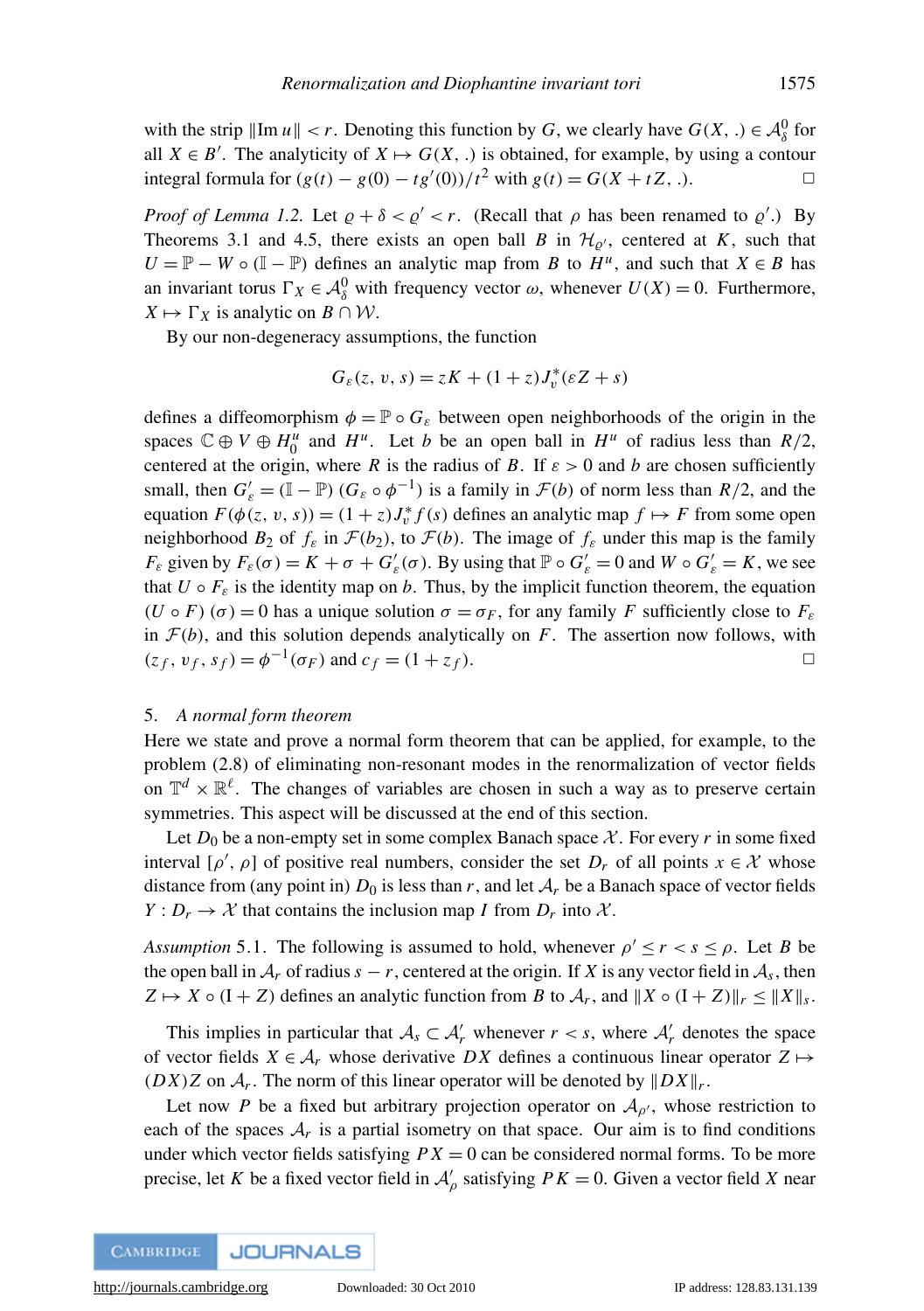with the strip  $\|\text{Im } u\| < r$ . Denoting this function by *G*, we clearly have  $G(X, .) \in \mathcal{A}_{\delta}^{0}$  for all  $X \in B'$ . The analyticity of  $X \mapsto G(X, .)$  is obtained, for example, by using a contour integral formula for  $(g(t) - g(0) - tg'(0))/t^2$  with  $g(t) = G(X + tZ, ...)$ . <del></del>□

*Proof of Lemma [1.2.](#page-2-0)* Let  $\rho + \delta < \rho' < r$ . (Recall that  $\rho$  has been renamed to  $\rho'$ .) By Theorems [3.1](#page-9-1) and [4.5,](#page-15-0) there exists an open ball *B* in  $\mathcal{H}_{\varrho'}$ , centered at *K*, such that  $U = \mathbb{P} - W \circ (\mathbb{I} - \mathbb{P})$  defines an analytic map from *B* to  $H^u$ , and such that  $X \in B$  has an invariant torus  $\Gamma_X \in \mathcal{A}_{\delta}^0$  with frequency vector  $\omega$ , whenever  $U(X) = 0$ . Furthermore,  $X \mapsto \Gamma_X$  is analytic on  $B \cap \mathcal{W}$ .

By our non-degeneracy assumptions, the function

$$
G_{\varepsilon}(z, v, s) = zK + (1 + z)J_v^*(\varepsilon Z + s)
$$

defines a diffeomorphism  $\phi = \mathbb{P} \circ G_{\varepsilon}$  between open neighborhoods of the origin in the spaces  $\mathbb{C} \oplus V \oplus H_0^u$  and  $H^u$ . Let *b* be an open ball in  $H^u$  of radius less than  $R/2$ , centered at the origin, where *R* is the radius of *B*. If  $\varepsilon > 0$  and *b* are chosen sufficiently small, then  $G'_{\varepsilon} = (\mathbb{I} - \mathbb{P}) (G_{\varepsilon} \circ \phi^{-1})$  is a family in  $\mathcal{F}(b)$  of norm less than  $R/2$ , and the equation  $F(\phi(z, v, s)) = (1 + z)J_v^* f(s)$  defines an analytic map  $f \mapsto F$  from some open neighborhood  $B_2$  of  $f_\varepsilon$  in  $\mathcal{F}(b_2)$ , to  $\mathcal{F}(b)$ . The image of  $f_\varepsilon$  under this map is the family *F*<sub>ε</sub> given by  $F_{\varepsilon}(\sigma) = K + \sigma + G'_{\varepsilon}(\sigma)$ . By using that  $\mathbb{P} \circ G'_{\varepsilon} = 0$  and  $W \circ G'_{\varepsilon} = K$ , we see that  $U \circ F_{\varepsilon}$  is the identity map on *b*. Thus, by the implicit function theorem, the equation (*U*  $\circ$  *F*) ( $\sigma$ ) = 0 has a unique solution  $\sigma = \sigma_F$ , for any family *F* sufficiently close to  $F_{\varepsilon}$ in  $\mathcal{F}(b)$ , and this solution depends analytically on *F*. The assertion now follows, with  $(z_f, v_f, s_f) = \phi^{-1}(\sigma_F)$  and  $c_f = (1 + z_f)$ .

#### <span id="page-16-0"></span>5. *A normal form theorem*

Here we state and prove a normal form theorem that can be applied, for example, to the problem [\(2.8\)](#page-5-1) of eliminating non-resonant modes in the renormalization of vector fields on  $\mathbb{T}^d \times \mathbb{R}^{\ell}$ . The changes of variables are chosen in such a way as to preserve certain symmetries. This aspect will be discussed at the end of this section.

Let  $D_0$  be a non-empty set in some complex Banach space X. For every r in some fixed interval [ $\rho'$ ,  $\rho$ ] of positive real numbers, consider the set  $D_r$  of all points  $x \in \mathcal{X}$  whose distance from (any point in)  $D_0$  is less than  $r$ , and let  $A_r$  be a Banach space of vector fields *Y* :  $D_r \to \mathcal{X}$  that contains the inclusion map *I* from  $D_r$  into  $\mathcal{X}$ .

<span id="page-16-1"></span>*Assumption* 5.1. The following is assumed to hold, whenever  $\rho' \le r < s \le \rho$ . Let *B* be the open ball in  $A_r$  of radius  $s - r$ , centered at the origin. If *X* is any vector field in  $A_s$ , then  $Z \mapsto X \circ (I + Z)$  defines an analytic function from *B* to  $\mathcal{A}_r$ , and  $||X \circ (I + Z)||_r \le ||X||_s$ .

This implies in particular that  $A_s \subset A'_r$  whenever  $r < s$ , where  $A'_r$  denotes the space of vector fields  $X \in \mathcal{A}_r$  whose derivative DX defines a continuous linear operator  $Z \mapsto$  $(DX)Z$  on  $\mathcal{A}_r$ . The norm of this linear operator will be denoted by  $\|DX\|_r$ .

Let now *P* be a fixed but arbitrary projection operator on  $A_{\rho'}$ , whose restriction to each of the spaces  $A_r$  is a partial isometry on that space. Our aim is to find conditions under which vector fields satisfying  $PX = 0$  can be considered normal forms. To be more precise, let *K* be a fixed vector field in  $A'_{\rho}$  satisfying  $PK = 0$ . Given a vector field *X* near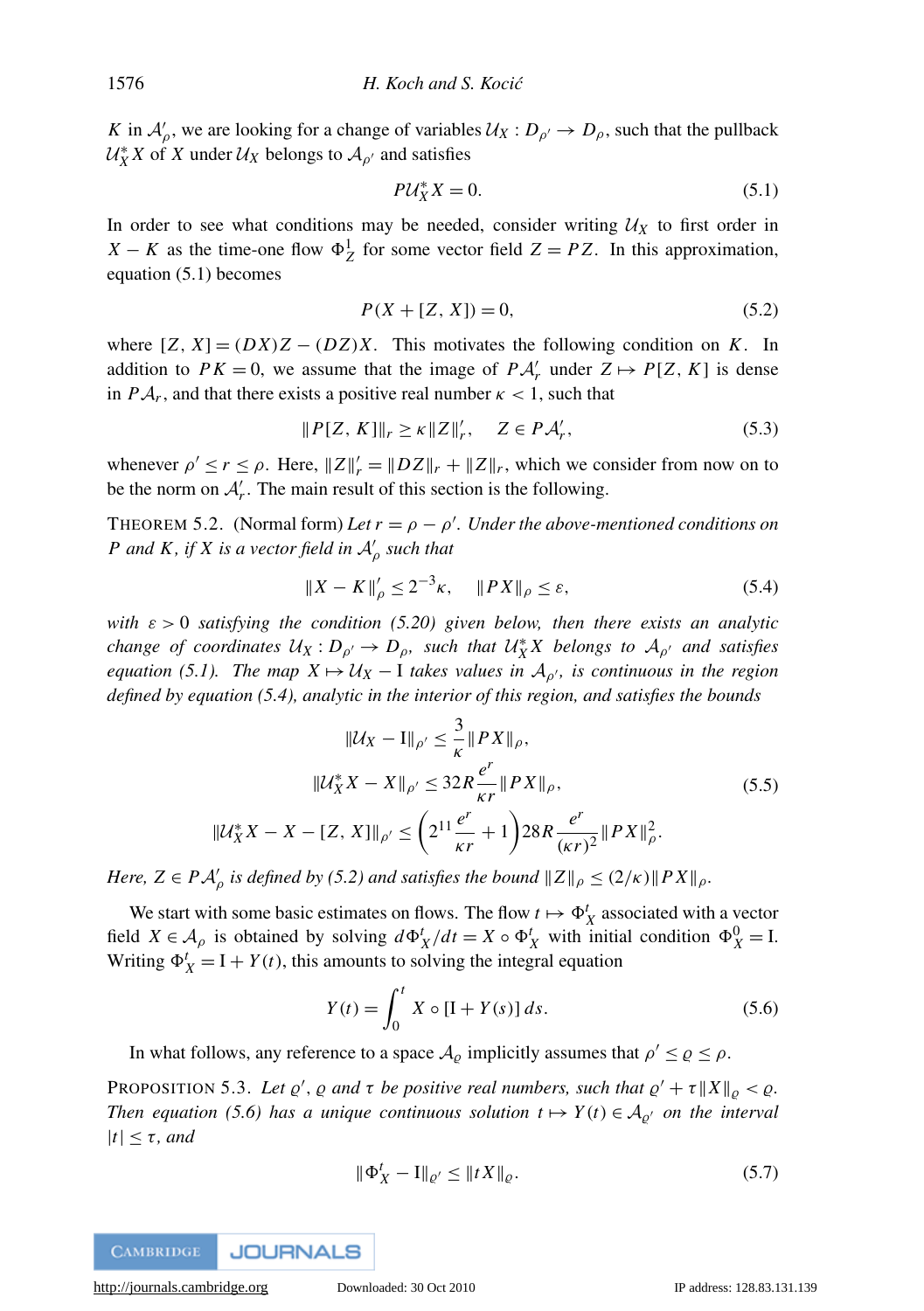*K* in  $A'_{\rho}$ , we are looking for a change of variables  $U_X: D_{\rho'} \to D_{\rho}$ , such that the pullback  $\mathcal{U}_X^* X$  of *X* under  $\mathcal{U}_X$  belongs to  $\mathcal{A}_{\rho'}$  and satisfies

$$
P\mathcal{U}_X^* X = 0. \tag{5.1}
$$

In order to see what conditions may be needed, consider writing  $U_X$  to first order in *X* − *K* as the time-one flow  $\Phi_Z^1$  for some vector field *Z* = *PZ*. In this approximation, equation [\(5.1\)](#page-16-1) becomes

$$
P(X + [Z, X]) = 0,\t(5.2)
$$

where  $[Z, X] = (DX)Z - (DZ)X$ . This motivates the following condition on *K*. In addition to  $PK = 0$ , we assume that the image of  $PA'_r$  under  $Z \mapsto P[Z, K]$  is dense in  $PA_r$ , and that there exists a positive real number  $\kappa < 1$ , such that

$$
||P[Z, K]||_{r} \ge \kappa ||Z||'_{r}, \quad Z \in P\mathcal{A}'_{r}, \tag{5.3}
$$

whenever  $\rho' \le r \le \rho$ . Here,  $||Z||_r' = ||DZ||_r + ||Z||_r$ , which we consider from now on to be the norm on  $A'_r$ . The main result of this section is the following.

<span id="page-17-0"></span>THEOREM 5.2. (Normal form) *Let*  $r = \rho - \rho'$ . *Under the above-mentioned conditions on P* and *K*, if *X* is a vector field in  $A'_{\rho}$  such that

$$
||X - K||_{\rho}^{\prime} \le 2^{-3}\kappa, \quad ||PX||_{\rho} \le \varepsilon,
$$
\n(5.4)

*with*  $\varepsilon > 0$  *satisfying the condition* [\(5.20\)](#page-18-0) given below, then there exists an analytic *change of coordinates*  $U_X: D_{\rho'} \to D_{\rho}$ , such that  $U_X^*X$  belongs to  $\mathcal{A}_{\rho'}$  and satisfies *equation [\(5.1\)](#page-16-1). The map*  $X \mapsto U_X - I$  *takes values in*  $A_{\rho'}$ , *is continuous in the region defined by equation [\(5.4\)](#page-17-0), analytic in the interior of this region, and satisfies the bounds*

$$
\|U_X - I\|_{\rho'} \le \frac{3}{\kappa} \|PX\|_{\rho},
$$
  

$$
\|U_X^* X - X\|_{\rho'} \le 32R \frac{e^r}{\kappa r} \|PX\|_{\rho},
$$
  

$$
\|U_X^* X - X - [Z, X]\|_{\rho'} \le \left(2^{11} \frac{e^r}{\kappa r} + 1\right) 28R \frac{e^r}{(\kappa r)^2} \|PX\|_{\rho}^2.
$$
 (5.5)

*Here,*  $Z \in P\mathcal{A}'_{\rho}$  *is defined by* [\(5.2\)](#page-16-1) *and satisfies the bound*  $||Z||_{\rho} \leq (2/\kappa) ||PX||_{\rho}$ .

We start with some basic estimates on flows. The flow  $t \mapsto \Phi_X^t$  associated with a vector field  $X \in A_\rho$  is obtained by solving  $d\Phi_X^t/dt = X \circ \Phi_X^t$  with initial condition  $\Phi_X^0 = I$ . Writing  $\Phi_X^t = I + Y(t)$ , this amounts to solving the integral equation

$$
Y(t) = \int_0^t X \circ [I + Y(s)] ds.
$$
 (5.6)

In what follows, any reference to a space  $\mathcal{A}_{\varrho}$  implicitly assumes that  $\rho' \leq \varrho \leq \rho$ .

PROPOSITION 5.3. Let  $\varrho'$ ,  $\varrho$  and  $\tau$  be positive real numbers, such that  $\varrho' + \tau ||X||_{\varrho} < \varrho$ . *Then equation* [\(5.6\)](#page-17-0) has a unique continuous solution  $t \mapsto Y(t) \in A_{\varrho'}$  on the interval  $|t| \leq \tau$ , and

$$
\|\Phi_X^t - \mathbf{I}\|_{\varrho'} \le \|tX\|_{\varrho}.\tag{5.7}
$$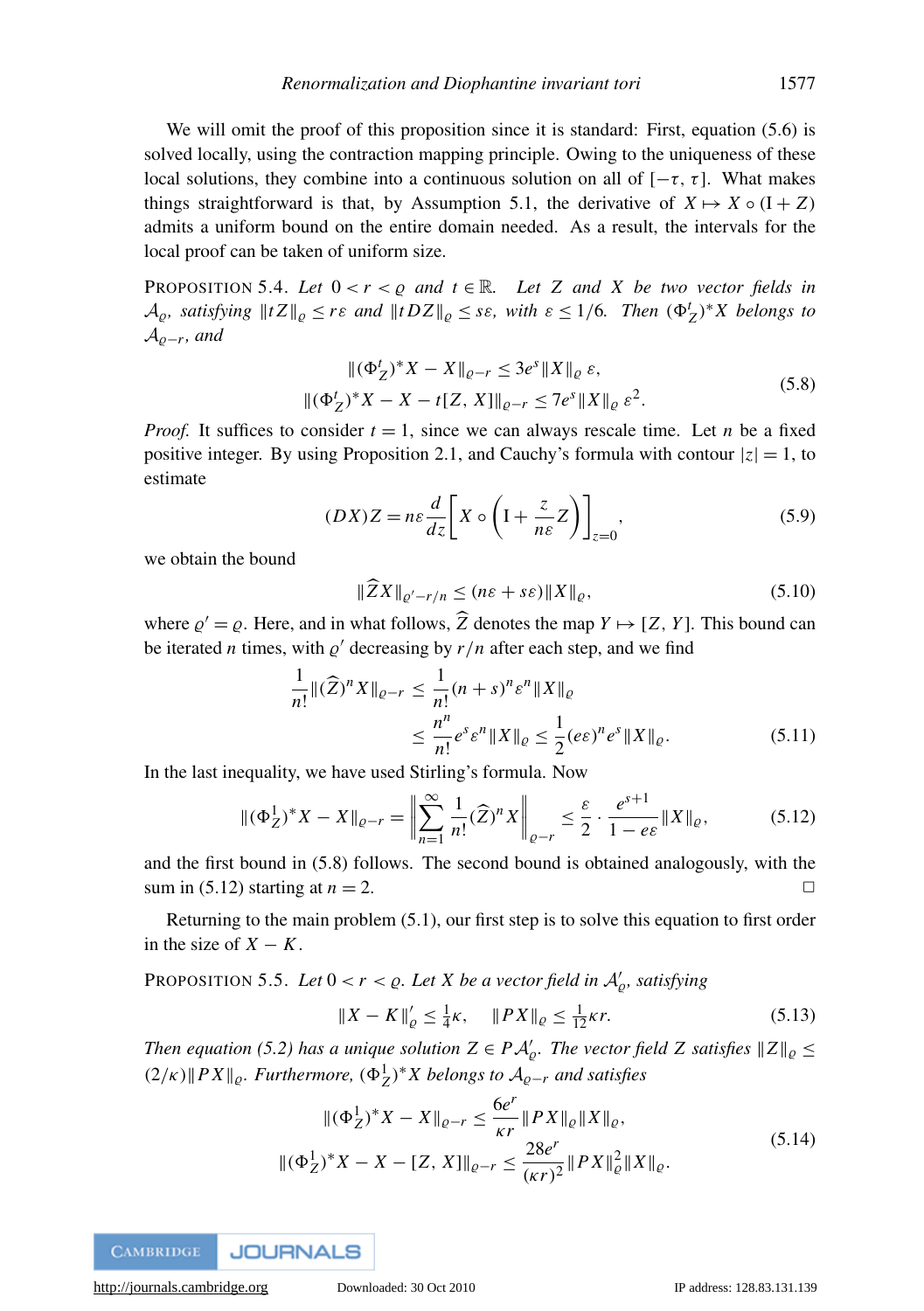We will omit the proof of this proposition since it is standard: First, equation [\(5.6\)](#page-17-0) is solved locally, using the contraction mapping principle. Owing to the uniqueness of these local solutions, they combine into a continuous solution on all of  $[-\tau, \tau]$ . What makes things straightforward is that, by Assumption [5.1,](#page-16-1) the derivative of  $X \mapsto X \circ (I + Z)$ admits a uniform bound on the entire domain needed. As a result, the intervals for the local proof can be taken of uniform size.

<span id="page-18-1"></span>**PROPOSITION 5.4.** Let  $0 < r < \rho$  and  $t \in \mathbb{R}$ . Let Z and X be two vector fields in  $\mathcal{A}_{\varrho}$ *, satisfying*  $||tZ||_{\varrho} \leq r\varepsilon$  *and*  $||tDZ||_{\varrho} \leq s\varepsilon$ *, with*  $\varepsilon \leq 1/6$ *. Then*  $(\Phi_Z^t)^*X$  belongs to  $A_{\varrho-r}$ *, and* 

$$
\| (\Phi_Z^t)^* X - X \|_{\varrho - r} \le 3e^s \| X \|_{\varrho} \varepsilon,
$$
  

$$
\| (\Phi_Z^t)^* X - X - t[Z, X] \|_{\varrho - r} \le 7e^s \| X \|_{\varrho} \varepsilon^2.
$$
 (5.8)

*Proof.* It suffices to consider  $t = 1$ , since we can always rescale time. Let *n* be a fixed positive integer. By using Proposition [2.1,](#page-5-2) and Cauchy's formula with contour  $|z| = 1$ , to estimate

$$
(DX)Z = n\varepsilon \frac{d}{dz} \left[ X \circ \left( 1 + \frac{z}{n\varepsilon} Z \right) \right]_{z=0},\tag{5.9}
$$

we obtain the bound

$$
\|\widehat{Z}X\|_{\varrho'-r/n} \le (n\varepsilon + s\varepsilon) \|X\|_{\varrho},\tag{5.10}
$$

where  $\varrho' = \varrho$ . Here, and in what follows,  $\widehat{Z}$  denotes the map  $Y \mapsto [Z, Y]$ . This bound can be iterated *n* times, with  $\varrho'$  decreasing by  $r/n$  after each step, and we find

$$
\frac{1}{n!} \| (\widehat{Z})^n X \|_{\varrho - r} \le \frac{1}{n!} (n+s)^n \varepsilon^n \| X \|_{\varrho} \n\le \frac{n^n}{n!} e^s \varepsilon^n \| X \|_{\varrho} \le \frac{1}{2} (e\varepsilon)^n e^s \| X \|_{\varrho}.
$$
\n(5.11)

In the last inequality, we have used Stirling's formula. Now

$$
\|(\Phi_Z^1)^* X - X\|_{\varrho - r} = \left\|\sum_{n=1}^{\infty} \frac{1}{n!} (\widehat{Z})^n X\right\|_{\varrho - r} \le \frac{\varepsilon}{2} \cdot \frac{e^{s+1}}{1 - e\varepsilon} \|X\|_{\varrho},\tag{5.12}
$$

and the first bound in [\(5.8\)](#page-18-1) follows. The second bound is obtained analogously, with the sum in [\(5.12\)](#page-18-1) starting at  $n = 2$ .

Returning to the main problem [\(5.1\)](#page-16-1), our first step is to solve this equation to first order in the size of  $X - K$ .

<span id="page-18-0"></span>PROPOSITION 5.5. Let  $0 < r < \varrho$ . Let X be a vector field in  $\mathcal{A}'_{\varrho}$ , satisfying

$$
||X - K||_{\varrho}' \le \frac{1}{4}\kappa, \quad ||PX||_{\varrho} \le \frac{1}{12}\kappa r. \tag{5.13}
$$

*Then equation [\(5.2\)](#page-16-1)* has a unique solution  $Z \in P \mathcal{A}'_{\varrho}$ . The vector field Z satisfies  $||Z||_{\varrho} \leq$  $(2/\kappa)$  ||  $PX$  ||  $\varrho$ *. Furthermore,*  $(\Phi_Z^1)^*X$  *belongs to*  $\mathcal{A}_{\varrho-r}$  *and satisfies* 

$$
\|(\Phi_Z^1)^* X - X\|_{\varrho - r} \le \frac{6e^r}{\kappa r} \|PX\|_{\varrho} \|X\|_{\varrho},
$$
  

$$
\|(\Phi_Z^1)^* X - X - [Z, X]\|_{\varrho - r} \le \frac{28e^r}{(\kappa r)^2} \|PX\|_{\varrho}^2 \|X\|_{\varrho}.
$$
 (5.14)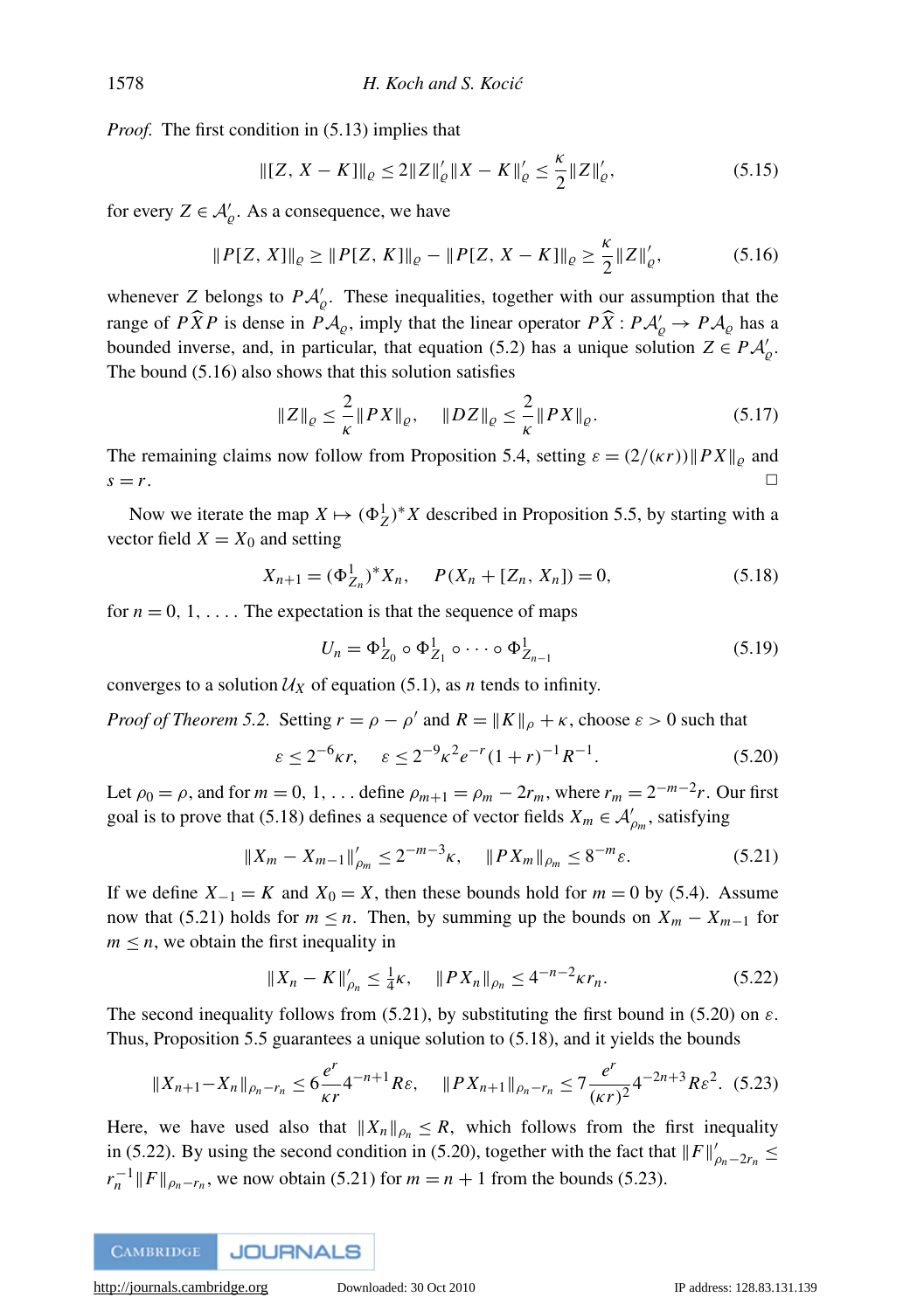*Proof.* The first condition in  $(5.13)$  implies that

$$
\| [Z, X - K] \|_{\varrho} \le 2 \| Z \|_{\varrho}' \| X - K \|_{\varrho}' \le \frac{\kappa}{2} \| Z \|_{\varrho}', \tag{5.15}
$$

for every  $Z \in \mathcal{A}'_{\varrho}$ . As a consequence, we have

$$
||P[Z, X]||_{\varrho} \ge ||P[Z, K]||_{\varrho} - ||P[Z, X - K]||_{\varrho} \ge \frac{\kappa}{2} ||Z||'_{\varrho},
$$
\n(5.16)

whenever *Z* belongs to  $P A_{\varrho}'$ . These inequalities, together with our assumption that the range of  $P\widehat{X}P$  is dense in  $PA_{\varrho}$ , imply that the linear operator  $P\widehat{X} : PA_{\varrho}' \to PA_{\varrho}$  has a bounded inverse, and, in particular, that equation [\(5.2\)](#page-16-1) has a unique solution  $Z \in P\mathcal{A}'_{\rho}$ . The bound [\(5.16\)](#page-18-0) also shows that this solution satisfies

$$
||Z||_{\varrho} \leq \frac{2}{\kappa} ||PX||_{\varrho}, \quad ||DZ||_{\varrho} \leq \frac{2}{\kappa} ||PX||_{\varrho}.
$$
 (5.17)

The remaining claims now follow from Proposition [5.4,](#page-18-1) setting  $\varepsilon = (2/(\kappa r))||PX||_{\rho}$  and  $s = r$ .

Now we iterate the map  $X \mapsto (\Phi_Z^1)^* X$  described in Proposition [5.5,](#page-18-0) by starting with a vector field  $X = X_0$  and setting

$$
X_{n+1} = (\Phi_{Z_n}^1)^* X_n, \quad P(X_n + [Z_n, X_n]) = 0,
$$
\n(5.18)

for  $n = 0, 1, \ldots$ . The expectation is that the sequence of maps

$$
U_n = \Phi^1_{Z_0} \circ \Phi^1_{Z_1} \circ \cdots \circ \Phi^1_{Z_{n-1}}
$$
 (5.19)

converges to a solution  $U_X$  of equation [\(5.1\)](#page-16-1), as *n* tends to infinity.

*Proof of Theorem* [5.2.](#page-17-0) Setting  $r = \rho - \rho'$  and  $R = ||K||_{\rho} + \kappa$ , choose  $\varepsilon > 0$  such that

$$
\varepsilon \le 2^{-6} \kappa r, \quad \varepsilon \le 2^{-9} \kappa^2 e^{-r} (1+r)^{-1} R^{-1}.
$$
 (5.20)

Let  $\rho_0 = \rho$ , and for  $m = 0, 1, \ldots$  define  $\rho_{m+1} = \rho_m - 2r_m$ , where  $r_m = 2^{-m-2}r$ . Our first goal is to prove that [\(5.18\)](#page-18-0) defines a sequence of vector fields  $X_m \in \mathcal{A}'_{\rho_m}$ , satisfying

$$
||X_m - X_{m-1}||'_{\rho_m} \le 2^{-m-3}\kappa, \quad ||PX_m||_{\rho_m} \le 8^{-m}\varepsilon. \tag{5.21}
$$

If we define  $X_{-1} = K$  and  $X_0 = X$ , then these bounds hold for  $m = 0$  by [\(5.4\)](#page-17-0). Assume now that [\(5.21\)](#page-18-0) holds for  $m \leq n$ . Then, by summing up the bounds on  $X_m - X_{m-1}$  for  $m \leq n$ , we obtain the first inequality in

$$
||X_n - K||'_{\rho_n} \le \frac{1}{4}\kappa, \quad ||PX_n||_{\rho_n} \le 4^{-n-2}\kappa r_n. \tag{5.22}
$$

The second inequality follows from [\(5.21\)](#page-18-0), by substituting the first bound in [\(5.20\)](#page-18-0) on  $\varepsilon$ . Thus, Proposition [5.5](#page-18-0) guarantees a unique solution to [\(5.18\)](#page-18-0), and it yields the bounds

$$
||X_{n+1} - X_n||_{\rho_n - r_n} \le 6\frac{e^r}{\kappa r} 4^{-n+1} R\varepsilon, \quad ||PX_{n+1}||_{\rho_n - r_n} \le 7\frac{e^r}{(\kappa r)^2} 4^{-2n+3} R\varepsilon^2. \tag{5.23}
$$

Here, we have used also that  $||X_n||_{\rho_n} \leq R$ , which follows from the first inequality in [\(5.22\)](#page-18-0). By using the second condition in [\(5.20\)](#page-18-0), together with the fact that  $\|F\|_{\rho_n-2r_n}$  ≤  $r_n^{-1}$  ||  $F \parallel_{\rho_n - r_n}$ , we now obtain [\(5.21\)](#page-18-0) for  $m = n + 1$  from the bounds [\(5.23\)](#page-18-0).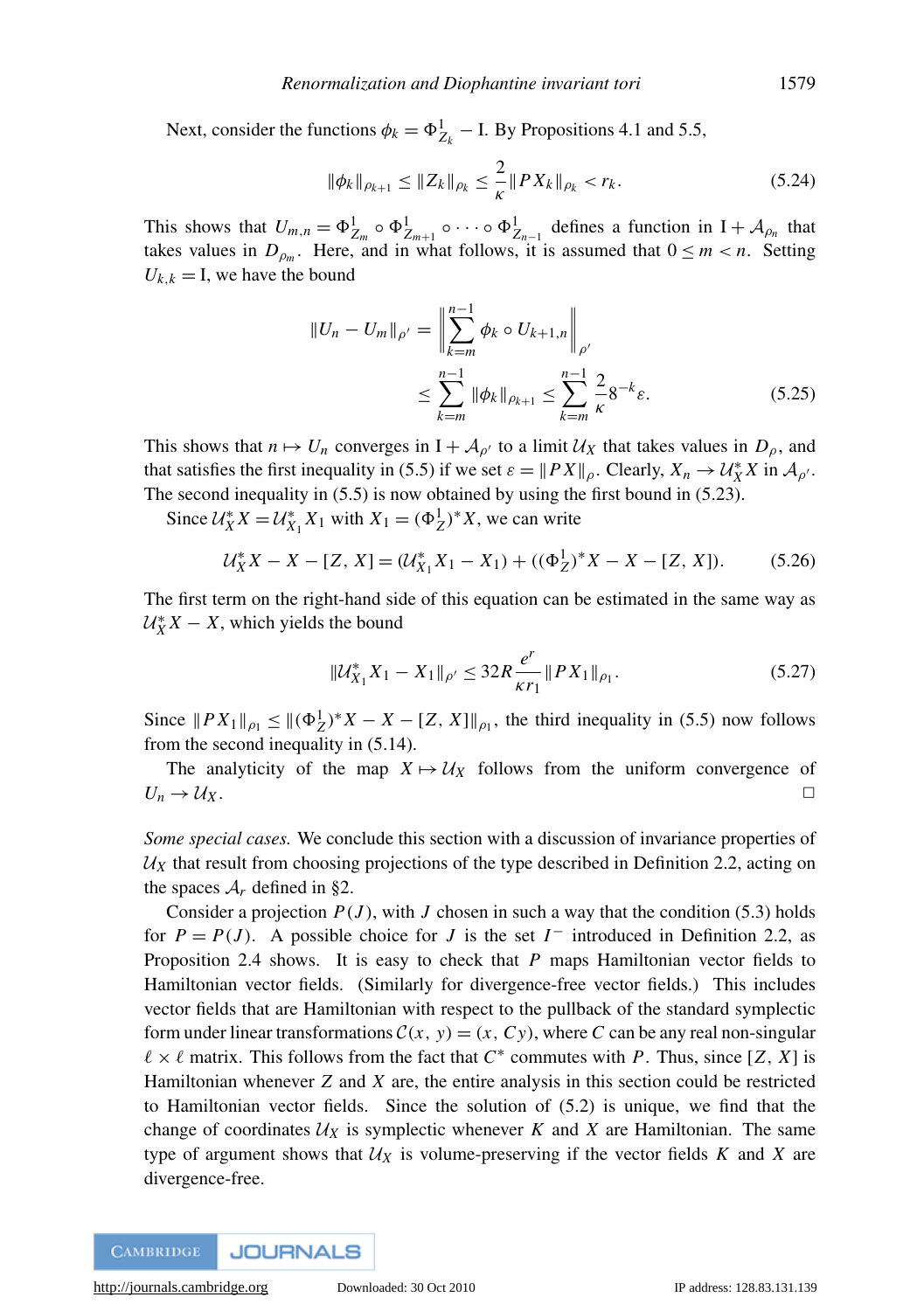Next, consider the functions  $\phi_k = \Phi_{Z_k}^1 - I$ . By Propositions [4.1](#page-12-0) and [5.5,](#page-18-0)

$$
\|\phi_k\|_{\rho_{k+1}} \le \|Z_k\|_{\rho_k} \le \frac{2}{\kappa} \|PX_k\|_{\rho_k} < r_k. \tag{5.24}
$$

This shows that  $U_{m,n} = \Phi^1_{Z_m} \circ \Phi^1_{Z_{m+1}} \circ \cdots \circ \Phi^1_{Z_{n-1}}$  defines a function in  $I + A_{\rho_n}$  that takes values in  $D_{\rho_m}$ . Here, and in what follows, it is assumed that  $0 \le m < n$ . Setting  $U_{k,k} = I$ , we have the bound

$$
||U_n - U_m||_{\rho'} = \left\| \sum_{k=m}^{n-1} \phi_k \circ U_{k+1,n} \right\|_{\rho'}
$$
  

$$
\leq \sum_{k=m}^{n-1} ||\phi_k||_{\rho_{k+1}} \leq \sum_{k=m}^{n-1} \frac{2}{\kappa} 8^{-k} \varepsilon.
$$
 (5.25)

This shows that  $n \mapsto U_n$  converges in  $I + A_{\rho'}$  to a limit  $U_X$  that takes values in  $D_\rho$ , and that satisfies the first inequality in [\(5.5\)](#page-17-0) if we set  $\varepsilon = ||PX||_{\rho}$ . Clearly,  $X_n \to U_X^* X$  in  $\mathcal{A}_{\rho'}$ . The second inequality in [\(5.5\)](#page-17-0) is now obtained by using the first bound in [\(5.23\)](#page-18-0).

Since  $\mathcal{U}_X^* X = \mathcal{U}_{X_1}^* X_1$  with  $X_1 = (\Phi_Z^1)^* X$ , we can write

$$
\mathcal{U}_X^* X - X - [Z, X] = (\mathcal{U}_{X_1}^* X_1 - X_1) + ((\Phi_Z^1)^* X - X - [Z, X]).
$$
 (5.26)

The first term on the right-hand side of this equation can be estimated in the same way as  $U_X^*X - X$ , which yields the bound

$$
\|U_{X_1}^* X_1 - X_1\|_{\rho'} \le 32R \frac{e^r}{\kappa r_1} \|PX_1\|_{\rho_1}.
$$
 (5.27)

Since  $||PX_1||_{\rho_1} \le ||(\Phi_Z^1)^*X - X - [Z, X]||_{\rho_1}$ , the third inequality in [\(5.5\)](#page-17-0) now follows from the second inequality in [\(5.14\)](#page-18-0).

The analyticity of the map  $X \mapsto U_X$  follows from the uniform convergence of  $U_n \to U_X$ .

*Some special cases.* We conclude this section with a discussion of invariance properties of  $U_X$  that result from choosing projections of the type described in Definition [2.2,](#page-5-3) acting on the spaces  $A_r$  defined in [§2.](#page-4-0)

Consider a projection  $P(J)$ , with *J* chosen in such a way that the condition [\(5.3\)](#page-16-1) holds for  $P = P(J)$ . A possible choice for *J* is the set  $I^-$  introduced in Definition [2.2,](#page-5-3) as Proposition [2.4](#page-6-0) shows. It is easy to check that *P* maps Hamiltonian vector fields to Hamiltonian vector fields. (Similarly for divergence-free vector fields.) This includes vector fields that are Hamiltonian with respect to the pullback of the standard symplectic form under linear transformations  $C(x, y) = (x, Cy)$ , where *C* can be any real non-singular  $\ell \times \ell$  matrix. This follows from the fact that  $C^*$  commutes with *P*. Thus, since [*Z*, *X*] is Hamiltonian whenever *Z* and *X* are, the entire analysis in this section could be restricted to Hamiltonian vector fields. Since the solution of [\(5.2\)](#page-16-1) is unique, we find that the change of coordinates  $U_X$  is symplectic whenever *K* and *X* are Hamiltonian. The same type of argument shows that  $U_X$  is volume-preserving if the vector fields K and X are divergence-free.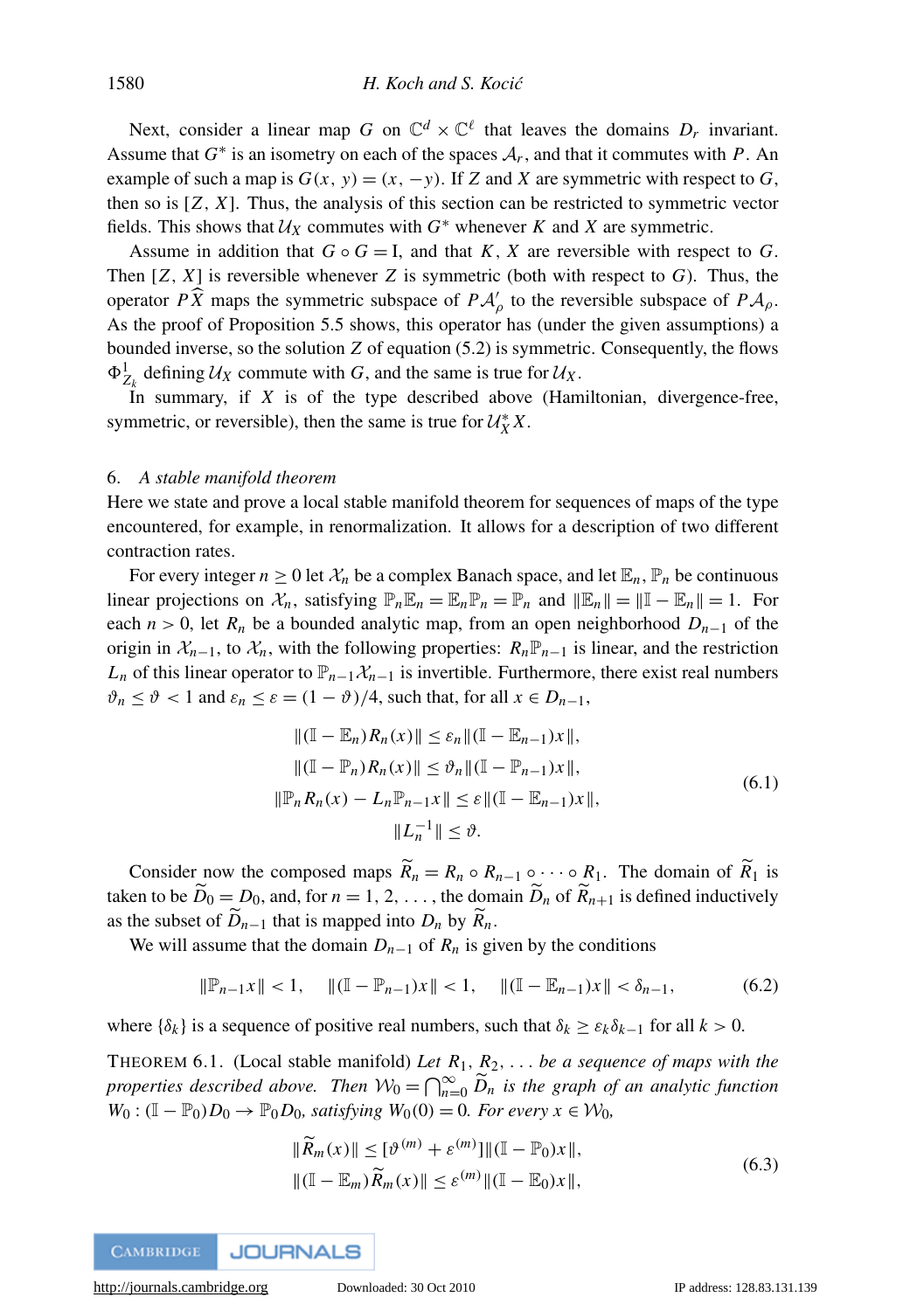Next, consider a linear map *G* on  $\mathbb{C}^d \times \mathbb{C}^{\ell}$  that leaves the domains  $D_r$  invariant. Assume that  $G^*$  is an isometry on each of the spaces  $A_r$ , and that it commutes with P. An example of such a map is  $G(x, y) = (x, -y)$ . If *Z* and *X* are symmetric with respect to *G*, then so is  $[Z, X]$ . Thus, the analysis of this section can be restricted to symmetric vector fields. This shows that  $U_X$  commutes with  $G^*$  whenever  $K$  and  $X$  are symmetric.

Assume in addition that  $G \circ G = I$ , and that  $K$ ,  $X$  are reversible with respect to  $G$ . Then  $[Z, X]$  is reversible whenever  $Z$  is symmetric (both with respect to  $G$ ). Thus, the operator *P*  $\widehat{X}$  maps the symmetric subspace of *P*  $\mathcal{A}_{\rho}$  to the reversible subspace of *P*  $\mathcal{A}_{\rho}$ . As the proof of Proposition [5.5](#page-18-0) shows, this operator has (under the given assumptions) a bounded inverse, so the solution *Z* of equation [\(5.2\)](#page-16-1) is symmetric. Consequently, the flows  $\Phi_{Z_k}^1$  defining  $U_X$  commute with *G*, and the same is true for  $U_X$ .

In summary, if *X* is of the type described above (Hamiltonian, divergence-free, symmetric, or reversible), then the same is true for  $\mathcal{U}_X^* X$ .

#### <span id="page-21-0"></span>6. *A stable manifold theorem*

Here we state and prove a local stable manifold theorem for sequences of maps of the type encountered, for example, in renormalization. It allows for a description of two different contraction rates.

For every integer  $n \geq 0$  let  $\mathcal{X}_n$  be a complex Banach space, and let  $\mathbb{E}_n$ ,  $\mathbb{P}_n$  be continuous linear projections on  $\mathcal{X}_n$ , satisfying  $\mathbb{P}_n \mathbb{E}_n = \mathbb{E}_n \mathbb{P}_n = \mathbb{P}_n$  and  $\|\mathbb{E}_n\| = \|\mathbb{I} - \mathbb{E}_n\| = 1$ . For each  $n > 0$ , let  $R_n$  be a bounded analytic map, from an open neighborhood  $D_{n-1}$  of the origin in  $\mathcal{X}_{n-1}$ , to  $\mathcal{X}_n$ , with the following properties:  $R_n\mathbb{P}_{n-1}$  is linear, and the restriction  $L_n$  of this linear operator to  $\mathbb{P}_{n-1}X_{n-1}$  is invertible. Furthermore, there exist real numbers  $\vartheta_n \leq \vartheta < 1$  and  $\varepsilon_n \leq \varepsilon = (1 - \vartheta)/4$ , such that, for all  $x \in D_{n-1}$ ,

$$
\|(\mathbb{I} - \mathbb{E}_n)R_n(x)\| \le \varepsilon_n \|\|\mathbb{I} - \mathbb{E}_{n-1}x\|,
$$
  

$$
\|(\mathbb{I} - \mathbb{P}_n)R_n(x)\| \le \vartheta_n \|\|\mathbb{I} - \mathbb{P}_{n-1}x\|,
$$
  

$$
\|\mathbb{P}_n R_n(x) - L_n \mathbb{P}_{n-1}x\| \le \varepsilon \|\|\mathbb{I} - \mathbb{E}_{n-1}x\|,
$$
  

$$
\|L_n^{-1}\| \le \vartheta.
$$
  
(6.1)

Consider now the composed maps  $\widetilde{R}_n = R_n \circ R_{n-1} \circ \cdots \circ R_1$ . The domain of  $\widetilde{R}_1$  is taken to be  $\widetilde{D}_0 = D_0$ , and, for  $n = 1, 2, \ldots$ , the domain  $\widetilde{D}_n$  of  $\widetilde{R}_{n+1}$  is defined inductively as the subset of  $\widetilde{D}_{n-1}$  that is mapped into  $D_n$  by  $\widetilde{R}_n$ .

We will assume that the domain  $D_{n-1}$  of  $R_n$  is given by the conditions

$$
\|\mathbb{P}_{n-1}x\| < 1, \quad \|\left(\mathbb{I} - \mathbb{P}_{n-1}\right)x\| < 1, \quad \|\left(\mathbb{I} - \mathbb{E}_{n-1}\right)x\| < \delta_{n-1}, \tag{6.2}
$$

<span id="page-21-1"></span>where  $\{\delta_k\}$  is a sequence of positive real numbers, such that  $\delta_k \geq \varepsilon_k \delta_{k-1}$  for all  $k > 0$ .

THEOREM 6.1. (Local stable manifold) *Let R*1, *R*2, . . . *be a sequence of maps with the properties described above. Then*  $W_0 = \bigcap_{n=0}^{\infty} \widetilde{D}_n$  *is the graph of an analytic function*  $W_0: (\mathbb{I} - \mathbb{P}_0)D_0 \to \mathbb{P}_0D_0$ , satisfying  $W_0(0) = 0$ . For every  $x \in \mathcal{W}_0$ ,

$$
\|\widetilde{R}_m(x)\| \leq [\vartheta^{(m)} + \varepsilon^{(m)}]\| (\mathbb{I} - \mathbb{P}_0)x \|,
$$
  

$$
\| (\mathbb{I} - \mathbb{E}_m) \widetilde{R}_m(x) \| \leq \varepsilon^{(m)} \| (\mathbb{I} - \mathbb{E}_0)x \|,
$$
 (6.3)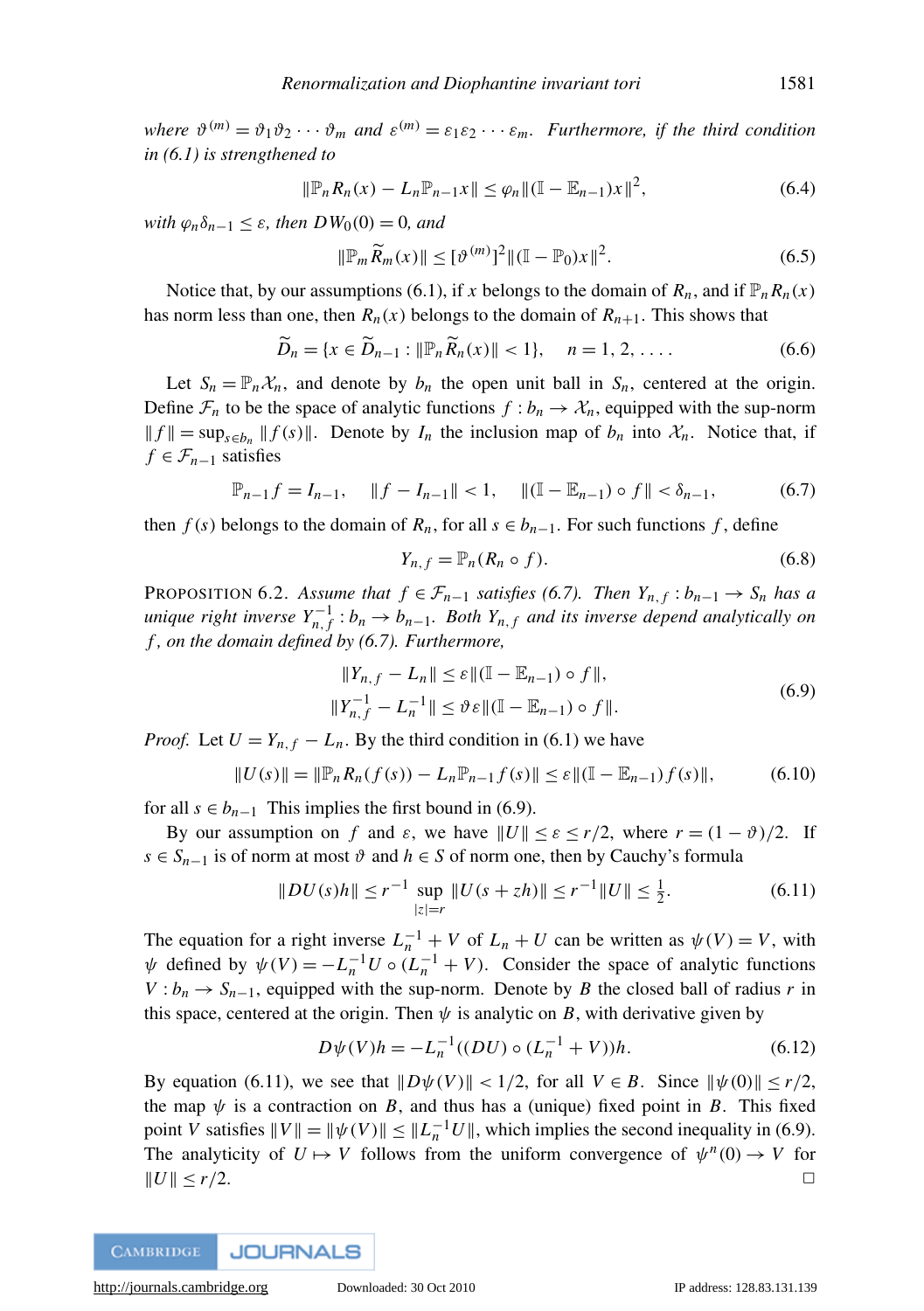$where \ \ \vartheta^{(m)} = \vartheta_1 \vartheta_2 \cdots \vartheta_m$  and  $\varepsilon^{(m)} = \varepsilon_1 \varepsilon_2 \cdots \varepsilon_m$ . Furthermore, if the third condition *in [\(6.1\)](#page-21-0) is strengthened to*

$$
\|\mathbb{P}_n R_n(x) - L_n \mathbb{P}_{n-1} x\| \le \varphi_n \|\|\mathbb{I} - \mathbb{E}_{n-1} x\|^2, \tag{6.4}
$$

*with*  $\varphi_n \delta_{n-1} \leq \varepsilon$ *, then*  $DW_0(0) = 0$ *, and* 

$$
\|\mathbb{P}_m \widetilde{R}_m(x)\| \leq [\vartheta^{(m)}]^2 \|\|\mathbb{I} - \mathbb{P}_0\| \|\mathbb{I}^2. \tag{6.5}
$$

Notice that, by our assumptions [\(6.1\)](#page-21-0), if *x* belongs to the domain of  $R_n$ , and if  $\mathbb{P}_n R_n(x)$ has norm less than one, then  $R_n(x)$  belongs to the domain of  $R_{n+1}$ . This shows that

$$
\widetilde{D}_n = \{x \in \widetilde{D}_{n-1} : \|\mathbb{P}_n \widetilde{R}_n(x)\| < 1\}, \quad n = 1, 2, \dots \tag{6.6}
$$

Let  $S_n = \mathbb{P}_n \mathcal{X}_n$ , and denote by  $b_n$  the open unit ball in  $S_n$ , centered at the origin. Define  $\mathcal{F}_n$  to be the space of analytic functions  $f : b_n \to \mathcal{X}_n$ , equipped with the sup-norm  $|| f || = \sup_{s \in b_n} || f(s) ||$ . Denote by *I<sub>n</sub>* the inclusion map of *b<sub>n</sub>* into  $X_n$ . Notice that, if  $f \in \mathcal{F}_{n-1}$  satisfies

$$
\mathbb{P}_{n-1}f = I_{n-1}, \quad \|f - I_{n-1}\| < 1, \quad \|\left(\mathbb{I} - \mathbb{E}_{n-1}\right) \circ f\| < \delta_{n-1}, \tag{6.7}
$$

then  $f(s)$  belongs to the domain of  $R_n$ , for all  $s \in b_{n-1}$ . For such functions f, define

$$
Y_{n,f} = \mathbb{P}_n(R_n \circ f). \tag{6.8}
$$

<span id="page-22-0"></span>PROPOSITION 6.2. Assume that  $f \in \mathcal{F}_{n-1}$  satisfies [\(6.7\)](#page-21-1). Then  $Y_{n,f}: b_{n-1} \to S_n$  has a *unique right inverse*  $Y_{n,f}^{-1}$  :  $b_n \to b_{n-1}$ . Both  $Y_{n,f}$  and its inverse depend analytically on *f , on the domain defined by [\(6.7\)](#page-21-1). Furthermore,*

$$
||Y_{n,f} - L_n|| \le \varepsilon ||(\mathbb{I} - \mathbb{E}_{n-1}) \circ f||,
$$
  

$$
||Y_{n,f}^{-1} - L_n^{-1}|| \le \vartheta \varepsilon ||(\mathbb{I} - \mathbb{E}_{n-1}) \circ f||.
$$
 (6.9)

*Proof.* Let  $U = Y_{n,f} - L_n$ . By the third condition in [\(6.1\)](#page-21-0) we have

$$
||U(s)|| = ||\mathbb{P}_n R_n(f(s)) - L_n \mathbb{P}_{n-1} f(s)|| \le \varepsilon ||(\mathbb{I} - \mathbb{E}_{n-1}) f(s)||,
$$
(6.10)

for all  $s \in b_{n-1}$  This implies the first bound in [\(6.9\)](#page-22-0).

By our assumption on *f* and  $\varepsilon$ , we have  $||U|| \le \varepsilon \le r/2$ , where  $r = (1 - \vartheta)/2$ . If *s* ∈ *S*<sub>*n*−1</sub> is of norm at most  $\vartheta$  and  $h \in S$  of norm one, then by Cauchy's formula

$$
||DU(s)h|| \le r^{-1} \sup_{|z|=r} ||U(s+zh)|| \le r^{-1} ||U|| \le \frac{1}{2}.
$$
 (6.11)

The equation for a right inverse  $L_n^{-1} + V$  of  $L_n + U$  can be written as  $\psi(V) = V$ , with  $\psi$  defined by  $\psi(V) = -L_n^{-1}U \circ (L_n^{-1} + V)$ . Consider the space of analytic functions  $V: b_n \to S_{n-1}$ , equipped with the sup-norm. Denote by *B* the closed ball of radius *r* in this space, centered at the origin. Then  $\psi$  is analytic on *B*, with derivative given by

$$
D\psi(V)h = -L_n^{-1}((DU) \circ (L_n^{-1} + V))h.
$$
\n(6.12)

By equation [\(6.11\)](#page-22-0), we see that  $\|D\psi(V)\| < 1/2$ , for all  $V \in B$ . Since  $\|\psi(0)\| < r/2$ , the map  $\psi$  is a contraction on *B*, and thus has a (unique) fixed point in *B*. This fixed point *V* satisfies  $||V|| = ||\psi(V)|| \leq ||L_n^{-1}U||$ , which implies the second inequality in [\(6.9\)](#page-22-0). The analyticity of  $U \mapsto V$  follows from the uniform convergence of  $\psi^n(0) \to V$  for  $\|U\| \leq r/2.$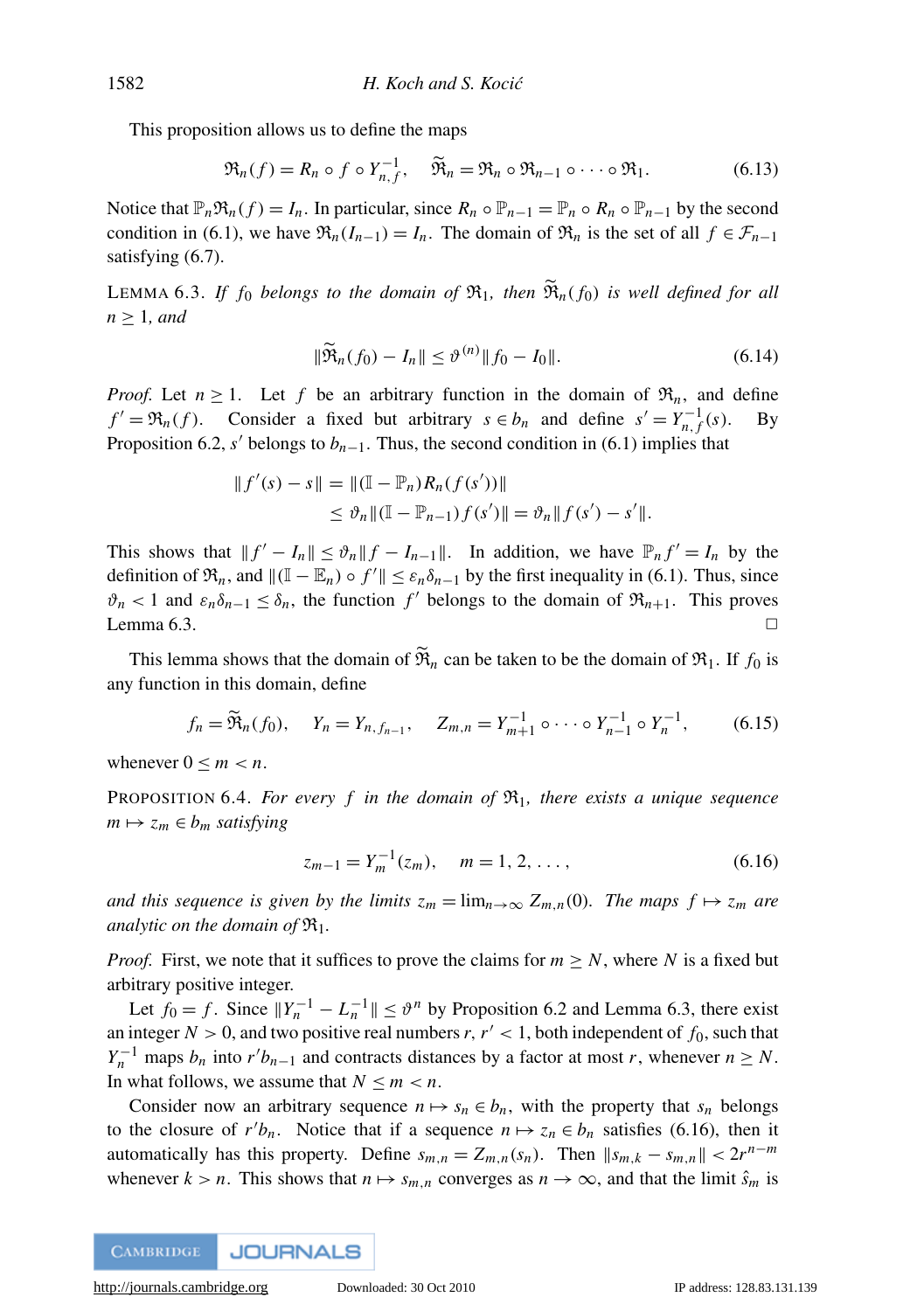This proposition allows us to define the maps

$$
\mathfrak{R}_n(f) = R_n \circ f \circ Y_{n,f}^{-1}, \quad \widetilde{\mathfrak{R}}_n = \mathfrak{R}_n \circ \mathfrak{R}_{n-1} \circ \cdots \circ \mathfrak{R}_1. \tag{6.13}
$$

Notice that  $\mathbb{P}_n\mathfrak{R}_n(f) = I_n$ . In particular, since  $R_n \circ \mathbb{P}_{n-1} = \mathbb{P}_n \circ R_n \circ \mathbb{P}_{n-1}$  by the second condition in [\(6.1\)](#page-21-0), we have  $\Re_n(I_{n-1}) = I_n$ . The domain of  $\Re_n$  is the set of all  $f \in \mathcal{F}_{n-1}$ satisfying  $(6.7)$ .

<span id="page-23-0"></span>LEMMA 6.3. If  $f_0$  belongs to the domain of  $\mathfrak{R}_1$ , then  $\widetilde{\mathfrak{R}}_n(f_0)$  is well defined for all *n* ≥ 1*, and*

$$
\|\widetilde{\mathfrak{R}}_n(f_0) - I_n\| \le \vartheta^{(n)} \|f_0 - I_0\|.
$$
 (6.14)

*Proof.* Let  $n \geq 1$ . Let f be an arbitrary function in the domain of  $\mathfrak{R}_n$ , and define  $f' = \Re_n(f)$ . Consider a fixed but arbitrary  $s \in b_n$  and define  $s' = Y_{n,f}^{-1}(s)$ . By Proposition [6.2,](#page-22-0)  $s'$  belongs to  $b_{n-1}$ . Thus, the second condition in [\(6.1\)](#page-21-0) implies that

$$
|| f'(s) - s || = ||(1 - P_n)R_n(f(s'))||
$$
  
\$\leq \vartheta\_n || (1 - P\_{n-1}) f(s') || = \vartheta\_n || f(s') - s' ||.

This shows that  $||f' - I_n|| \le \vartheta_n ||f - I_{n-1}||$ . In addition, we have  $\mathbb{P}_n f' = I_n$  by the definition of  $\mathfrak{R}_n$ , and  $\|(\mathbb{I} - \mathbb{E}_n) \circ f'\| \leq \varepsilon_n \delta_{n-1}$  by the first inequality in [\(6.1\)](#page-21-0). Thus, since  $\vartheta_n < 1$  and  $\varepsilon_n \delta_{n-1} \leq \delta_n$ , the function  $f'$  belongs to the domain of  $\mathfrak{R}_{n+1}$ . This proves Lemma [6.3.](#page-23-0)  $\Box$ 

This lemma shows that the domain of  $\widetilde{\mathfrak{R}}_n$  can be taken to be the domain of  $\mathfrak{R}_1$ . If  $f_0$  is any function in this domain, define

$$
f_n = \widetilde{\mathfrak{R}}_n(f_0), \quad Y_n = Y_{n, f_{n-1}}, \quad Z_{m,n} = Y_{m+1}^{-1} \circ \cdots \circ Y_{n-1}^{-1} \circ Y_n^{-1}, \tag{6.15}
$$

<span id="page-23-1"></span>whenever  $0 \leq m < n$ .

PROPOSITION 6.4. *For every f in the domain of* R1*, there exists a unique sequence*  $m \mapsto z_m \in b_m$  *satisfying* 

$$
z_{m-1} = Y_m^{-1}(z_m), \quad m = 1, 2, \dots,
$$
 (6.16)

*and this sequence is given by the limits*  $z_m = \lim_{n \to \infty} Z_{m,n}(0)$ *. The maps*  $f \mapsto z_m$  *are analytic on the domain of* R1*.*

*Proof.* First, we note that it suffices to prove the claims for  $m > N$ , where N is a fixed but arbitrary positive integer.

Let  $f_0 = f$ . Since  $||Y_n^{-1} - L_n^{-1}|| \le \vartheta^n$  by Proposition [6.2](#page-22-0) and Lemma [6.3,](#page-23-0) there exist an integer  $N > 0$ , and two positive real numbers  $r, r' < 1$ , both independent of  $f_0$ , such that  $Y_n^{-1}$  maps  $b_n$  into  $r'b_{n-1}$  and contracts distances by a factor at most *r*, whenever  $n \geq N$ . In what follows, we assume that  $N \le m \le n$ .

Consider now an arbitrary sequence  $n \mapsto s_n \in b_n$ , with the property that  $s_n$  belongs to the closure of  $r'b_n$ . Notice that if a sequence  $n \mapsto z_n \in b_n$  satisfies [\(6.16\)](#page-23-1), then it automatically has this property. Define  $s_{m,n} = Z_{m,n}(s_n)$ . Then  $||s_{m,k} - s_{m,n}|| < 2r^{n-m}$ whenever  $k > n$ . This shows that  $n \mapsto s_{m,n}$  converges as  $n \to \infty$ , and that the limit  $\hat{s}_m$  is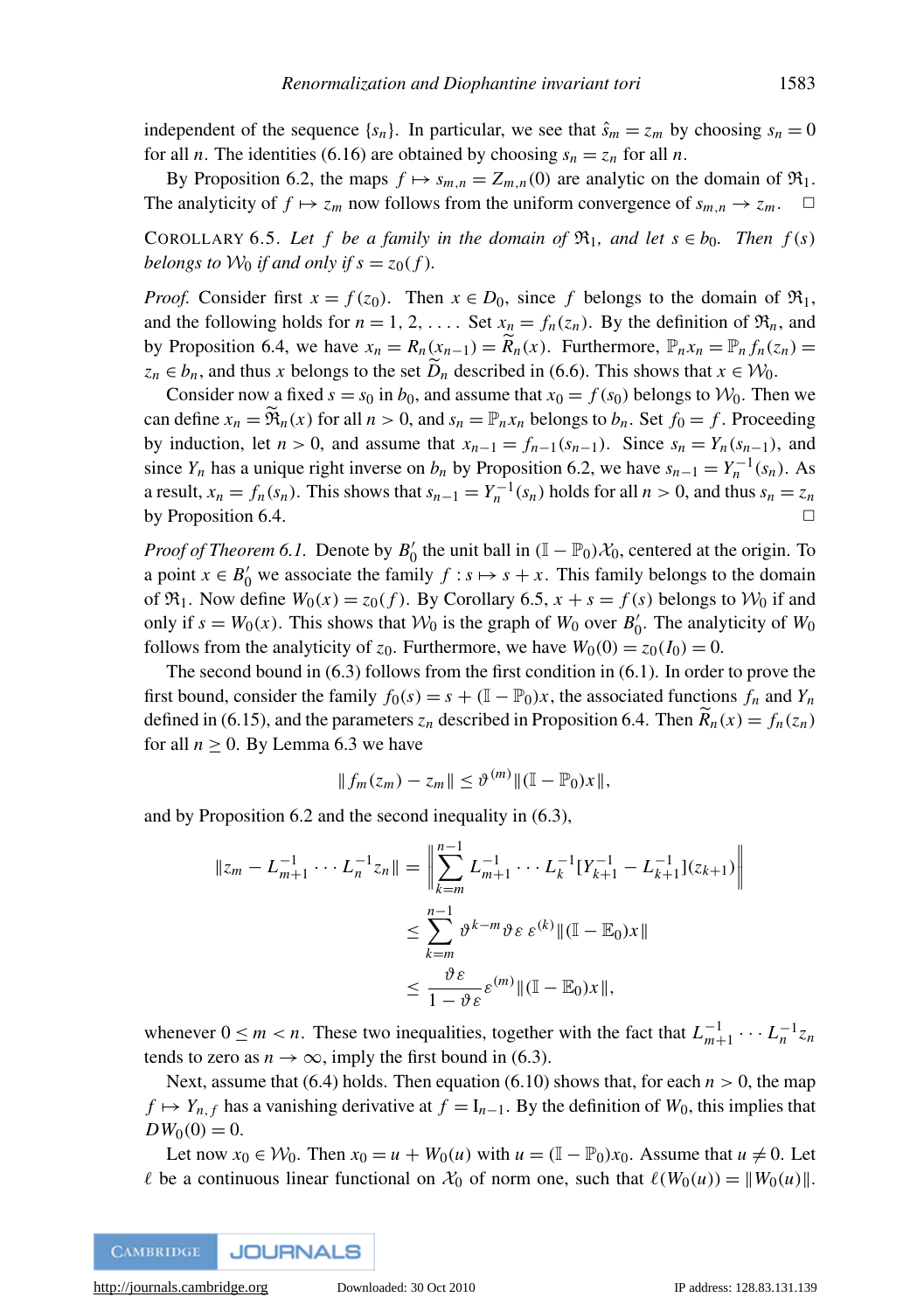independent of the sequence  $\{s_n\}$ . In particular, we see that  $\hat{s}_m = z_m$  by choosing  $s_n = 0$ for all *n*. The identities [\(6.16\)](#page-23-1) are obtained by choosing  $s_n = z_n$  for all *n*.

By Proposition [6.2,](#page-22-0) the maps  $f \mapsto s_{m,n} = Z_{m,n}(0)$  are analytic on the domain of  $\Re_1$ . The analyticity of  $f \mapsto z_m$  now follows from the uniform convergence of  $s_{m,n} \to z_m$ .  $\Box$ 

<span id="page-24-0"></span>COROLLARY 6.5. Let f be a family in the domain of  $\mathfrak{R}_1$ , and let  $s \in b_0$ . Then  $f(s)$ *belongs to*  $W_0$  *if and only if s* = *z*<sub>0</sub>(*f*)*.* 

*Proof.* Consider first  $x = f(z_0)$ . Then  $x \in D_0$ , since f belongs to the domain of  $\Re_1$ , and the following holds for  $n = 1, 2, \ldots$ . Set  $x_n = f_n(z_n)$ . By the definition of  $\mathfrak{R}_n$ , and by Proposition [6.4,](#page-23-1) we have  $x_n = R_n(x_{n-1}) = R_n(x)$ . Furthermore,  $\mathbb{P}_n x_n = \mathbb{P}_n f_n(z_n) =$  $z_n \in b_n$ , and thus *x* belongs to the set  $\widetilde{D}_n$  described in [\(6.6\)](#page-21-1). This shows that  $x \in \mathcal{W}_0$ .

Consider now a fixed  $s = s_0$  in  $b_0$ , and assume that  $x_0 = f(s_0)$  belongs to  $\mathcal{W}_0$ . Then we can define  $x_n = \widetilde{\mathfrak{R}}_n(x)$  for all  $n > 0$ , and  $s_n = \mathbb{P}_n x_n$  belongs to  $b_n$ . Set  $f_0 = f$ . Proceeding by induction, let  $n > 0$ , and assume that  $x_{n-1} = f_{n-1}(s_{n-1})$ . Since  $s_n = Y_n(s_{n-1})$ , and since *Y<sub>n</sub>* has a unique right inverse on *b<sub>n</sub>* by Proposition [6.2,](#page-22-0) we have  $s_{n-1} = Y_n^{-1}(s_n)$ . As a result,  $x_n = f_n(s_n)$ . This shows that  $s_{n-1} = Y_n^{-1}(s_n)$  holds for all  $n > 0$ , and thus  $s_n = z_n$ by Proposition [6.4.](#page-23-1)

*Proof of Theorem* [6.1.](#page-21-1) Denote by  $B'_0$  the unit ball in  $(\mathbb{I} - \mathbb{P}_0)\mathcal{X}_0$ , centered at the origin. To a point  $x \in B'_0$  we associate the family  $f : s \mapsto s + x$ . This family belongs to the domain of  $\mathfrak{R}_1$ . Now define  $W_0(x) = z_0(f)$ . By Corollary [6.5,](#page-24-0)  $x + s = f(s)$  belongs to  $\mathcal{W}_0$  if and only if  $s = W_0(x)$ . This shows that  $W_0$  is the graph of  $W_0$  over  $B'_0$ . The analyticity of  $W_0$ follows from the analyticity of  $z_0$ . Furthermore, we have  $W_0(0) = z_0(I_0) = 0$ .

The second bound in [\(6.3\)](#page-21-1) follows from the first condition in [\(6.1\)](#page-21-0). In order to prove the first bound, consider the family  $f_0(s) = s + (\mathbb{I} - \mathbb{P}_0)x$ , the associated functions  $f_n$  and  $Y_n$ defined in [\(6.15\)](#page-23-0), and the parameters  $z_n$  described in Proposition [6.4.](#page-23-1) Then  $R_n(x) = f_n(z_n)$ for all  $n \geq 0$ . By Lemma [6.3](#page-23-0) we have

$$
|| f_m(z_m) - z_m || \leq \vartheta^{(m)} || (1 - \mathbb{P}_0) x ||,
$$

and by Proposition [6.2](#page-22-0) and the second inequality in [\(6.3\)](#page-21-1),

$$
\begin{aligned} ||z_m - L_{m+1}^{-1} \cdots L_n^{-1} z_n || &= \left\| \sum_{k=m}^{n-1} L_{m+1}^{-1} \cdots L_k^{-1} [Y_{k+1}^{-1} - L_{k+1}^{-1}] (z_{k+1}) \right\| \\ &\le \sum_{k=m}^{n-1} \vartheta^{k-m} \vartheta \varepsilon \varepsilon^{(k)} || (\mathbb{I} - \mathbb{E}_0) x || \\ &\le \frac{\vartheta \varepsilon}{1 - \vartheta \varepsilon} \varepsilon^{(m)} || (\mathbb{I} - \mathbb{E}_0) x ||, \end{aligned}
$$

whenever  $0 \le m < n$ . These two inequalities, together with the fact that  $L_{m+1}^{-1} \cdots L_n^{-1} z_n$ tends to zero as  $n \to \infty$ , imply the first bound in [\(6.3\)](#page-21-1).

Next, assume that [\(6.4\)](#page-21-1) holds. Then equation [\(6.10\)](#page-22-0) shows that, for each  $n > 0$ , the map *f*  $\mapsto$  *Y*<sub>*n*, *f*</sub> has a vanishing derivative at *f* = I<sub>*n*−1</sub>. By the definition of *W*<sub>0</sub>, this implies that  $DW_0(0) = 0.$ 

Let now  $x_0 \in W_0$ . Then  $x_0 = u + W_0(u)$  with  $u = (\mathbb{I} - \mathbb{P}_0)x_0$ . Assume that  $u \neq 0$ . Let  $\ell$  be a continuous linear functional on  $\mathcal{X}_0$  of norm one, such that  $\ell(W_0(u)) = ||W_0(u)||$ .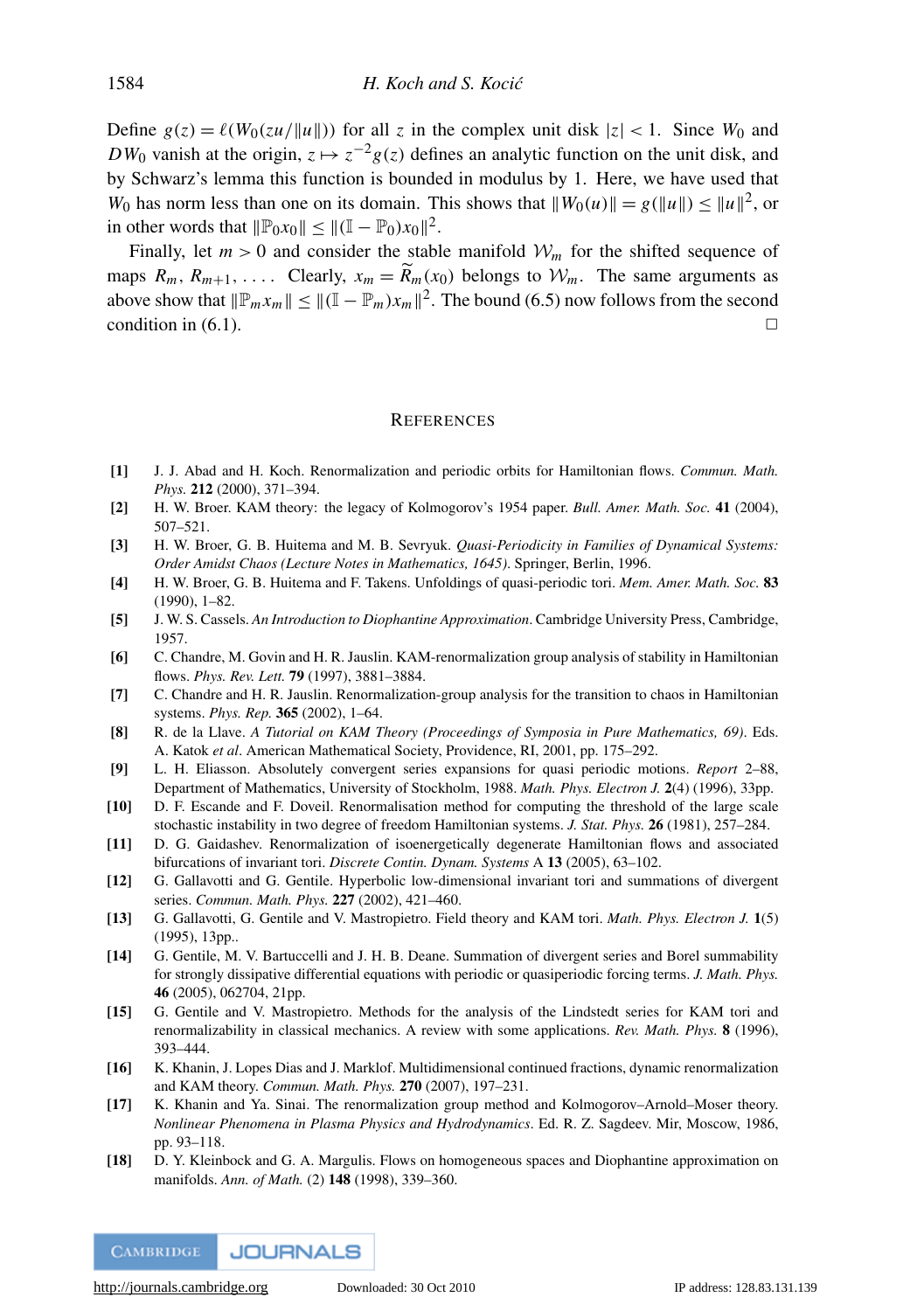Define  $g(z) = \ell(W_0(zu/\|u\|))$  for all *z* in the complex unit disk  $|z| < 1$ . Since  $W_0$  and *DW*<sup>0</sup> vanish at the origin,  $z \mapsto z^{-2}g(z)$  defines an analytic function on the unit disk, and by Schwarz's lemma this function is bounded in modulus by 1. Here, we have used that *W*<sub>0</sub> has norm less than one on its domain. This shows that  $||W_0(u)|| = g(||u||) \le ||u||^2$ , or in other words that  $\|\mathbb{P}_0 x_0\| \le \|(\mathbb{I} - \mathbb{P}_0)x_0\|^2$ .

Finally, let  $m > 0$  and consider the stable manifold  $W_m$  for the shifted sequence of maps  $R_m$ ,  $R_{m+1}$ , .... Clearly,  $x_m = \widetilde{R}_m(x_0)$  belongs to  $\mathcal{W}_m$ . The same arguments as above show that  $\|\mathbb{P}_m x_m\| \leq \|(\mathbb{I} - \mathbb{P}_m)x_m\|^2$ . The bound [\(6.5\)](#page-21-1) now follows from the second condition in  $(6.1)$ .

#### **REFERENCES**

- <span id="page-25-13"></span>[1] J. J. Abad and H. Koch. Renormalization and periodic orbits for Hamiltonian flows. *Commun. Math. Phys.* 212 (2000), 371–394.
- <span id="page-25-0"></span>[2] H. W. Broer. KAM theory: the legacy of Kolmogorov's 1954 paper. *Bull. Amer. Math. Soc.* 41 (2004), 507–521.
- <span id="page-25-2"></span>[3] H. W. Broer, G. B. Huitema and M. B. Sevryuk. *Quasi-Periodicity in Families of Dynamical Systems: Order Amidst Chaos (Lecture Notes in Mathematics, 1645)*. Springer, Berlin, 1996.
- <span id="page-25-3"></span>[4] H. W. Broer, G. B. Huitema and F. Takens. Unfoldings of quasi-periodic tori. *Mem. Amer. Math. Soc.* 83 (1990), 1–82.
- <span id="page-25-14"></span>[5] J. W. S. Cassels. *An Introduction to Diophantine Approximation*. Cambridge University Press, Cambridge, 1957.
- <span id="page-25-7"></span>[6] C. Chandre, M. Govin and H. R. Jauslin. KAM-renormalization group analysis of stability in Hamiltonian flows. *Phys. Rev. Lett.* 79 (1997), 3881–3884.
- <span id="page-25-8"></span>[7] C. Chandre and H. R. Jauslin. Renormalization-group analysis for the transition to chaos in Hamiltonian systems. *Phys. Rep.* 365 (2002), 1–64.
- <span id="page-25-1"></span>[8] R. de la Llave. *A Tutorial on KAM Theory (Proceedings of Symposia in Pure Mathematics, 69)*. Eds. A. Katok *et al*. American Mathematical Society, Providence, RI, 2001, pp. 175–292.
- <span id="page-25-4"></span>[9] L. H. Eliasson. Absolutely convergent series expansions for quasi periodic motions. *Report* 2–88, Department of Mathematics, University of Stockholm, 1988. *Math. Phys. Electron J.* 2(4) (1996), 33pp.
- <span id="page-25-9"></span>[10] D. F. Escande and F. Doveil. Renormalisation method for computing the threshold of the large scale stochastic instability in two degree of freedom Hamiltonian systems. *J. Stat. Phys.* 26 (1981), 257–284.
- <span id="page-25-10"></span>[11] D. G. Gaidashev. Renormalization of isoenergetically degenerate Hamiltonian flows and associated bifurcations of invariant tori. *Discrete Contin. Dynam. Systems* A 13 (2005), 63–102.
- <span id="page-25-5"></span>[12] G. Gallavotti and G. Gentile. Hyperbolic low-dimensional invariant tori and summations of divergent series. *Commun. Math. Phys.* 227 (2002), 421–460.
- [13] G. Gallavotti, G. Gentile and V. Mastropietro. Field theory and KAM tori. *Math. Phys. Electron J.* 1(5) (1995), 13pp..
- [14] G. Gentile, M. V. Bartuccelli and J. H. B. Deane. Summation of divergent series and Borel summability for strongly dissipative differential equations with periodic or quasiperiodic forcing terms. *J. Math. Phys.* 46 (2005), 062704, 21pp.
- <span id="page-25-6"></span>[15] G. Gentile and V. Mastropietro. Methods for the analysis of the Lindstedt series for KAM tori and renormalizability in classical mechanics. A review with some applications. *Rev. Math. Phys.* 8 (1996), 393–444.
- <span id="page-25-11"></span>[16] K. Khanin, J. Lopes Dias and J. Marklof. Multidimensional continued fractions, dynamic renormalization and KAM theory. *Commun. Math. Phys.* 270 (2007), 197–231.
- <span id="page-25-12"></span>[17] K. Khanin and Ya. Sinai. The renormalization group method and Kolmogorov–Arnold–Moser theory. *Nonlinear Phenomena in Plasma Physics and Hydrodynamics*. Ed. R. Z. Sagdeev. Mir, Moscow, 1986, pp. 93–118.
- <span id="page-25-15"></span>[18] D. Y. Kleinbock and G. A. Margulis. Flows on homogeneous spaces and Diophantine approximation on manifolds. *Ann. of Math.* (2) 148 (1998), 339–360.

**CAMBRIDGE JOURNALS** 

[http://journals.cambridge.org](http://www.journals.cambridge.org) Downloaded: 30 Oct 2010 IP address: 128.83.131.139